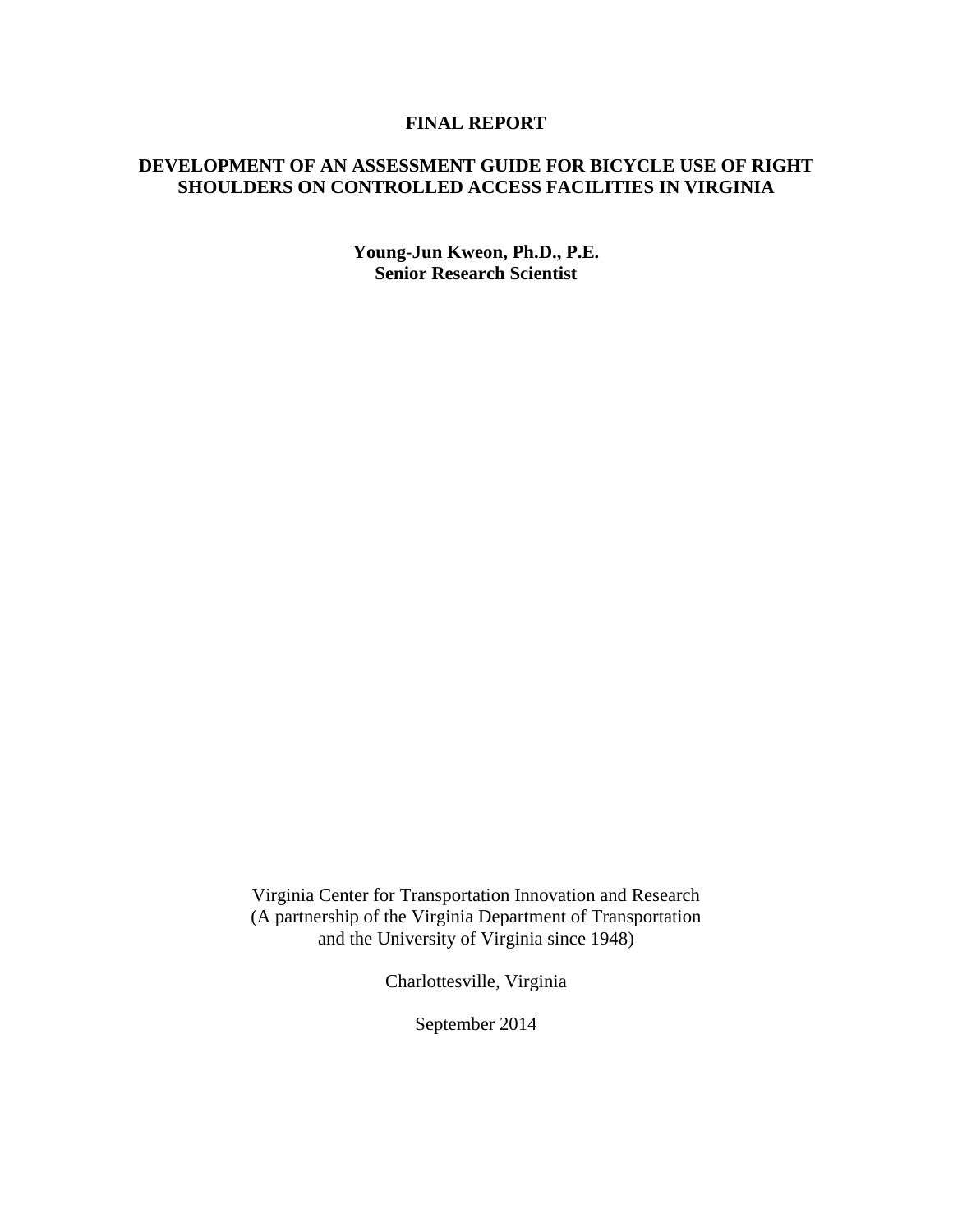### **FINAL REPORT**

## **DEVELOPMENT OF AN ASSESSMENT GUIDE FOR BICYCLE USE OF RIGHT SHOULDERS ON CONTROLLED ACCESS FACILITIES IN VIRGINIA**

**Young-Jun Kweon, Ph.D., P.E. Senior Research Scientist**

Virginia Center for Transportation Innovation and Research (A partnership of the Virginia Department of Transportation and the University of Virginia since 1948)

Charlottesville, Virginia

September 2014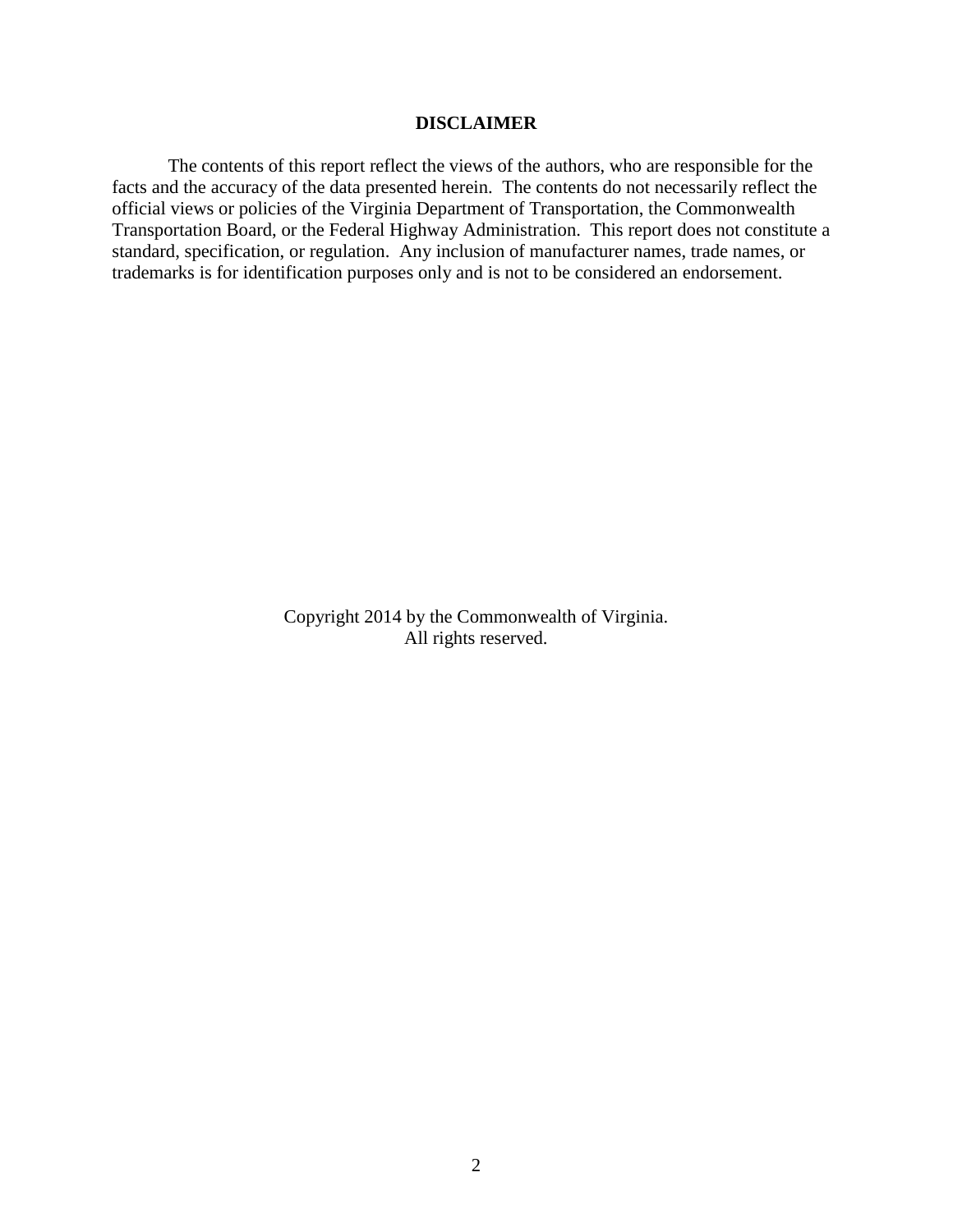### **DISCLAIMER**

The contents of this report reflect the views of the authors, who are responsible for the facts and the accuracy of the data presented herein. The contents do not necessarily reflect the official views or policies of the Virginia Department of Transportation, the Commonwealth Transportation Board, or the Federal Highway Administration. This report does not constitute a standard, specification, or regulation. Any inclusion of manufacturer names, trade names, or trademarks is for identification purposes only and is not to be considered an endorsement.

> Copyright 2014 by the Commonwealth of Virginia. All rights reserved.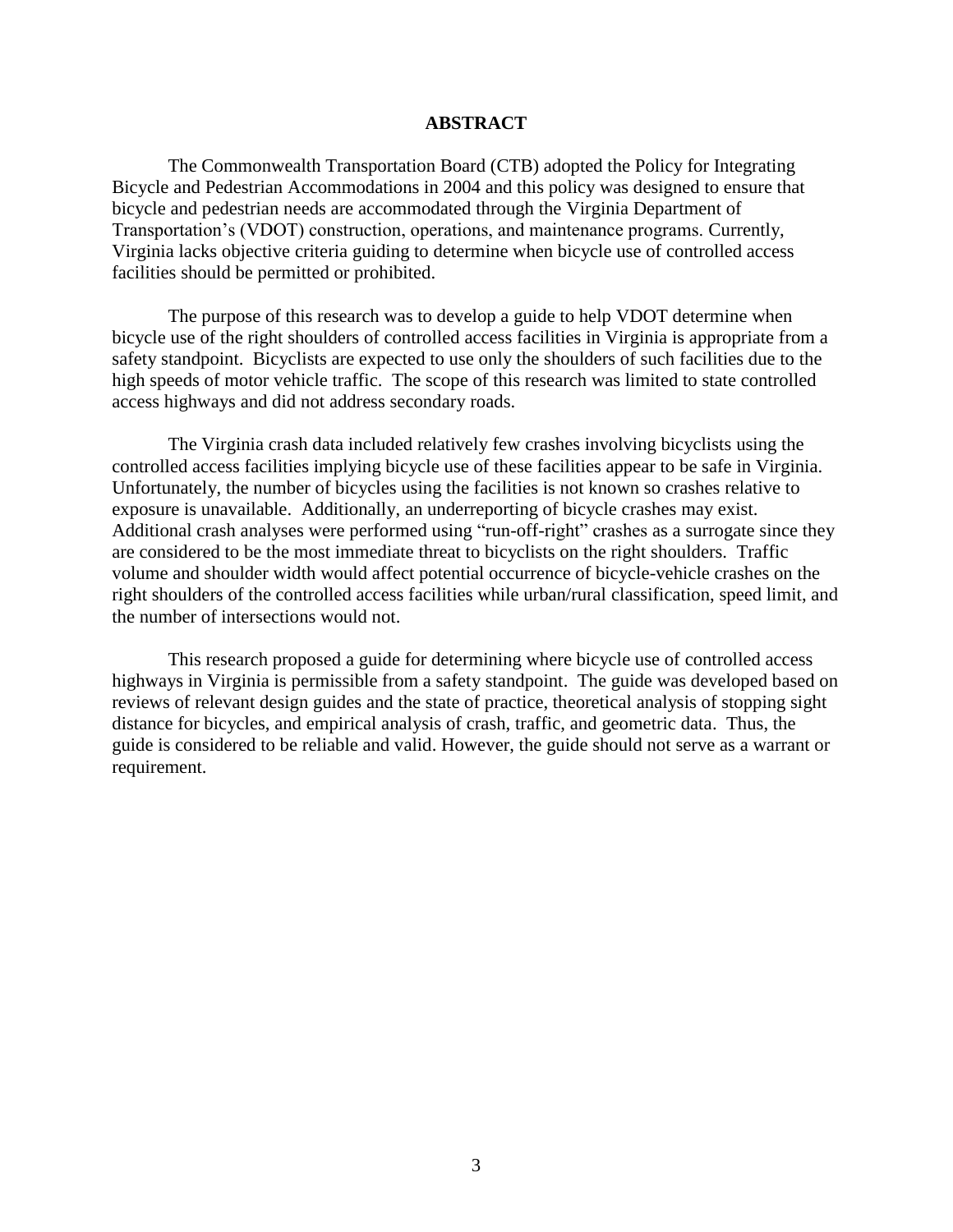#### **ABSTRACT**

The Commonwealth Transportation Board (CTB) adopted the Policy for Integrating Bicycle and Pedestrian Accommodations in 2004 and this policy was designed to ensure that bicycle and pedestrian needs are accommodated through the Virginia Department of Transportation's (VDOT) construction, operations, and maintenance programs. Currently, Virginia lacks objective criteria guiding to determine when bicycle use of controlled access facilities should be permitted or prohibited.

The purpose of this research was to develop a guide to help VDOT determine when bicycle use of the right shoulders of controlled access facilities in Virginia is appropriate from a safety standpoint. Bicyclists are expected to use only the shoulders of such facilities due to the high speeds of motor vehicle traffic. The scope of this research was limited to state controlled access highways and did not address secondary roads.

The Virginia crash data included relatively few crashes involving bicyclists using the controlled access facilities implying bicycle use of these facilities appear to be safe in Virginia. Unfortunately, the number of bicycles using the facilities is not known so crashes relative to exposure is unavailable. Additionally, an underreporting of bicycle crashes may exist. Additional crash analyses were performed using "run-off-right" crashes as a surrogate since they are considered to be the most immediate threat to bicyclists on the right shoulders. Traffic volume and shoulder width would affect potential occurrence of bicycle-vehicle crashes on the right shoulders of the controlled access facilities while urban/rural classification, speed limit, and the number of intersections would not.

This research proposed a guide for determining where bicycle use of controlled access highways in Virginia is permissible from a safety standpoint. The guide was developed based on reviews of relevant design guides and the state of practice, theoretical analysis of stopping sight distance for bicycles, and empirical analysis of crash, traffic, and geometric data. Thus, the guide is considered to be reliable and valid. However, the guide should not serve as a warrant or requirement.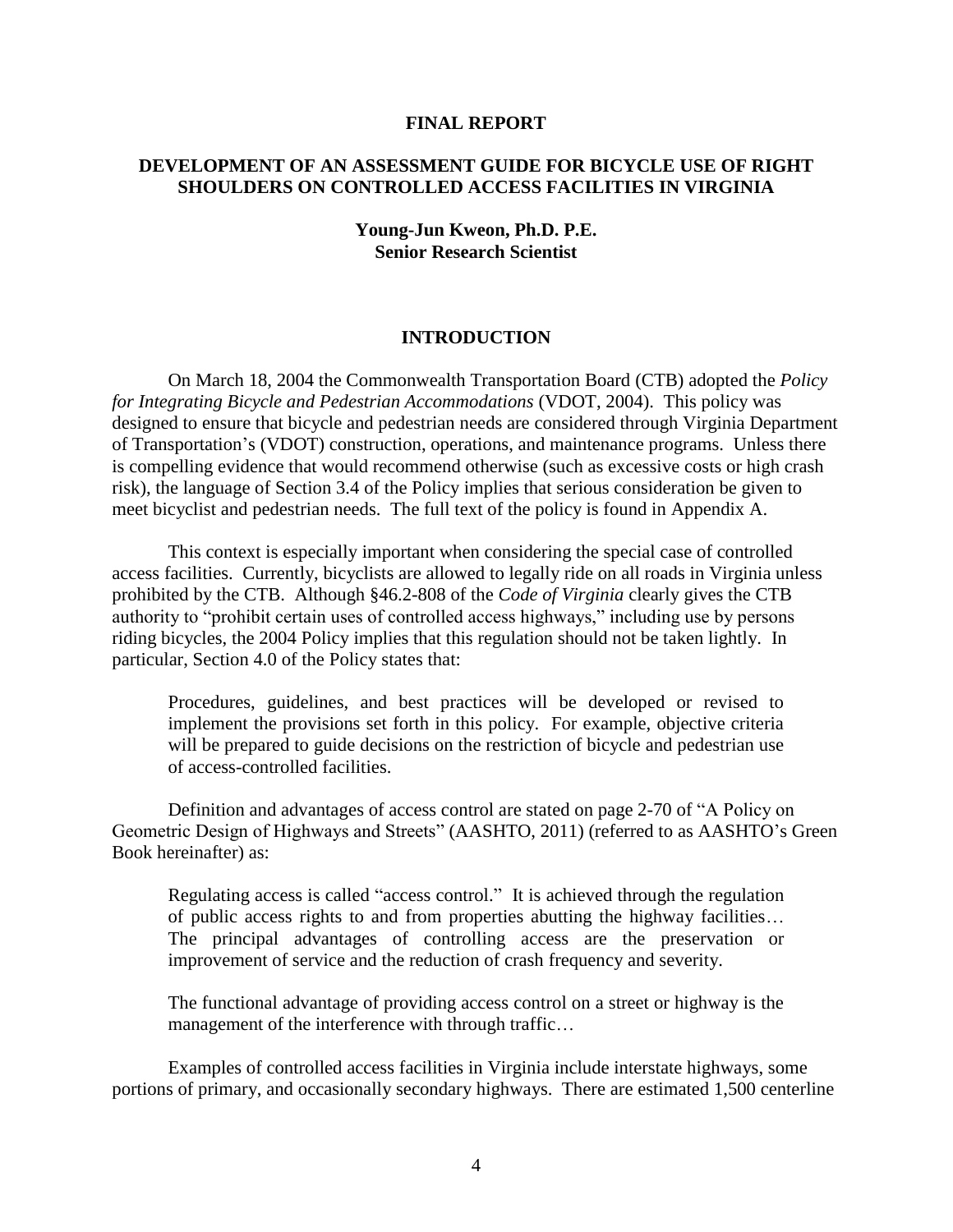#### **FINAL REPORT**

## **DEVELOPMENT OF AN ASSESSMENT GUIDE FOR BICYCLE USE OF RIGHT SHOULDERS ON CONTROLLED ACCESS FACILITIES IN VIRGINIA**

### **Young-Jun Kweon, Ph.D. P.E. Senior Research Scientist**

#### **INTRODUCTION**

On March 18, 2004 the Commonwealth Transportation Board (CTB) adopted the *Policy for Integrating Bicycle and Pedestrian Accommodations* (VDOT, 2004). This policy was designed to ensure that bicycle and pedestrian needs are considered through Virginia Department of Transportation's (VDOT) construction, operations, and maintenance programs. Unless there is compelling evidence that would recommend otherwise (such as excessive costs or high crash risk), the language of Section 3.4 of the Policy implies that serious consideration be given to meet bicyclist and pedestrian needs. The full text of the policy is found in Appendix A.

This context is especially important when considering the special case of controlled access facilities. Currently, bicyclists are allowed to legally ride on all roads in Virginia unless prohibited by the CTB. Although §46.2-808 of the *Code of Virginia* clearly gives the CTB authority to "prohibit certain uses of controlled access highways," including use by persons riding bicycles, the 2004 Policy implies that this regulation should not be taken lightly. In particular, Section 4.0 of the Policy states that:

Procedures, guidelines, and best practices will be developed or revised to implement the provisions set forth in this policy. For example, objective criteria will be prepared to guide decisions on the restriction of bicycle and pedestrian use of access-controlled facilities.

Definition and advantages of access control are stated on page 2-70 of "A Policy on Geometric Design of Highways and Streets" (AASHTO, 2011) (referred to as AASHTO's Green Book hereinafter) as:

Regulating access is called "access control." It is achieved through the regulation of public access rights to and from properties abutting the highway facilities… The principal advantages of controlling access are the preservation or improvement of service and the reduction of crash frequency and severity.

The functional advantage of providing access control on a street or highway is the management of the interference with through traffic...

Examples of controlled access facilities in Virginia include interstate highways, some portions of primary, and occasionally secondary highways. There are estimated 1,500 centerline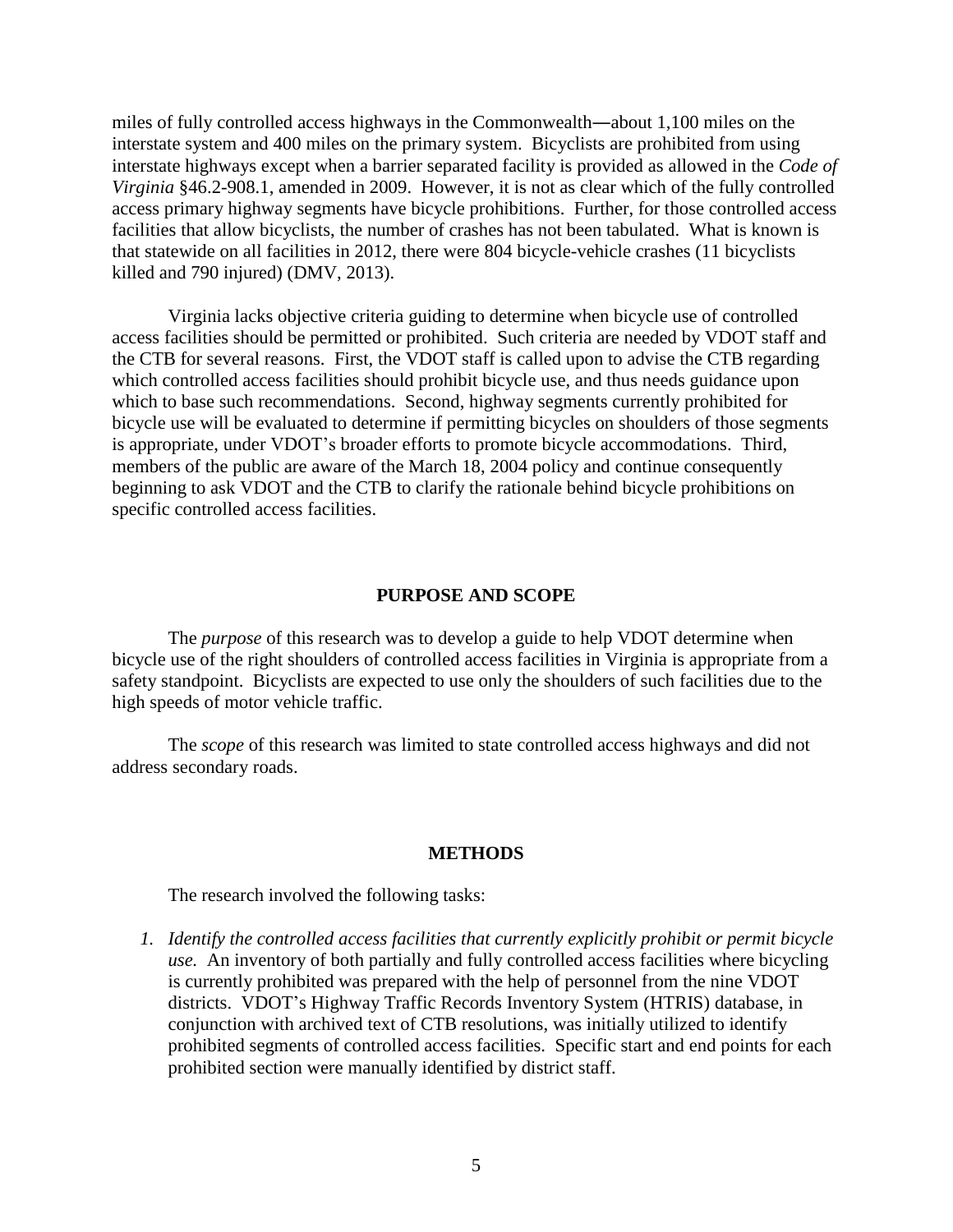miles of fully controlled access highways in the Commonwealth―about 1,100 miles on the interstate system and 400 miles on the primary system. Bicyclists are prohibited from using interstate highways except when a barrier separated facility is provided as allowed in the *Code of Virginia* §46.2-908.1, amended in 2009. However, it is not as clear which of the fully controlled access primary highway segments have bicycle prohibitions. Further, for those controlled access facilities that allow bicyclists, the number of crashes has not been tabulated. What is known is that statewide on all facilities in 2012, there were 804 bicycle-vehicle crashes (11 bicyclists killed and 790 injured) (DMV, 2013).

Virginia lacks objective criteria guiding to determine when bicycle use of controlled access facilities should be permitted or prohibited. Such criteria are needed by VDOT staff and the CTB for several reasons. First, the VDOT staff is called upon to advise the CTB regarding which controlled access facilities should prohibit bicycle use, and thus needs guidance upon which to base such recommendations. Second, highway segments currently prohibited for bicycle use will be evaluated to determine if permitting bicycles on shoulders of those segments is appropriate, under VDOT's broader efforts to promote bicycle accommodations. Third, members of the public are aware of the March 18, 2004 policy and continue consequently beginning to ask VDOT and the CTB to clarify the rationale behind bicycle prohibitions on specific controlled access facilities.

#### **PURPOSE AND SCOPE**

The *purpose* of this research was to develop a guide to help VDOT determine when bicycle use of the right shoulders of controlled access facilities in Virginia is appropriate from a safety standpoint. Bicyclists are expected to use only the shoulders of such facilities due to the high speeds of motor vehicle traffic.

The *scope* of this research was limited to state controlled access highways and did not address secondary roads.

#### **METHODS**

The research involved the following tasks:

*1. Identify the controlled access facilities that currently explicitly prohibit or permit bicycle use.* An inventory of both partially and fully controlled access facilities where bicycling is currently prohibited was prepared with the help of personnel from the nine VDOT districts. VDOT's Highway Traffic Records Inventory System (HTRIS) database, in conjunction with archived text of CTB resolutions, was initially utilized to identify prohibited segments of controlled access facilities. Specific start and end points for each prohibited section were manually identified by district staff.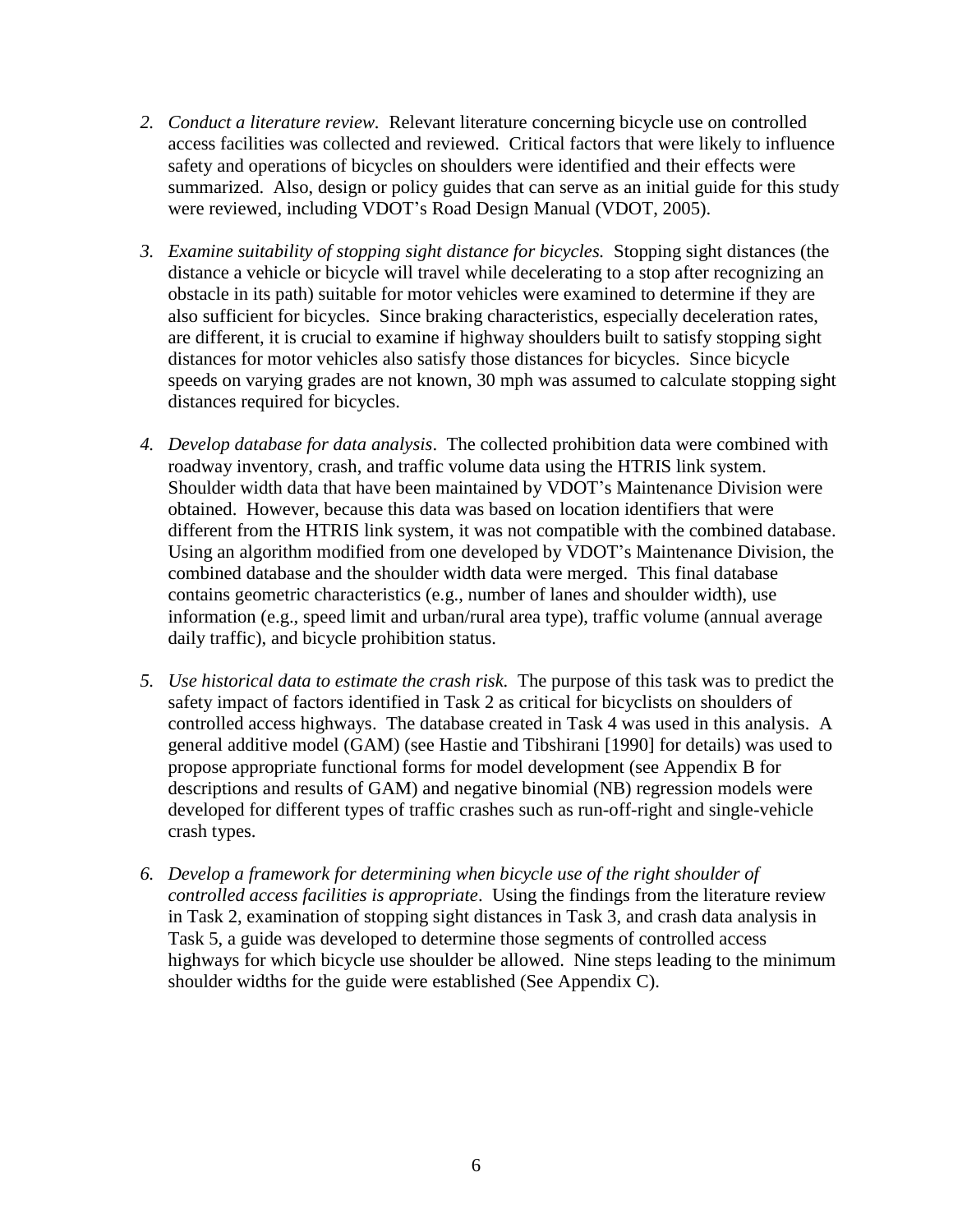- *2. Conduct a literature review.* Relevant literature concerning bicycle use on controlled access facilities was collected and reviewed. Critical factors that were likely to influence safety and operations of bicycles on shoulders were identified and their effects were summarized. Also, design or policy guides that can serve as an initial guide for this study were reviewed, including VDOT's Road Design Manual (VDOT, 2005).
- *3. Examine suitability of stopping sight distance for bicycles.* Stopping sight distances (the distance a vehicle or bicycle will travel while decelerating to a stop after recognizing an obstacle in its path) suitable for motor vehicles were examined to determine if they are also sufficient for bicycles. Since braking characteristics, especially deceleration rates, are different, it is crucial to examine if highway shoulders built to satisfy stopping sight distances for motor vehicles also satisfy those distances for bicycles. Since bicycle speeds on varying grades are not known, 30 mph was assumed to calculate stopping sight distances required for bicycles.
- *4. Develop database for data analysis*. The collected prohibition data were combined with roadway inventory, crash, and traffic volume data using the HTRIS link system. Shoulder width data that have been maintained by VDOT's Maintenance Division were obtained. However, because this data was based on location identifiers that were different from the HTRIS link system, it was not compatible with the combined database. Using an algorithm modified from one developed by VDOT's Maintenance Division, the combined database and the shoulder width data were merged. This final database contains geometric characteristics (e.g., number of lanes and shoulder width), use information (e.g., speed limit and urban/rural area type), traffic volume (annual average daily traffic), and bicycle prohibition status.
- *5. Use historical data to estimate the crash risk.* The purpose of this task was to predict the safety impact of factors identified in Task 2 as critical for bicyclists on shoulders of controlled access highways. The database created in Task 4 was used in this analysis. A general additive model (GAM) (see Hastie and Tibshirani [1990] for details) was used to propose appropriate functional forms for model development (see Appendix B for descriptions and results of GAM) and negative binomial (NB) regression models were developed for different types of traffic crashes such as run-off-right and single-vehicle crash types.
- *6. Develop a framework for determining when bicycle use of the right shoulder of controlled access facilities is appropriate*. Using the findings from the literature review in Task 2, examination of stopping sight distances in Task 3, and crash data analysis in Task 5, a guide was developed to determine those segments of controlled access highways for which bicycle use shoulder be allowed. Nine steps leading to the minimum shoulder widths for the guide were established (See Appendix C).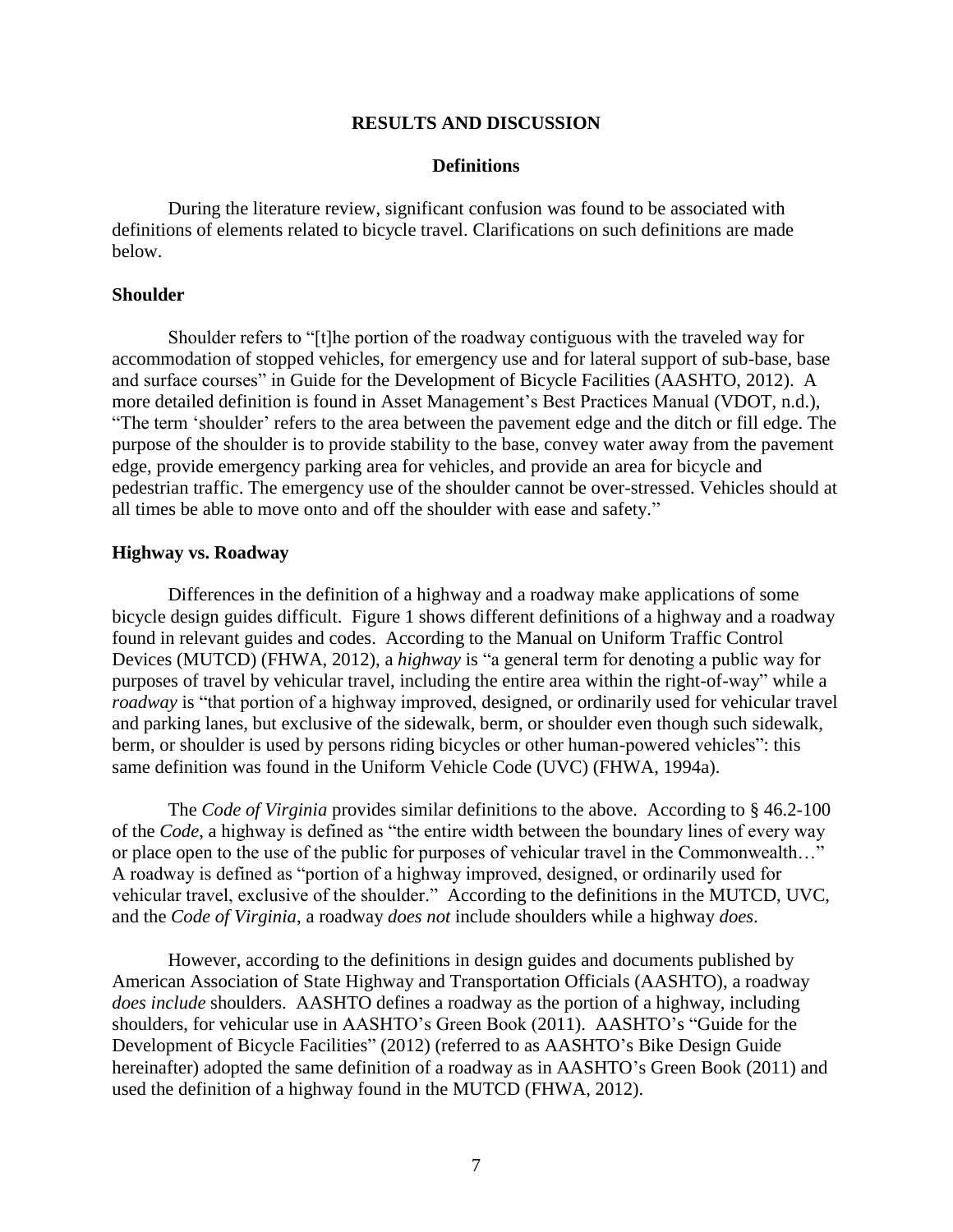### **RESULTS AND DISCUSSION**

#### **Definitions**

During the literature review, significant confusion was found to be associated with definitions of elements related to bicycle travel. Clarifications on such definitions are made below.

### **Shoulder**

Shoulder refers to "[t]he portion of the roadway contiguous with the traveled way for accommodation of stopped vehicles, for emergency use and for lateral support of sub-base, base and surface courses" in Guide for the Development of Bicycle Facilities (AASHTO, 2012). A more detailed definition is found in Asset Management's Best Practices Manual (VDOT, n.d.), "The term 'shoulder' refers to the area between the pavement edge and the ditch or fill edge. The purpose of the shoulder is to provide stability to the base, convey water away from the pavement edge, provide emergency parking area for vehicles, and provide an area for bicycle and pedestrian traffic. The emergency use of the shoulder cannot be over-stressed. Vehicles should at all times be able to move onto and off the shoulder with ease and safety."

#### **Highway vs. Roadway**

Differences in the definition of a highway and a roadway make applications of some bicycle design guides difficult. Figure 1 shows different definitions of a highway and a roadway found in relevant guides and codes. According to the Manual on Uniform Traffic Control Devices (MUTCD) (FHWA, 2012), a *highway* is "a general term for denoting a public way for purposes of travel by vehicular travel, including the entire area within the right-of-way" while a *roadway* is "that portion of a highway improved, designed, or ordinarily used for vehicular travel and parking lanes, but exclusive of the sidewalk, berm, or shoulder even though such sidewalk, berm, or shoulder is used by persons riding bicycles or other human-powered vehicles": this same definition was found in the Uniform Vehicle Code (UVC) (FHWA, 1994a).

The *Code of Virginia* provides similar definitions to the above. According to § 46.2-100 of the *Code*, a highway is defined as "the entire width between the boundary lines of every way or place open to the use of the public for purposes of vehicular travel in the Commonwealth…" A roadway is defined as "portion of a highway improved, designed, or ordinarily used for vehicular travel, exclusive of the shoulder." According to the definitions in the MUTCD, UVC, and the *Code of Virginia*, a roadway *does not* include shoulders while a highway *does*.

However, according to the definitions in design guides and documents published by American Association of State Highway and Transportation Officials (AASHTO), a roadway *does include* shoulders. AASHTO defines a roadway as the portion of a highway, including shoulders, for vehicular use in AASHTO's Green Book (2011). AASHTO's "Guide for the Development of Bicycle Facilities" (2012) (referred to as AASHTO's Bike Design Guide hereinafter) adopted the same definition of a roadway as in AASHTO's Green Book (2011) and used the definition of a highway found in the MUTCD (FHWA, 2012).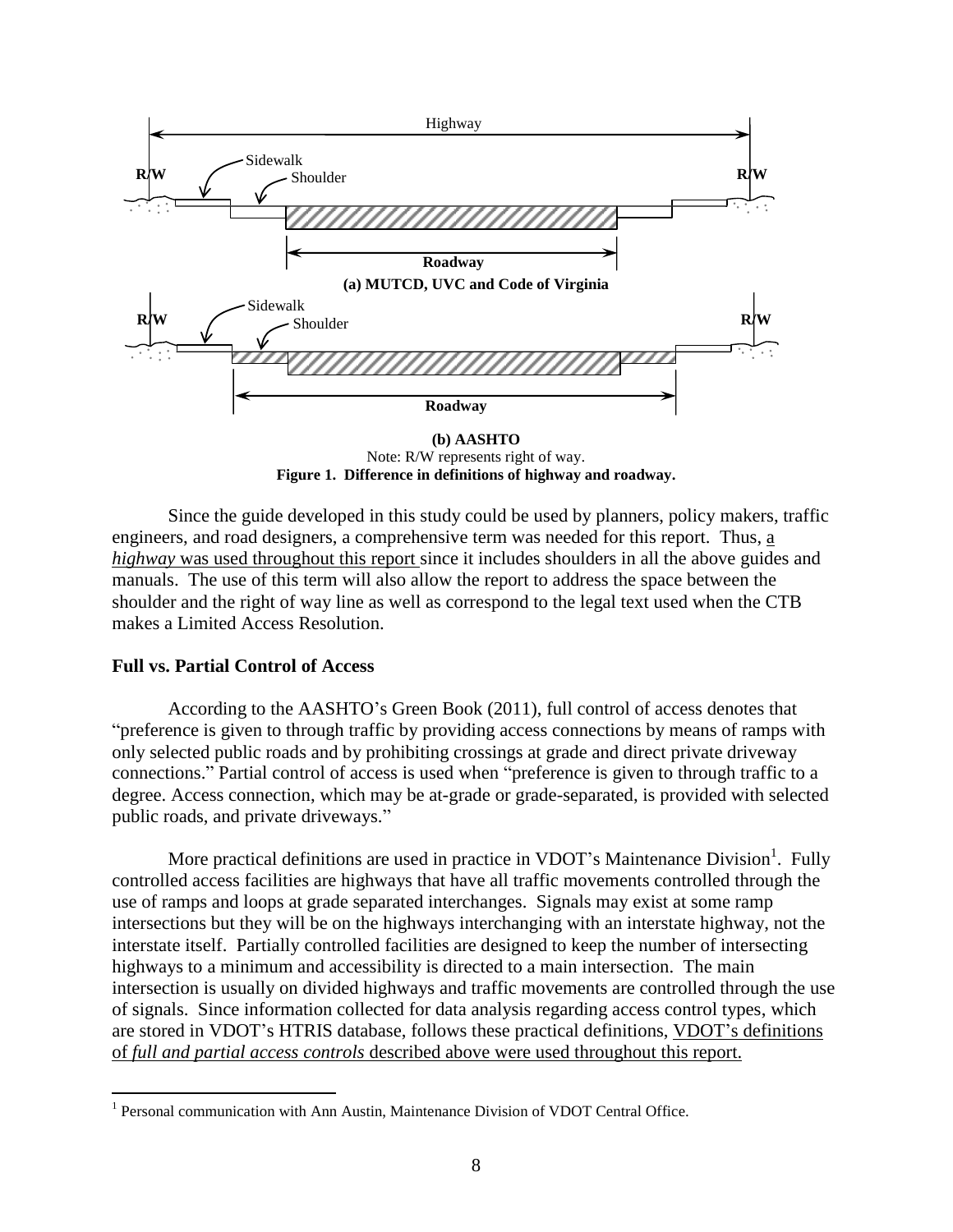

**Figure 1. Difference in definitions of highway and roadway.** Note: R/W represents right of way.

Since the guide developed in this study could be used by planners, policy makers, traffic engineers, and road designers, a comprehensive term was needed for this report. Thus, a *highway* was used throughout this report since it includes shoulders in all the above guides and manuals. The use of this term will also allow the report to address the space between the shoulder and the right of way line as well as correspond to the legal text used when the CTB makes a Limited Access Resolution.

#### **Full vs. Partial Control of Access**

 $\overline{a}$ 

According to the AASHTO's Green Book (2011), full control of access denotes that "preference is given to through traffic by providing access connections by means of ramps with only selected public roads and by prohibiting crossings at grade and direct private driveway connections." Partial control of access is used when "preference is given to through traffic to a degree. Access connection, which may be at-grade or grade-separated, is provided with selected public roads, and private driveways."

More practical definitions are used in practice in VDOT's Maintenance Division<sup>1</sup>. Fully controlled access facilities are highways that have all traffic movements controlled through the use of ramps and loops at grade separated interchanges. Signals may exist at some ramp intersections but they will be on the highways interchanging with an interstate highway, not the interstate itself. Partially controlled facilities are designed to keep the number of intersecting highways to a minimum and accessibility is directed to a main intersection. The main intersection is usually on divided highways and traffic movements are controlled through the use of signals. Since information collected for data analysis regarding access control types, which are stored in VDOT's HTRIS database, follows these practical definitions, VDOT's definitions of *full and partial access controls* described above were used throughout this report.

<sup>&</sup>lt;sup>1</sup> Personal communication with Ann Austin, Maintenance Division of VDOT Central Office.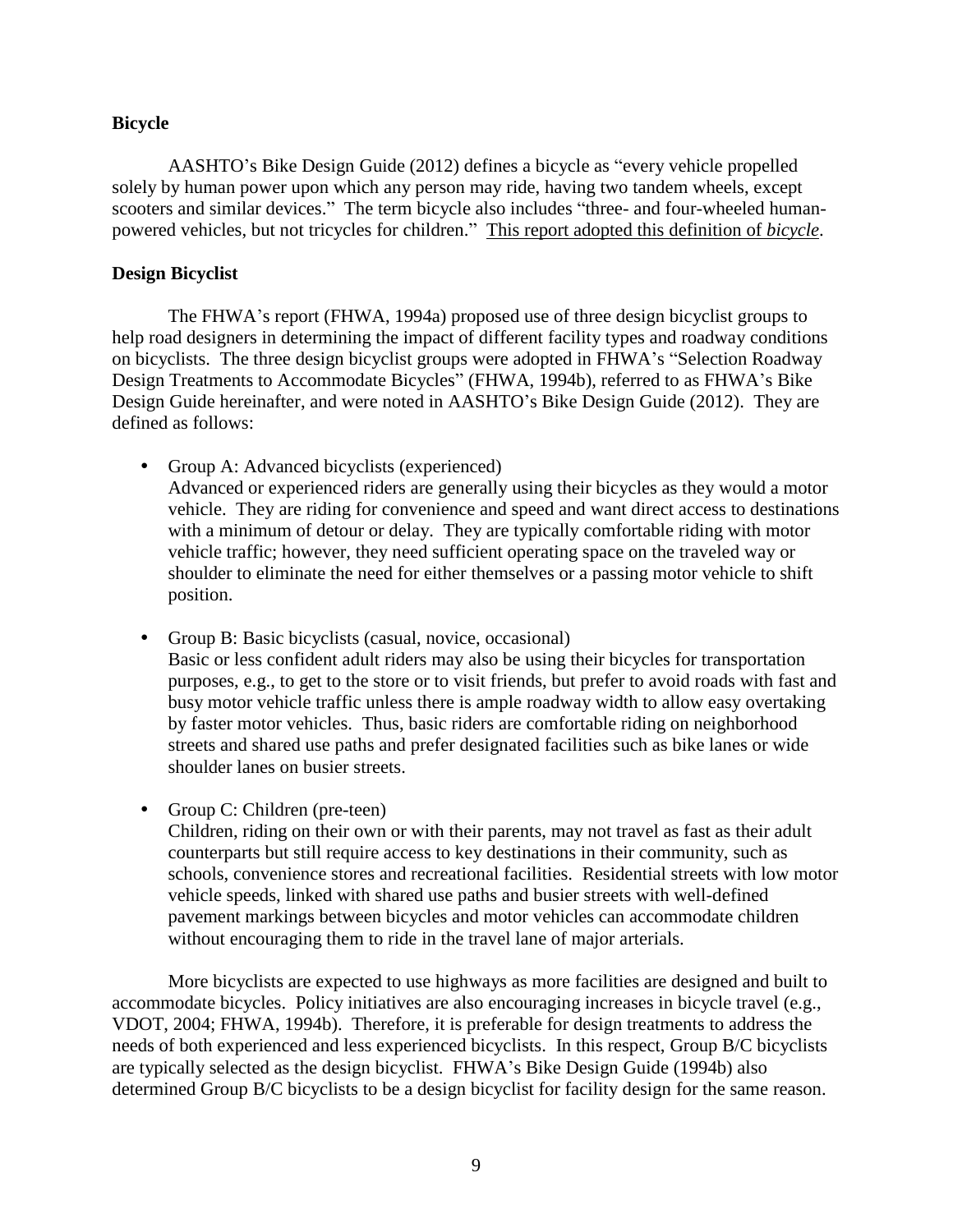### **Bicycle**

AASHTO's Bike Design Guide (2012) defines a bicycle as "every vehicle propelled solely by human power upon which any person may ride, having two tandem wheels, except scooters and similar devices." The term bicycle also includes "three- and four-wheeled humanpowered vehicles, but not tricycles for children." This report adopted this definition of *bicycle*.

### **Design Bicyclist**

The FHWA's report (FHWA, 1994a) proposed use of three design bicyclist groups to help road designers in determining the impact of different facility types and roadway conditions on bicyclists. The three design bicyclist groups were adopted in FHWA's "Selection Roadway Design Treatments to Accommodate Bicycles" (FHWA, 1994b), referred to as FHWA's Bike Design Guide hereinafter, and were noted in AASHTO's Bike Design Guide (2012). They are defined as follows:

- Group A: Advanced bicyclists (experienced) Advanced or experienced riders are generally using their bicycles as they would a motor vehicle. They are riding for convenience and speed and want direct access to destinations with a minimum of detour or delay. They are typically comfortable riding with motor vehicle traffic; however, they need sufficient operating space on the traveled way or shoulder to eliminate the need for either themselves or a passing motor vehicle to shift position.
- Group B: Basic bicyclists (casual, novice, occasional) Basic or less confident adult riders may also be using their bicycles for transportation purposes, e.g., to get to the store or to visit friends, but prefer to avoid roads with fast and busy motor vehicle traffic unless there is ample roadway width to allow easy overtaking by faster motor vehicles. Thus, basic riders are comfortable riding on neighborhood streets and shared use paths and prefer designated facilities such as bike lanes or wide shoulder lanes on busier streets.
- Group C: Children (pre-teen)

Children, riding on their own or with their parents, may not travel as fast as their adult counterparts but still require access to key destinations in their community, such as schools, convenience stores and recreational facilities. Residential streets with low motor vehicle speeds, linked with shared use paths and busier streets with well-defined pavement markings between bicycles and motor vehicles can accommodate children without encouraging them to ride in the travel lane of major arterials.

More bicyclists are expected to use highways as more facilities are designed and built to accommodate bicycles. Policy initiatives are also encouraging increases in bicycle travel (e.g., VDOT, 2004; FHWA, 1994b). Therefore, it is preferable for design treatments to address the needs of both experienced and less experienced bicyclists. In this respect, Group B/C bicyclists are typically selected as the design bicyclist. FHWA's Bike Design Guide (1994b) also determined Group B/C bicyclists to be a design bicyclist for facility design for the same reason.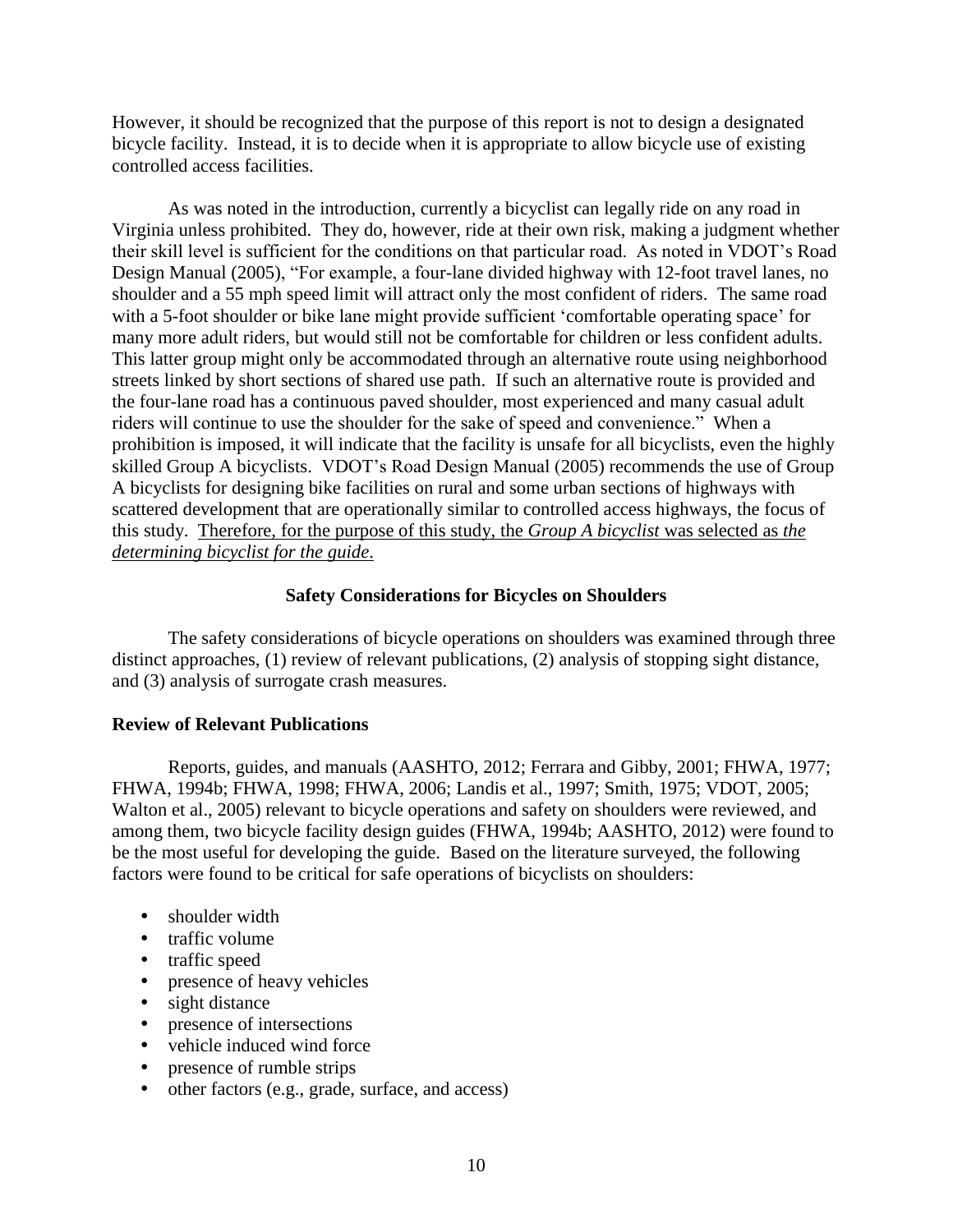However, it should be recognized that the purpose of this report is not to design a designated bicycle facility. Instead, it is to decide when it is appropriate to allow bicycle use of existing controlled access facilities.

As was noted in the introduction, currently a bicyclist can legally ride on any road in Virginia unless prohibited. They do, however, ride at their own risk, making a judgment whether their skill level is sufficient for the conditions on that particular road. As noted in VDOT's Road Design Manual (2005), "For example, a four-lane divided highway with 12-foot travel lanes, no shoulder and a 55 mph speed limit will attract only the most confident of riders. The same road with a 5-foot shoulder or bike lane might provide sufficient 'comfortable operating space' for many more adult riders, but would still not be comfortable for children or less confident adults. This latter group might only be accommodated through an alternative route using neighborhood streets linked by short sections of shared use path. If such an alternative route is provided and the four-lane road has a continuous paved shoulder, most experienced and many casual adult riders will continue to use the shoulder for the sake of speed and convenience." When a prohibition is imposed, it will indicate that the facility is unsafe for all bicyclists, even the highly skilled Group A bicyclists. VDOT's Road Design Manual (2005) recommends the use of Group A bicyclists for designing bike facilities on rural and some urban sections of highways with scattered development that are operationally similar to controlled access highways, the focus of this study. Therefore, for the purpose of this study, the *Group A bicyclist* was selected as *the determining bicyclist for the guide*.

## **Safety Considerations for Bicycles on Shoulders**

The safety considerations of bicycle operations on shoulders was examined through three distinct approaches, (1) review of relevant publications, (2) analysis of stopping sight distance, and (3) analysis of surrogate crash measures.

### **Review of Relevant Publications**

Reports, guides, and manuals (AASHTO, 2012; Ferrara and Gibby, 2001; FHWA, 1977; FHWA, 1994b; FHWA, 1998; FHWA, 2006; Landis et al., 1997; Smith, 1975; VDOT, 2005; Walton et al., 2005) relevant to bicycle operations and safety on shoulders were reviewed, and among them, two bicycle facility design guides (FHWA, 1994b; AASHTO, 2012) were found to be the most useful for developing the guide. Based on the literature surveyed, the following factors were found to be critical for safe operations of bicyclists on shoulders:

- shoulder width
- traffic volume
- traffic speed
- presence of heavy vehicles
- sight distance
- presence of intersections
- vehicle induced wind force
- presence of rumble strips
- other factors (e.g., grade, surface, and access)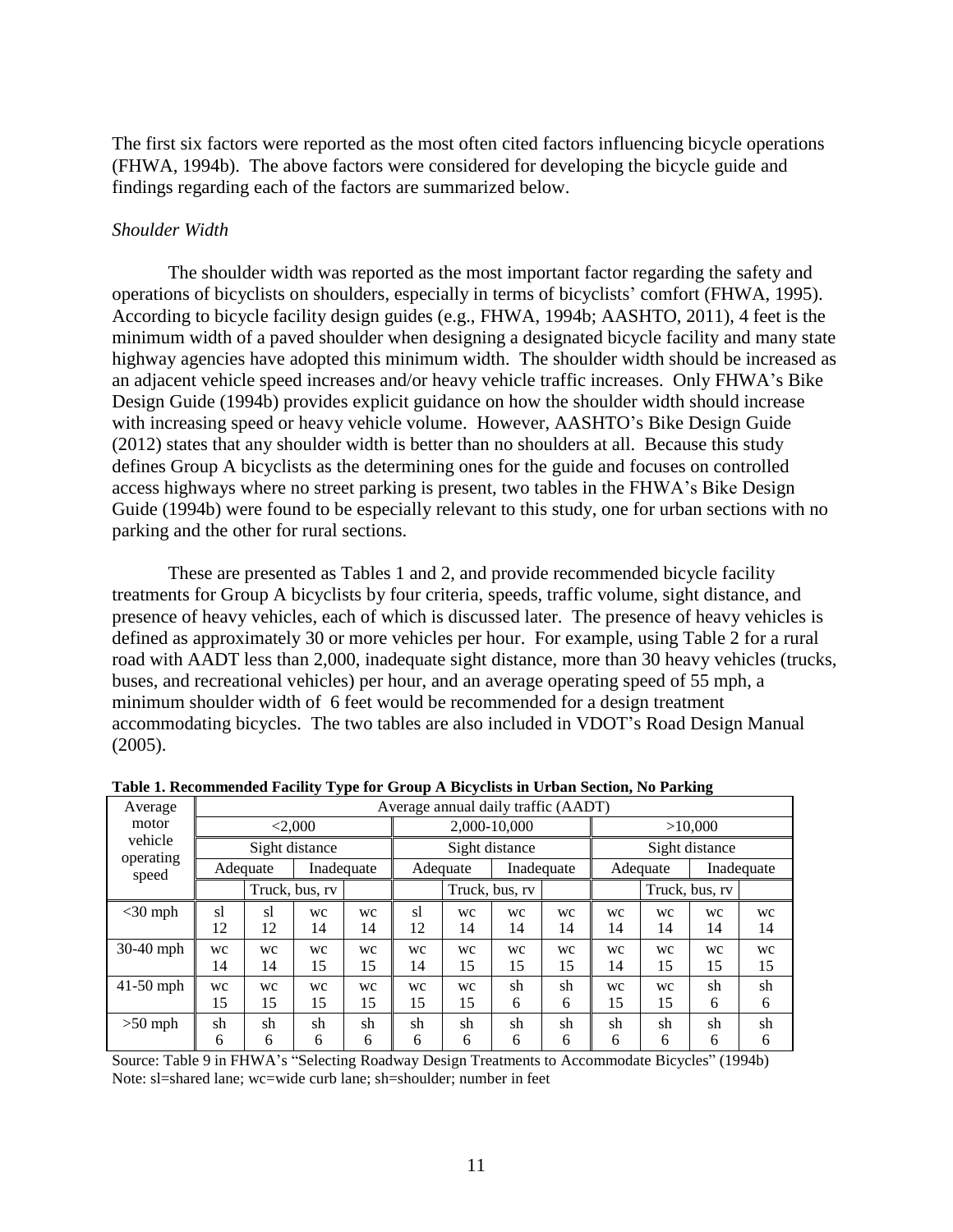The first six factors were reported as the most often cited factors influencing bicycle operations (FHWA, 1994b). The above factors were considered for developing the bicycle guide and findings regarding each of the factors are summarized below.

### *Shoulder Width*

The shoulder width was reported as the most important factor regarding the safety and operations of bicyclists on shoulders, especially in terms of bicyclists' comfort (FHWA, 1995). According to bicycle facility design guides (e.g., FHWA, 1994b; AASHTO, 2011), 4 feet is the minimum width of a paved shoulder when designing a designated bicycle facility and many state highway agencies have adopted this minimum width. The shoulder width should be increased as an adjacent vehicle speed increases and/or heavy vehicle traffic increases. Only FHWA's Bike Design Guide (1994b) provides explicit guidance on how the shoulder width should increase with increasing speed or heavy vehicle volume. However, AASHTO's Bike Design Guide (2012) states that any shoulder width is better than no shoulders at all. Because this study defines Group A bicyclists as the determining ones for the guide and focuses on controlled access highways where no street parking is present, two tables in the FHWA's Bike Design Guide (1994b) were found to be especially relevant to this study, one for urban sections with no parking and the other for rural sections.

These are presented as Tables 1 and 2, and provide recommended bicycle facility treatments for Group A bicyclists by four criteria, speeds, traffic volume, sight distance, and presence of heavy vehicles, each of which is discussed later. The presence of heavy vehicles is defined as approximately 30 or more vehicles per hour. For example, using Table 2 for a rural road with AADT less than 2,000, inadequate sight distance, more than 30 heavy vehicles (trucks, buses, and recreational vehicles) per hour, and an average operating speed of 55 mph, a minimum shoulder width of 6 feet would be recommended for a design treatment accommodating bicycles. The two tables are also included in VDOT's Road Design Manual (2005).

| Average            |          |                        |                |          |          |                        | Average annual daily traffic (AADT) |          |                        |                |          |          |  |
|--------------------|----------|------------------------|----------------|----------|----------|------------------------|-------------------------------------|----------|------------------------|----------------|----------|----------|--|
| motor              |          |                        | < 2,000        |          |          |                        | 2,000-10,000                        |          |                        | >10,000        |          |          |  |
| vehicle            |          |                        | Sight distance |          |          |                        | Sight distance                      |          |                        | Sight distance |          |          |  |
| operating<br>speed |          | Inadequate<br>Adequate |                |          |          | Inadequate<br>Adequate |                                     |          | Inadequate<br>Adequate |                |          |          |  |
|                    |          |                        | Truck, bus, rv |          |          |                        | Truck, bus, rv                      |          |                        | Truck, bus, rv |          |          |  |
| $<$ 30 mph         | sl<br>12 | <sub>s</sub><br>12     | wc<br>14       | wc<br>14 | s1<br>12 | wc<br>14               | wc<br>14                            | wc<br>14 | wc<br>14               | wc<br>14       | wc<br>14 | wc<br>14 |  |
| $30-40$ mph        | wc<br>14 | wc<br>14               | wc<br>15       | wc<br>15 | wc<br>14 | WC<br>15               | wc<br>15                            | wc<br>15 | wc<br>14               | wc<br>15       | WC<br>15 | wc<br>15 |  |
| $41-50$ mph        | wc<br>15 | wc<br>15               | wc<br>15       | wc<br>15 | wc<br>15 | wc<br>15               | sh<br>6                             | sh<br>6  | wc<br>15               | WC<br>15       | sh<br>6  | sh<br>6  |  |
| $>50$ mph          | sh<br>6  | sh<br>6                | sh<br>6        | sh<br>6  | sh<br>6  | sh<br>6                | sh<br>6                             | sh<br>6  | sh<br>6                | sh<br>6        | sh<br>6  | sh<br>6  |  |

| Table 1. Recommended Facility Type for Group A Bicyclists in Urban Section, No Parking |  |  |  |
|----------------------------------------------------------------------------------------|--|--|--|
|                                                                                        |  |  |  |

Source: Table 9 in FHWA's "Selecting Roadway Design Treatments to Accommodate Bicycles" (1994b) Note: sl=shared lane; wc=wide curb lane; sh=shoulder; number in feet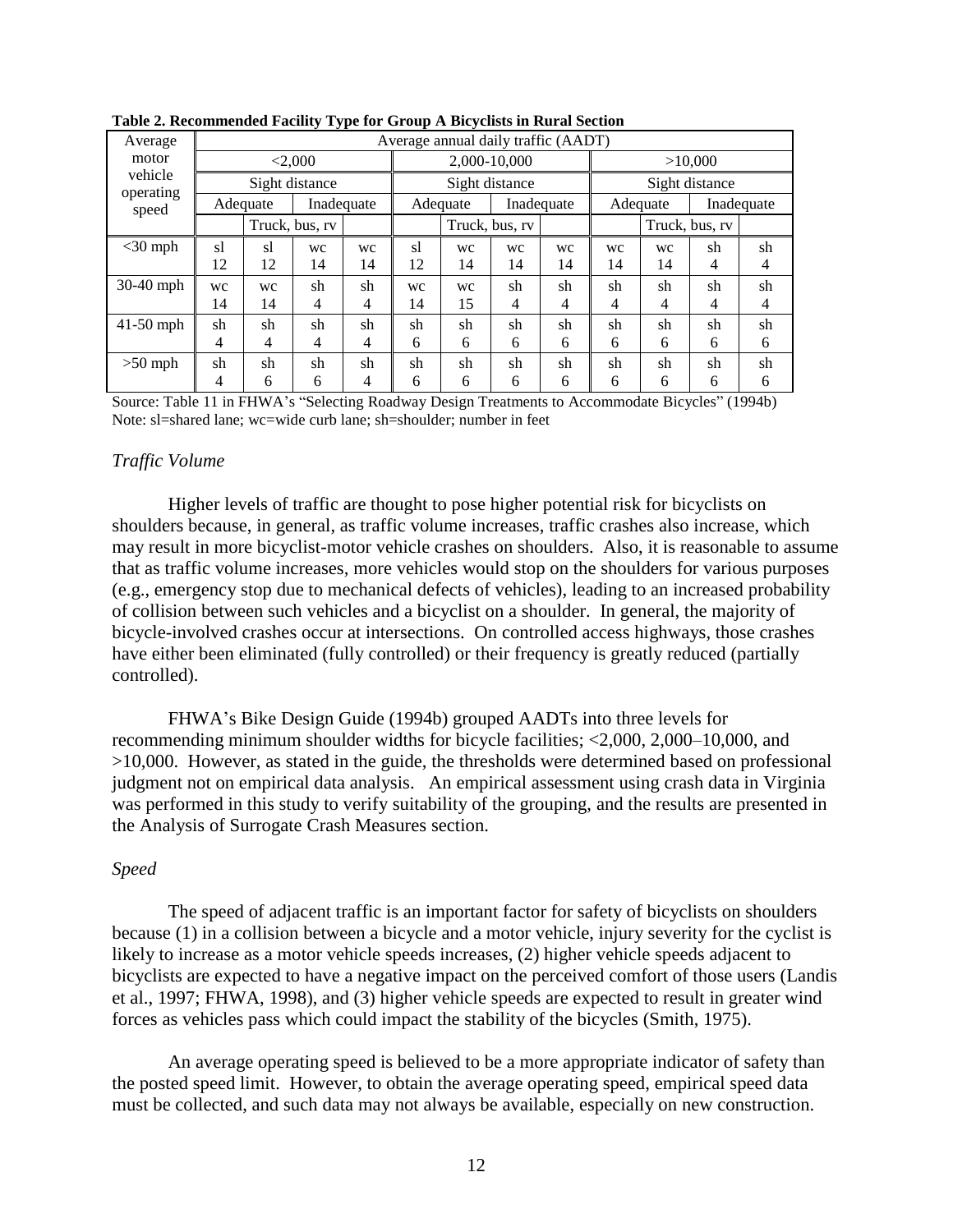| Average              |    |                        |                |    |                        | Average annual daily traffic (AADT) |                |    |          |                |            |    |  |
|----------------------|----|------------------------|----------------|----|------------------------|-------------------------------------|----------------|----|----------|----------------|------------|----|--|
| motor                |    |                        | < 2,000        |    |                        |                                     | 2,000-10,000   |    | >10,000  |                |            |    |  |
| vehicle<br>operating |    |                        | Sight distance |    |                        | Sight distance                      |                |    |          | Sight distance |            |    |  |
| speed                |    | Inadequate<br>Adequate |                |    | Inadequate<br>Adequate |                                     |                |    | Adequate |                | Inadequate |    |  |
|                      |    |                        | Truck, bus, rv |    |                        |                                     | Truck, bus, rv |    |          | Truck, bus, rv |            |    |  |
| $<$ 30 mph           | sl | <sub>s</sub>           | wc             | WC | s1                     | WC                                  | WC             | wc | wc       | wc             | sh         | sh |  |
|                      | 12 | 12                     | 14             | 14 | 12                     | 14                                  | 14             | 14 | 14       | 14             | 4          | 4  |  |
| 30-40 mph            | wc | wc                     | sh             | sh | WC                     | wc                                  | sh             | sh | sh       | sh             | sh         | sh |  |
|                      | 14 | 14                     | 4              | 4  | 14                     | 15                                  | 4              | 4  | 4        | 4              | 4          | 4  |  |
| $41-50$ mph          | sh | sh                     | sh             | sh | sh                     | sh                                  | sh             | sh | sh       | sh             | sh         | sh |  |
|                      | 4  | 4                      | 4              | 4  | 6                      | 6                                   | 6              | 6  | 6        | 6              | 6          | 6  |  |
| $>50$ mph            | sh | sh                     | sh             | sh | sh                     | sh                                  | sh             | sh | sh       | sh             | sh         | sh |  |
|                      | 4  | 6                      | 6              | 4  | 6                      | 6                                   | 6              | 6  | 6        | 6              | 6          | 6  |  |



Source: Table 11 in FHWA's "Selecting Roadway Design Treatments to Accommodate Bicycles" (1994b) Note: sl=shared lane; wc=wide curb lane; sh=shoulder; number in feet

#### *Traffic Volume*

Higher levels of traffic are thought to pose higher potential risk for bicyclists on shoulders because, in general, as traffic volume increases, traffic crashes also increase, which may result in more bicyclist-motor vehicle crashes on shoulders. Also, it is reasonable to assume that as traffic volume increases, more vehicles would stop on the shoulders for various purposes (e.g., emergency stop due to mechanical defects of vehicles), leading to an increased probability of collision between such vehicles and a bicyclist on a shoulder. In general, the majority of bicycle-involved crashes occur at intersections. On controlled access highways, those crashes have either been eliminated (fully controlled) or their frequency is greatly reduced (partially controlled).

FHWA's Bike Design Guide (1994b) grouped AADTs into three levels for recommending minimum shoulder widths for bicycle facilities; <2,000, 2,000–10,000, and >10,000. However, as stated in the guide, the thresholds were determined based on professional judgment not on empirical data analysis. An empirical assessment using crash data in Virginia was performed in this study to verify suitability of the grouping, and the results are presented in the Analysis of Surrogate Crash Measures section.

#### *Speed*

The speed of adjacent traffic is an important factor for safety of bicyclists on shoulders because (1) in a collision between a bicycle and a motor vehicle, injury severity for the cyclist is likely to increase as a motor vehicle speeds increases, (2) higher vehicle speeds adjacent to bicyclists are expected to have a negative impact on the perceived comfort of those users (Landis et al., 1997; FHWA, 1998), and (3) higher vehicle speeds are expected to result in greater wind forces as vehicles pass which could impact the stability of the bicycles (Smith, 1975).

An average operating speed is believed to be a more appropriate indicator of safety than the posted speed limit. However, to obtain the average operating speed, empirical speed data must be collected, and such data may not always be available, especially on new construction.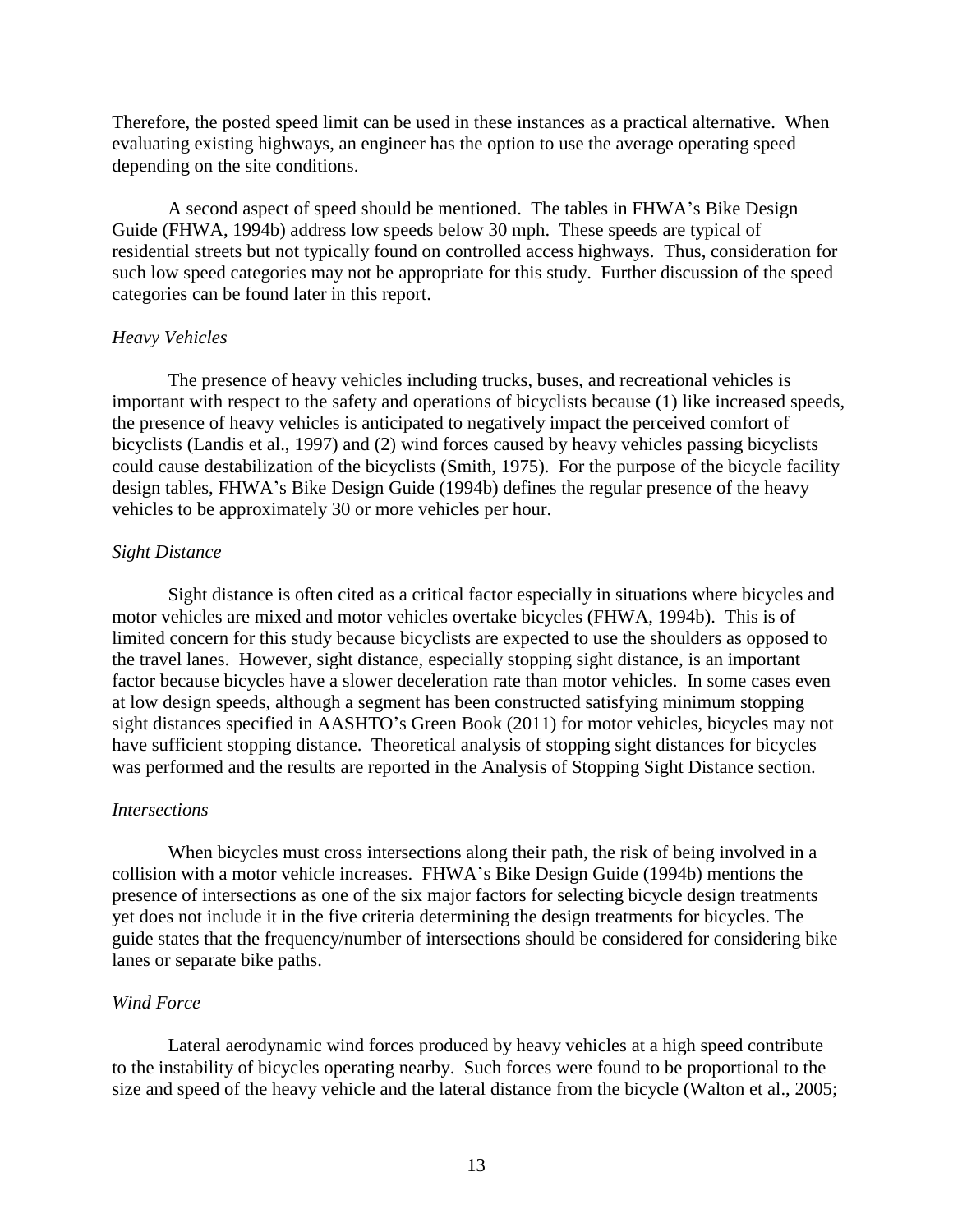Therefore, the posted speed limit can be used in these instances as a practical alternative. When evaluating existing highways, an engineer has the option to use the average operating speed depending on the site conditions.

A second aspect of speed should be mentioned. The tables in FHWA's Bike Design Guide (FHWA, 1994b) address low speeds below 30 mph. These speeds are typical of residential streets but not typically found on controlled access highways. Thus, consideration for such low speed categories may not be appropriate for this study. Further discussion of the speed categories can be found later in this report.

#### *Heavy Vehicles*

The presence of heavy vehicles including trucks, buses, and recreational vehicles is important with respect to the safety and operations of bicyclists because (1) like increased speeds, the presence of heavy vehicles is anticipated to negatively impact the perceived comfort of bicyclists (Landis et al., 1997) and (2) wind forces caused by heavy vehicles passing bicyclists could cause destabilization of the bicyclists (Smith, 1975). For the purpose of the bicycle facility design tables, FHWA's Bike Design Guide (1994b) defines the regular presence of the heavy vehicles to be approximately 30 or more vehicles per hour.

#### *Sight Distance*

Sight distance is often cited as a critical factor especially in situations where bicycles and motor vehicles are mixed and motor vehicles overtake bicycles (FHWA, 1994b). This is of limited concern for this study because bicyclists are expected to use the shoulders as opposed to the travel lanes. However, sight distance, especially stopping sight distance, is an important factor because bicycles have a slower deceleration rate than motor vehicles. In some cases even at low design speeds, although a segment has been constructed satisfying minimum stopping sight distances specified in AASHTO's Green Book (2011) for motor vehicles, bicycles may not have sufficient stopping distance. Theoretical analysis of stopping sight distances for bicycles was performed and the results are reported in the Analysis of Stopping Sight Distance section.

#### *Intersections*

When bicycles must cross intersections along their path, the risk of being involved in a collision with a motor vehicle increases. FHWA's Bike Design Guide (1994b) mentions the presence of intersections as one of the six major factors for selecting bicycle design treatments yet does not include it in the five criteria determining the design treatments for bicycles. The guide states that the frequency/number of intersections should be considered for considering bike lanes or separate bike paths.

#### *Wind Force*

Lateral aerodynamic wind forces produced by heavy vehicles at a high speed contribute to the instability of bicycles operating nearby. Such forces were found to be proportional to the size and speed of the heavy vehicle and the lateral distance from the bicycle (Walton et al., 2005;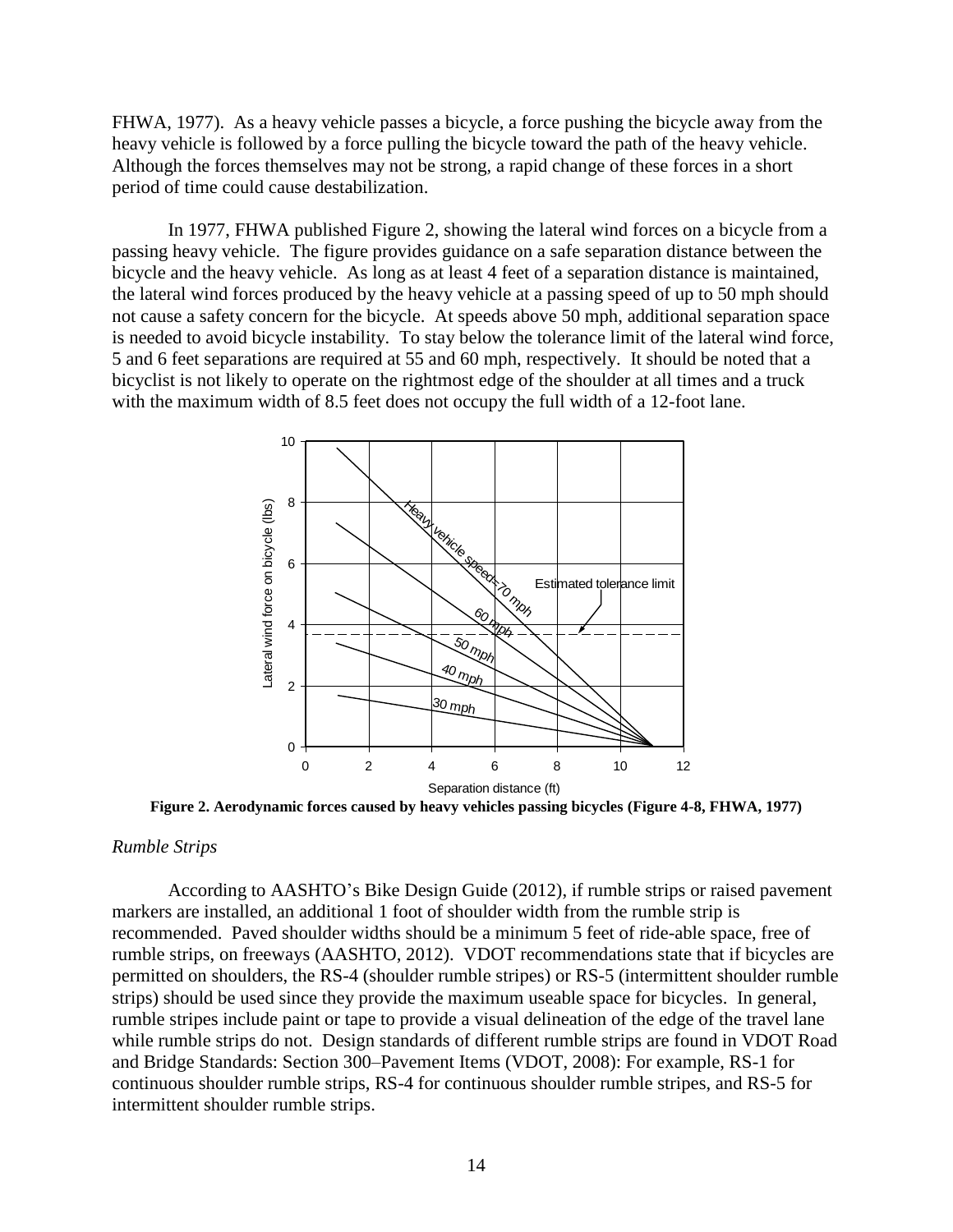FHWA, 1977). As a heavy vehicle passes a bicycle, a force pushing the bicycle away from the heavy vehicle is followed by a force pulling the bicycle toward the path of the heavy vehicle. Although the forces themselves may not be strong, a rapid change of these forces in a short period of time could cause destabilization.

In 1977, FHWA published Figure 2, showing the lateral wind forces on a bicycle from a passing heavy vehicle. The figure provides guidance on a safe separation distance between the bicycle and the heavy vehicle. As long as at least 4 feet of a separation distance is maintained, the lateral wind forces produced by the heavy vehicle at a passing speed of up to 50 mph should not cause a safety concern for the bicycle. At speeds above 50 mph, additional separation space is needed to avoid bicycle instability. To stay below the tolerance limit of the lateral wind force, 5 and 6 feet separations are required at 55 and 60 mph, respectively. It should be noted that a bicyclist is not likely to operate on the rightmost edge of the shoulder at all times and a truck with the maximum width of 8.5 feet does not occupy the full width of a 12-foot lane.



**Figure 2. Aerodynamic forces caused by heavy vehicles passing bicycles (Figure 4-8, FHWA, 1977)**

#### *Rumble Strips*

According to AASHTO's Bike Design Guide (2012), if rumble strips or raised pavement markers are installed, an additional 1 foot of shoulder width from the rumble strip is recommended. Paved shoulder widths should be a minimum 5 feet of ride-able space, free of rumble strips, on freeways (AASHTO, 2012). VDOT recommendations state that if bicycles are permitted on shoulders, the RS-4 (shoulder rumble stripes) or RS-5 (intermittent shoulder rumble strips) should be used since they provide the maximum useable space for bicycles. In general, rumble stripes include paint or tape to provide a visual delineation of the edge of the travel lane while rumble strips do not. Design standards of different rumble strips are found in VDOT Road and Bridge Standards: Section 300–Pavement Items (VDOT, 2008): For example, RS-1 for continuous shoulder rumble strips, RS-4 for continuous shoulder rumble stripes, and RS-5 for intermittent shoulder rumble strips.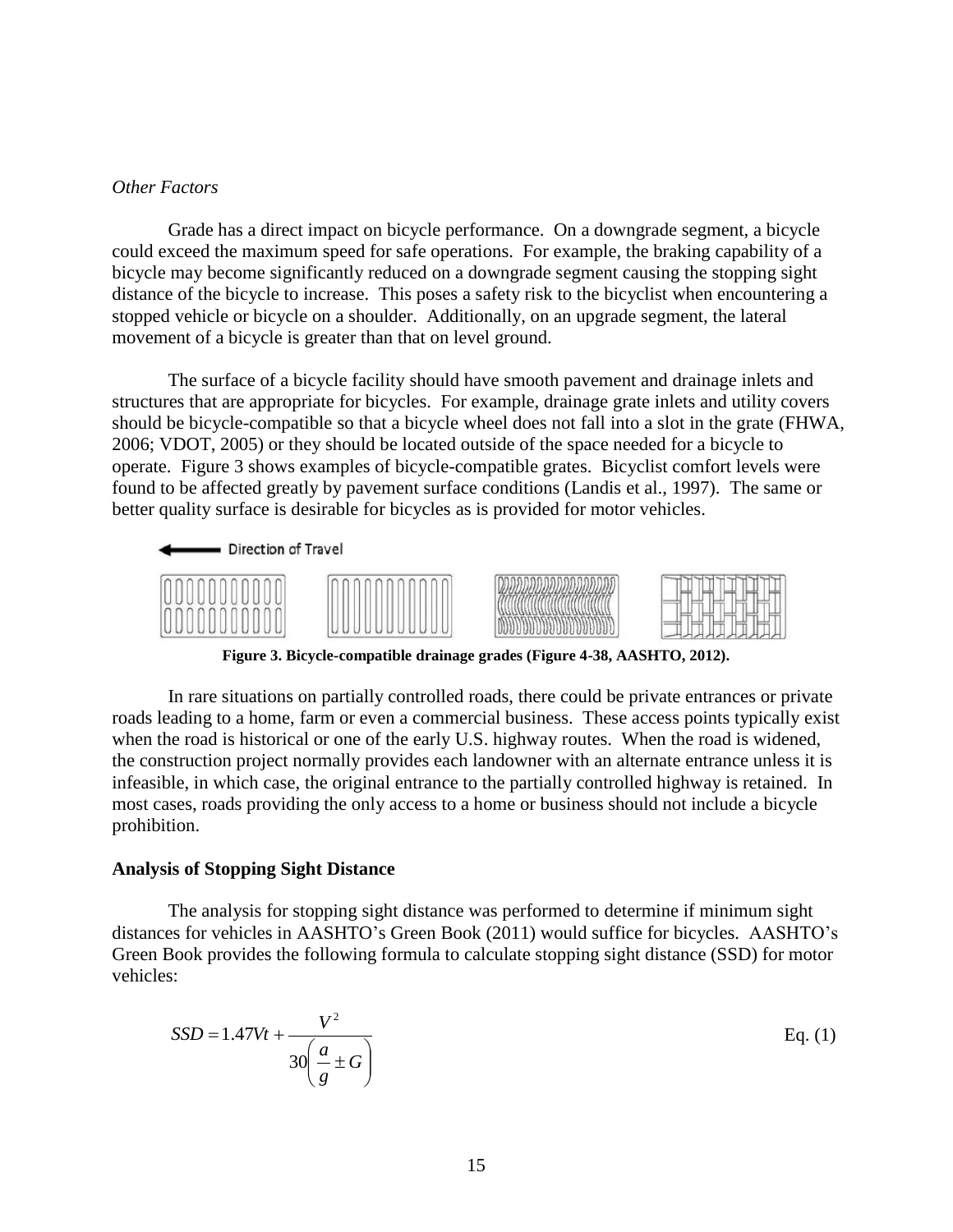#### *Other Factors*

Grade has a direct impact on bicycle performance. On a downgrade segment, a bicycle could exceed the maximum speed for safe operations. For example, the braking capability of a bicycle may become significantly reduced on a downgrade segment causing the stopping sight distance of the bicycle to increase. This poses a safety risk to the bicyclist when encountering a stopped vehicle or bicycle on a shoulder. Additionally, on an upgrade segment, the lateral movement of a bicycle is greater than that on level ground.

The surface of a bicycle facility should have smooth pavement and drainage inlets and structures that are appropriate for bicycles. For example, drainage grate inlets and utility covers should be bicycle-compatible so that a bicycle wheel does not fall into a slot in the grate (FHWA, 2006; VDOT, 2005) or they should be located outside of the space needed for a bicycle to operate. Figure 3 shows examples of bicycle-compatible grates. Bicyclist comfort levels were found to be affected greatly by pavement surface conditions (Landis et al., 1997). The same or better quality surface is desirable for bicycles as is provided for motor vehicles.



**Figure 3. Bicycle-compatible drainage grades (Figure 4-38, AASHTO, 2012).** 

In rare situations on partially controlled roads, there could be private entrances or private roads leading to a home, farm or even a commercial business. These access points typically exist when the road is historical or one of the early U.S. highway routes. When the road is widened, the construction project normally provides each landowner with an alternate entrance unless it is infeasible, in which case, the original entrance to the partially controlled highway is retained. In most cases, roads providing the only access to a home or business should not include a bicycle prohibition.

#### **Analysis of Stopping Sight Distance**

The analysis for stopping sight distance was performed to determine if minimum sight distances for vehicles in AASHTO's Green Book (2011) would suffice for bicycles. AASHTO's Green Book provides the following formula to calculate stopping sight distance (SSD) for motor vehicles:

$$
SSD = 1.47Vt + \frac{V^2}{30\left(\frac{a}{g} \pm G\right)}
$$
 Eq. (1)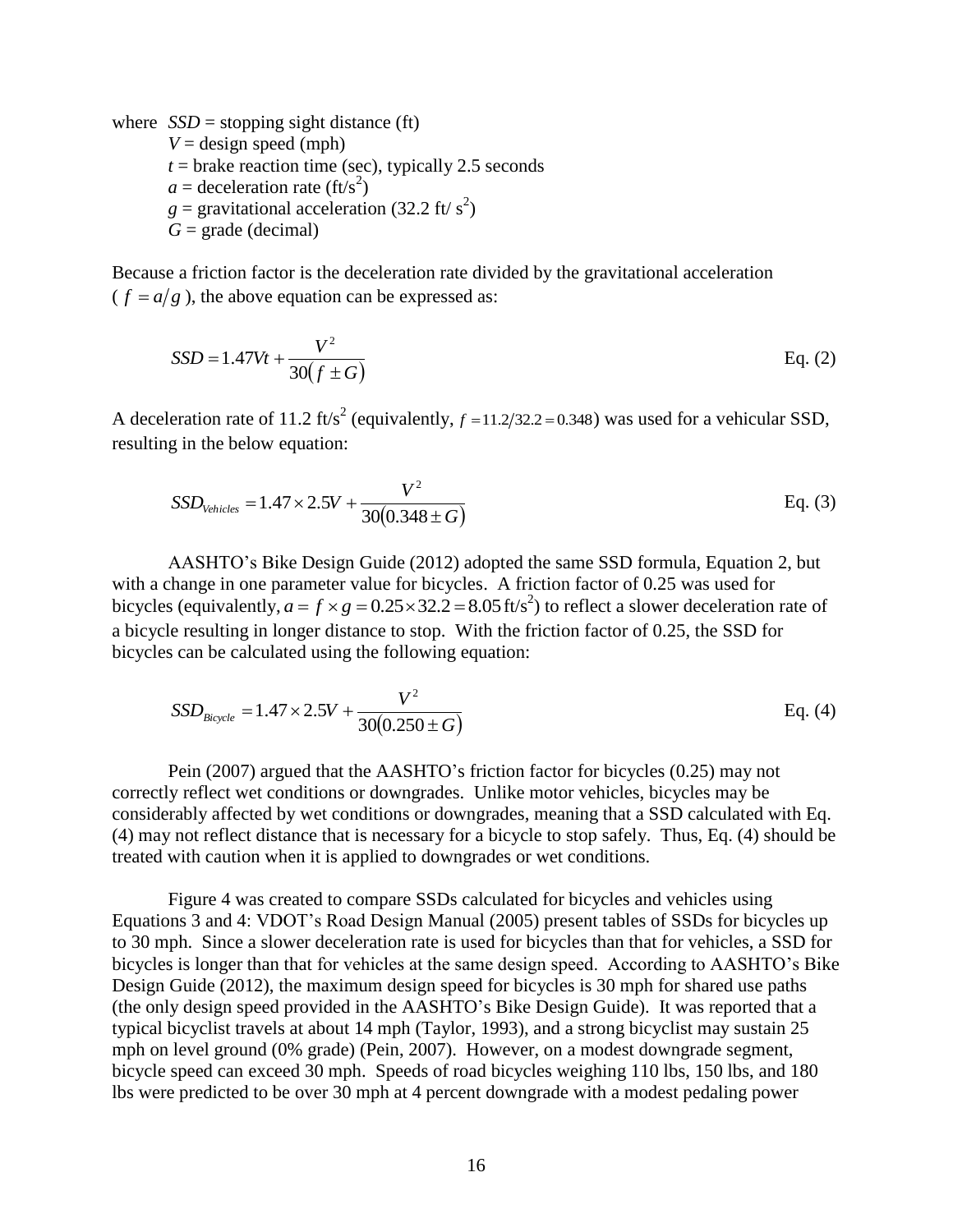where  $SSD =$  stopping sight distance (ft)  $V =$  design speed (mph)  $t =$  brake reaction time (sec), typically 2.5 seconds  $a =$  deceleration rate (ft/s<sup>2</sup>)  $g =$  gravitational acceleration (32.2 ft/ s<sup>2</sup>)  $G = \text{grade}$  (decimal)

Because a friction factor is the deceleration rate divided by the gravitational acceleration  $(f = a/g)$ , the above equation can be expressed as:

$$
SSD = 1.47Vt + \frac{V^2}{30(f \pm G)}
$$
 Eq. (2)

A deceleration rate of 11.2 ft/s<sup>2</sup> (equivalently,  $f = 11.2/32.2 = 0.348$ ) was used for a vehicular SSD, resulting in the below equation:

$$
SSD_{\text{Vehicles}} = 1.47 \times 2.5V + \frac{V^2}{30(0.348 \pm G)}
$$
 Eq. (3)

AASHTO's Bike Design Guide (2012) adopted the same SSD formula, Equation 2, but with a change in one parameter value for bicycles. A friction factor of 0.25 was used for bicycles (equivalently,  $a = f \times g = 0.25 \times 32.2 = 8.05 \text{ ft/s}^2$ ) to reflect a slower deceleration rate of a bicycle resulting in longer distance to stop. With the friction factor of 0.25, the SSD for bicycles can be calculated using the following equation:

$$
SSD_{Bicycle} = 1.47 \times 2.5V + \frac{V^2}{30(0.250 \pm G)}
$$
 Eq. (4)

Pein (2007) argued that the AASHTO's friction factor for bicycles (0.25) may not correctly reflect wet conditions or downgrades. Unlike motor vehicles, bicycles may be considerably affected by wet conditions or downgrades, meaning that a SSD calculated with Eq. (4) may not reflect distance that is necessary for a bicycle to stop safely. Thus, Eq. (4) should be treated with caution when it is applied to downgrades or wet conditions.

Figure 4 was created to compare SSDs calculated for bicycles and vehicles using Equations 3 and 4: VDOT's Road Design Manual (2005) present tables of SSDs for bicycles up to 30 mph. Since a slower deceleration rate is used for bicycles than that for vehicles, a SSD for bicycles is longer than that for vehicles at the same design speed. According to AASHTO's Bike Design Guide (2012), the maximum design speed for bicycles is 30 mph for shared use paths (the only design speed provided in the AASHTO's Bike Design Guide). It was reported that a typical bicyclist travels at about 14 mph (Taylor, 1993), and a strong bicyclist may sustain 25 mph on level ground (0% grade) (Pein, 2007). However, on a modest downgrade segment, bicycle speed can exceed 30 mph. Speeds of road bicycles weighing 110 lbs, 150 lbs, and 180 lbs were predicted to be over 30 mph at 4 percent downgrade with a modest pedaling power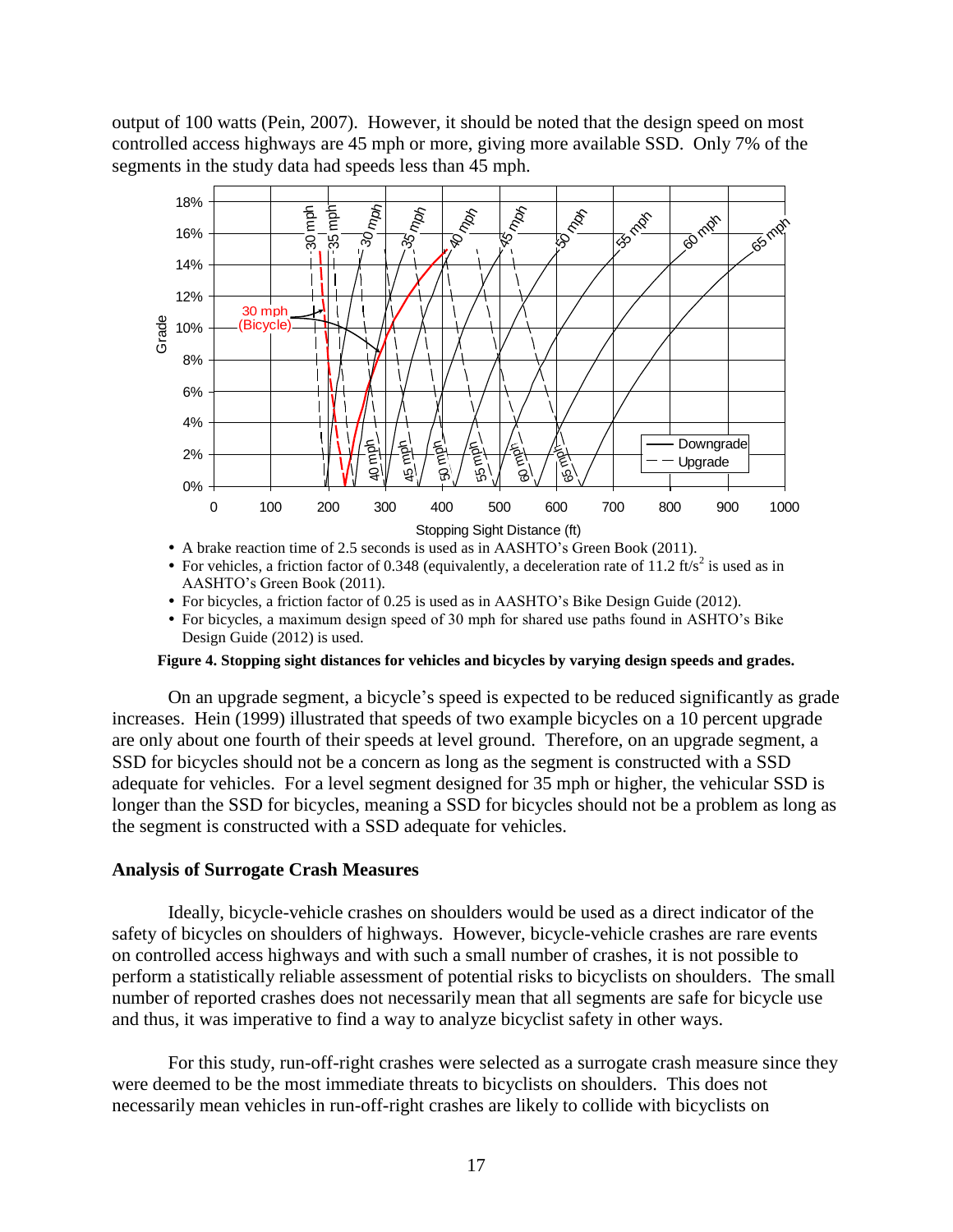output of 100 watts (Pein, 2007). However, it should be noted that the design speed on most controlled access highways are 45 mph or more, giving more available SSD. Only 7% of the segments in the study data had speeds less than 45 mph.



- A brake reaction time of 2.5 seconds is used as in AASHTO's Green Book (2011).
- For vehicles, a friction factor of 0.348 (equivalently, a deceleration rate of 11.2 ft/s<sup>2</sup> is used as in AASHTO's Green Book (2011).
- For bicycles, a friction factor of 0.25 is used as in AASHTO's Bike Design Guide (2012).
- For bicycles, a maximum design speed of 30 mph for shared use paths found in ASHTO's Bike Design Guide (2012) is used.

### **Figure 4. Stopping sight distances for vehicles and bicycles by varying design speeds and grades.**

On an upgrade segment, a bicycle's speed is expected to be reduced significantly as grade increases. Hein (1999) illustrated that speeds of two example bicycles on a 10 percent upgrade are only about one fourth of their speeds at level ground. Therefore, on an upgrade segment, a SSD for bicycles should not be a concern as long as the segment is constructed with a SSD adequate for vehicles. For a level segment designed for 35 mph or higher, the vehicular SSD is longer than the SSD for bicycles, meaning a SSD for bicycles should not be a problem as long as the segment is constructed with a SSD adequate for vehicles.

#### **Analysis of Surrogate Crash Measures**

Ideally, bicycle-vehicle crashes on shoulders would be used as a direct indicator of the safety of bicycles on shoulders of highways. However, bicycle-vehicle crashes are rare events on controlled access highways and with such a small number of crashes, it is not possible to perform a statistically reliable assessment of potential risks to bicyclists on shoulders. The small number of reported crashes does not necessarily mean that all segments are safe for bicycle use and thus, it was imperative to find a way to analyze bicyclist safety in other ways.

For this study, run-off-right crashes were selected as a surrogate crash measure since they were deemed to be the most immediate threats to bicyclists on shoulders. This does not necessarily mean vehicles in run-off-right crashes are likely to collide with bicyclists on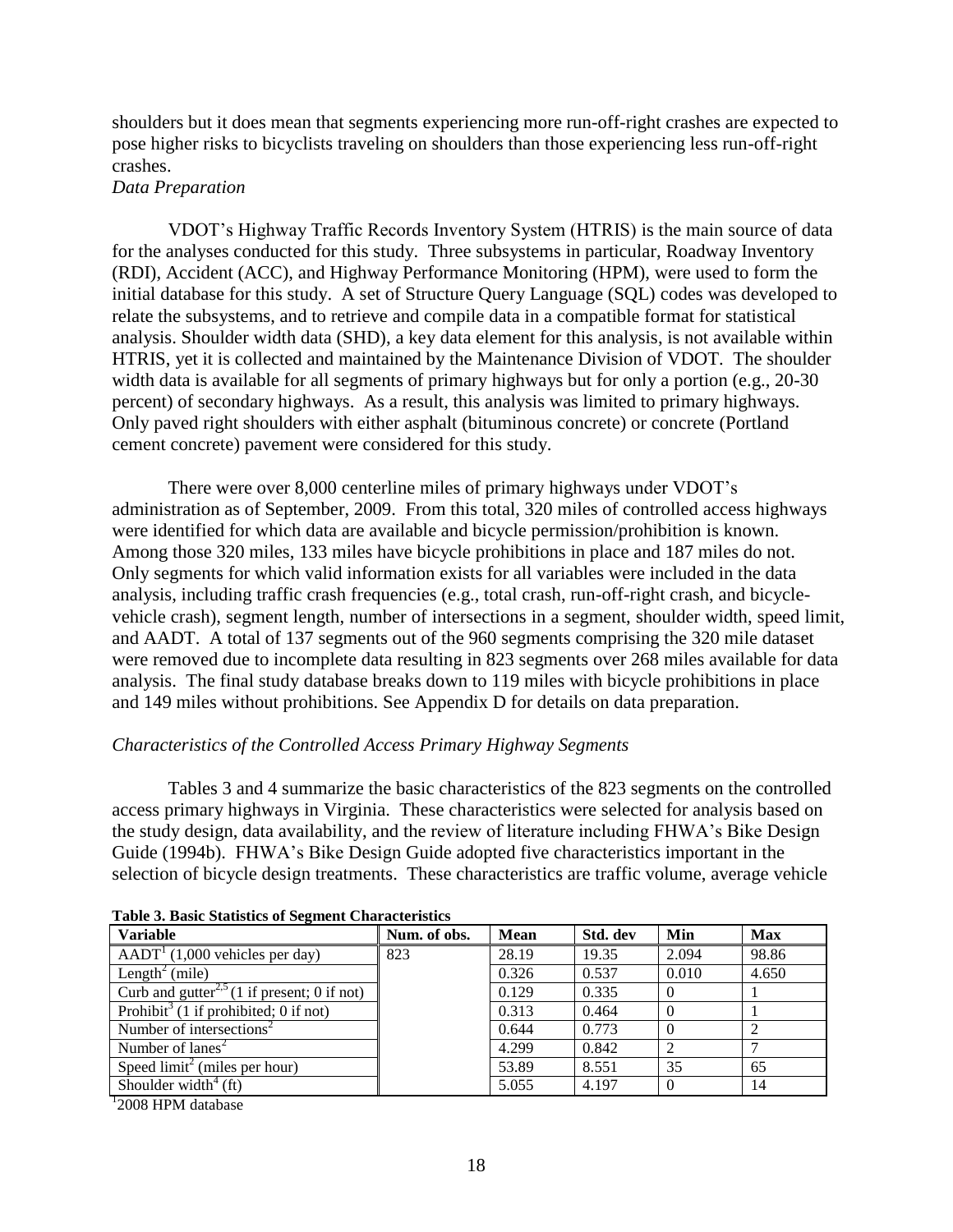shoulders but it does mean that segments experiencing more run-off-right crashes are expected to pose higher risks to bicyclists traveling on shoulders than those experiencing less run-off-right crashes.

# *Data Preparation*

VDOT's Highway Traffic Records Inventory System (HTRIS) is the main source of data for the analyses conducted for this study. Three subsystems in particular, Roadway Inventory (RDI), Accident (ACC), and Highway Performance Monitoring (HPM), were used to form the initial database for this study. A set of Structure Query Language (SQL) codes was developed to relate the subsystems, and to retrieve and compile data in a compatible format for statistical analysis. Shoulder width data (SHD), a key data element for this analysis, is not available within HTRIS, yet it is collected and maintained by the Maintenance Division of VDOT. The shoulder width data is available for all segments of primary highways but for only a portion (e.g., 20-30 percent) of secondary highways. As a result, this analysis was limited to primary highways. Only paved right shoulders with either asphalt (bituminous concrete) or concrete (Portland cement concrete) pavement were considered for this study.

There were over 8,000 centerline miles of primary highways under VDOT's administration as of September, 2009. From this total, 320 miles of controlled access highways were identified for which data are available and bicycle permission/prohibition is known. Among those 320 miles, 133 miles have bicycle prohibitions in place and 187 miles do not. Only segments for which valid information exists for all variables were included in the data analysis, including traffic crash frequencies (e.g., total crash, run-off-right crash, and bicyclevehicle crash), segment length, number of intersections in a segment, shoulder width, speed limit, and AADT. A total of 137 segments out of the 960 segments comprising the 320 mile dataset were removed due to incomplete data resulting in 823 segments over 268 miles available for data analysis. The final study database breaks down to 119 miles with bicycle prohibitions in place and 149 miles without prohibitions. See Appendix D for details on data preparation.

### *Characteristics of the Controlled Access Primary Highway Segments*

Tables 3 and 4 summarize the basic characteristics of the 823 segments on the controlled access primary highways in Virginia. These characteristics were selected for analysis based on the study design, data availability, and the review of literature including FHWA's Bike Design Guide (1994b). FHWA's Bike Design Guide adopted five characteristics important in the selection of bicycle design treatments. These characteristics are traffic volume, average vehicle

| <b>Variable</b>                                         | Num. of obs. | <b>Mean</b> | Std. dev | Min      | Max   |
|---------------------------------------------------------|--------------|-------------|----------|----------|-------|
| $AADTT$ (1,000 vehicles per day)                        | 823          | 28.19       | 19.35    | 2.094    | 98.86 |
| Length <sup>2</sup> (mile)                              |              | 0.326       | 0.537    | 0.010    | 4.650 |
| Curb and gutter <sup>2,5</sup> (1 if present; 0 if not) |              | 0.129       | 0.335    | $\Omega$ |       |
| Prohibit <sup>3</sup> (1 if prohibited; 0 if not)       |              | 0.313       | 0.464    | $\theta$ |       |
| Number of intersections <sup>2</sup>                    |              | 0.644       | 0.773    |          |       |
| Number of $lanes2$                                      |              | 4.299       | 0.842    |          |       |
| Speed $\text{limit}^2$ (miles per hour)                 |              | 53.89       | 8.551    | 35       | 65    |
| Shoulder width $^{4}$ (ft)                              |              | 5.055       | 4.197    | $\Omega$ | 14    |

**Table 3. Basic Statistics of Segment Characteristics**

<sup>1</sup>2008 HPM database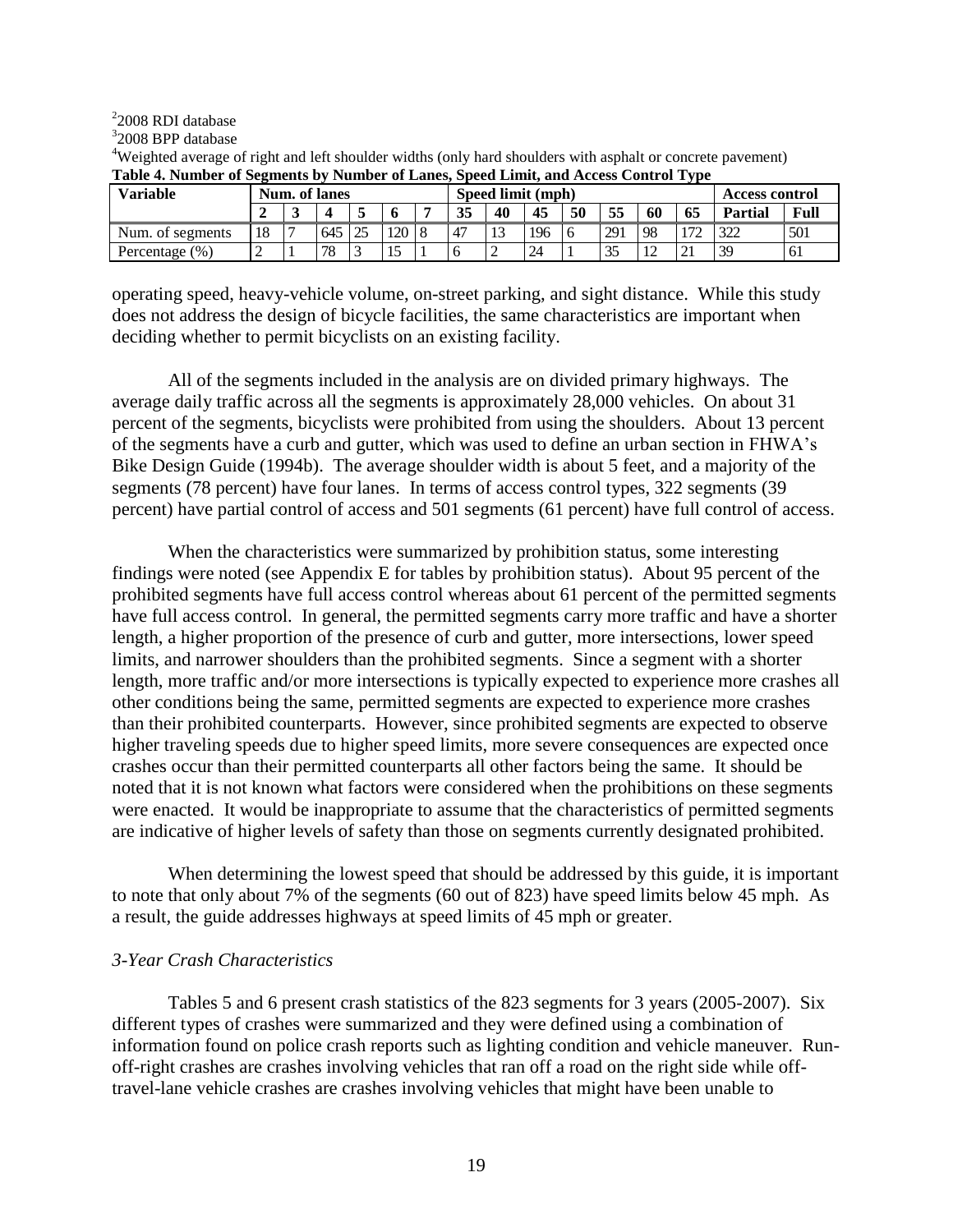2 2008 RDI database

3 2008 BPP database

| <b>Variable</b>   | Num. of lanes |  |                                        |  |         |  |  | Speed limit (mph) |     |                |      |     | Access control |    |     |
|-------------------|---------------|--|----------------------------------------|--|---------|--|--|-------------------|-----|----------------|------|-----|----------------|----|-----|
|                   |               |  | 55<br>35<br>40<br>45<br>50<br>60<br>65 |  |         |  |  |                   |     | <b>Partial</b> | Full |     |                |    |     |
| Num. of segments  | 18            |  | 645                                    |  | 120   8 |  |  |                   | 196 |                | 291  | -98 |                |    | 501 |
| Percentage $(\%)$ |               |  | 78                                     |  |         |  |  |                   | 24  |                |      |     |                | 39 | -61 |

<sup>4</sup>Weighted average of right and left shoulder widths (only hard shoulders with asphalt or concrete pavement) **Table 4. Number of Segments by Number of Lanes, Speed Limit, and Access Control Type**

operating speed, heavy-vehicle volume, on-street parking, and sight distance. While this study does not address the design of bicycle facilities, the same characteristics are important when deciding whether to permit bicyclists on an existing facility.

All of the segments included in the analysis are on divided primary highways. The average daily traffic across all the segments is approximately 28,000 vehicles. On about 31 percent of the segments, bicyclists were prohibited from using the shoulders. About 13 percent of the segments have a curb and gutter, which was used to define an urban section in FHWA's Bike Design Guide (1994b). The average shoulder width is about 5 feet, and a majority of the segments (78 percent) have four lanes. In terms of access control types, 322 segments (39 percent) have partial control of access and 501 segments (61 percent) have full control of access.

When the characteristics were summarized by prohibition status, some interesting findings were noted (see Appendix E for tables by prohibition status). About 95 percent of the prohibited segments have full access control whereas about 61 percent of the permitted segments have full access control. In general, the permitted segments carry more traffic and have a shorter length, a higher proportion of the presence of curb and gutter, more intersections, lower speed limits, and narrower shoulders than the prohibited segments. Since a segment with a shorter length, more traffic and/or more intersections is typically expected to experience more crashes all other conditions being the same, permitted segments are expected to experience more crashes than their prohibited counterparts. However, since prohibited segments are expected to observe higher traveling speeds due to higher speed limits, more severe consequences are expected once crashes occur than their permitted counterparts all other factors being the same. It should be noted that it is not known what factors were considered when the prohibitions on these segments were enacted. It would be inappropriate to assume that the characteristics of permitted segments are indicative of higher levels of safety than those on segments currently designated prohibited.

When determining the lowest speed that should be addressed by this guide, it is important to note that only about 7% of the segments (60 out of 823) have speed limits below 45 mph. As a result, the guide addresses highways at speed limits of 45 mph or greater.

### *3-Year Crash Characteristics*

Tables 5 and 6 present crash statistics of the 823 segments for 3 years (2005-2007). Six different types of crashes were summarized and they were defined using a combination of information found on police crash reports such as lighting condition and vehicle maneuver. Runoff-right crashes are crashes involving vehicles that ran off a road on the right side while offtravel-lane vehicle crashes are crashes involving vehicles that might have been unable to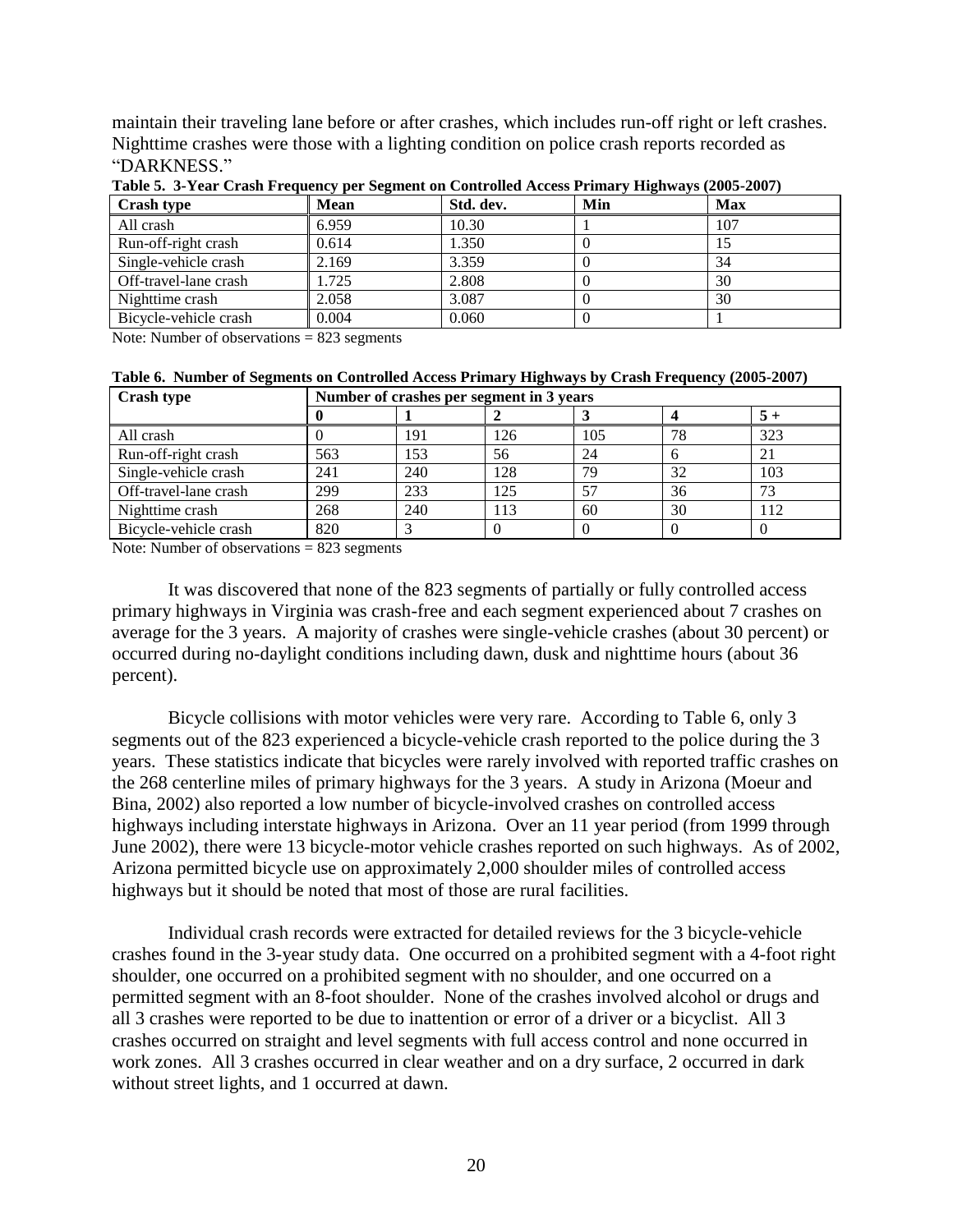maintain their traveling lane before or after crashes, which includes run-off right or left crashes. Nighttime crashes were those with a lighting condition on police crash reports recorded as "DARKNESS."

| Crash type            | <b>Mean</b> | Std. dev. | Min | <b>Max</b> |
|-----------------------|-------------|-----------|-----|------------|
| All crash             | 6.959       | 10.30     |     | 107        |
| Run-off-right crash   | 0.614       | 1.350     |     |            |
| Single-vehicle crash  | 2.169       | 3.359     |     | 34         |
| Off-travel-lane crash | .725        | 2.808     |     | 30         |
| Nighttime crash       | 2.058       | 3.087     |     | 30         |
| Bicycle-vehicle crash | 0.004       | 0.060     |     |            |

**Table 5. 3-Year Crash Frequency per Segment on Controlled Access Primary Highways (2005-2007)**

Note: Number of observations = 823 segments

| Table 6. Number of Segments on Controlled Access Primary Highways by Crash Frequency (2005-2007) |  |
|--------------------------------------------------------------------------------------------------|--|
|--------------------------------------------------------------------------------------------------|--|

| <b>Crash type</b>     |     | Number of crashes per segment in 3 years |     |     |    |      |
|-----------------------|-----|------------------------------------------|-----|-----|----|------|
|                       |     |                                          |     |     |    | $5+$ |
| All crash             |     | 191                                      | 126 | 105 | 78 | 323  |
| Run-off-right crash   | 563 | 153                                      | 56  | 24  |    |      |
| Single-vehicle crash  | 241 | 240                                      | 128 | 79  | 32 | 103  |
| Off-travel-lane crash | 299 | 233                                      | 125 |     | 36 | 73   |
| Nighttime crash       | 268 | 240                                      | 113 | 60  | 30 | 112  |
| Bicycle-vehicle crash | 820 |                                          |     |     |    |      |

Note: Number of observations = 823 segments

It was discovered that none of the 823 segments of partially or fully controlled access primary highways in Virginia was crash-free and each segment experienced about 7 crashes on average for the 3 years. A majority of crashes were single-vehicle crashes (about 30 percent) or occurred during no-daylight conditions including dawn, dusk and nighttime hours (about 36 percent).

Bicycle collisions with motor vehicles were very rare. According to Table 6, only 3 segments out of the 823 experienced a bicycle-vehicle crash reported to the police during the 3 years. These statistics indicate that bicycles were rarely involved with reported traffic crashes on the 268 centerline miles of primary highways for the 3 years. A study in Arizona (Moeur and Bina, 2002) also reported a low number of bicycle-involved crashes on controlled access highways including interstate highways in Arizona. Over an 11 year period (from 1999 through June 2002), there were 13 bicycle-motor vehicle crashes reported on such highways. As of 2002, Arizona permitted bicycle use on approximately 2,000 shoulder miles of controlled access highways but it should be noted that most of those are rural facilities.

Individual crash records were extracted for detailed reviews for the 3 bicycle-vehicle crashes found in the 3-year study data. One occurred on a prohibited segment with a 4-foot right shoulder, one occurred on a prohibited segment with no shoulder, and one occurred on a permitted segment with an 8-foot shoulder. None of the crashes involved alcohol or drugs and all 3 crashes were reported to be due to inattention or error of a driver or a bicyclist. All 3 crashes occurred on straight and level segments with full access control and none occurred in work zones. All 3 crashes occurred in clear weather and on a dry surface, 2 occurred in dark without street lights, and 1 occurred at dawn.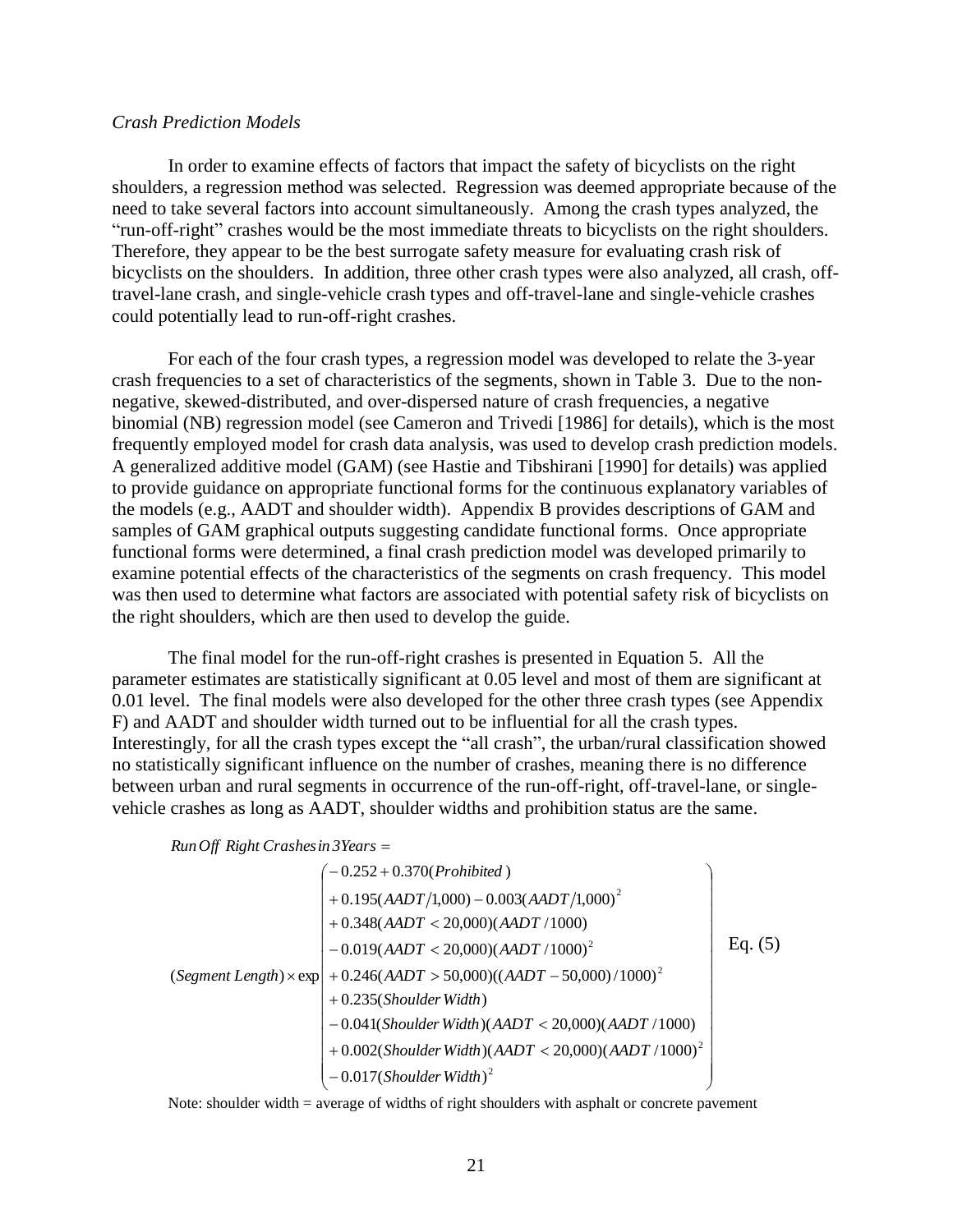#### *Crash Prediction Models*

In order to examine effects of factors that impact the safety of bicyclists on the right shoulders, a regression method was selected. Regression was deemed appropriate because of the need to take several factors into account simultaneously. Among the crash types analyzed, the "run-off-right" crashes would be the most immediate threats to bicyclists on the right shoulders. Therefore, they appear to be the best surrogate safety measure for evaluating crash risk of bicyclists on the shoulders. In addition, three other crash types were also analyzed, all crash, offtravel-lane crash, and single-vehicle crash types and off-travel-lane and single-vehicle crashes could potentially lead to run-off-right crashes.

For each of the four crash types, a regression model was developed to relate the 3-year crash frequencies to a set of characteristics of the segments, shown in Table 3. Due to the nonnegative, skewed-distributed, and over-dispersed nature of crash frequencies, a negative binomial (NB) regression model (see Cameron and Trivedi [1986] for details), which is the most frequently employed model for crash data analysis, was used to develop crash prediction models. A generalized additive model (GAM) (see Hastie and Tibshirani [1990] for details) was applied to provide guidance on appropriate functional forms for the continuous explanatory variables of the models (e.g., AADT and shoulder width). Appendix B provides descriptions of GAM and samples of GAM graphical outputs suggesting candidate functional forms. Once appropriate functional forms were determined, a final crash prediction model was developed primarily to examine potential effects of the characteristics of the segments on crash frequency. This model was then used to determine what factors are associated with potential safety risk of bicyclists on the right shoulders, which are then used to develop the guide.

The final model for the run-off-right crashes is presented in Equation 5. All the parameter estimates are statistically significant at 0.05 level and most of them are significant at 0.01 level. The final models were also developed for the other three crash types (see Appendix F) and AADT and shoulder width turned out to be influential for all the crash types. Interestingly, for all the crash types except the "all crash", the urban/rural classification showed no statistically significant influence on the number of crashes, meaning there is no difference between urban and rural segments in occurrence of the run-off-right, off-travel-lane, or singlevehicle crashes as long as AADT, shoulder widths and prohibition status are the same.

```

RunOff Right Crashesin 3Years
```

$$
(Segment Length) \times exp\n\begin{pmatrix}\n-0.252 + 0.370(Prohibited) \\
+ 0.195(AADT/1,000) - 0.003(AADT/1,000)^{2} \\
+ 0.348(AADT < 20,000)(AADT/1000) \\
- 0.019(AADT < 20,000)(AADT/1000)^{2} \\
+ 0.246(AADT > 50,000)((AADT - 50,000)/1000)^{2} \\
+ 0.235(Shoulder Width) \\
- 0.041(Shoulder Width)(AADT < 20,000)(AADT/1000) \\
+ 0.002(Shoulder Width)(AADT < 20,000)(AADT/1000)^{2} \\
- 0.017(Shoulder Width)^{2}\n\end{pmatrix}
$$

Note: shoulder width = average of widths of right shoulders with asphalt or concrete pavement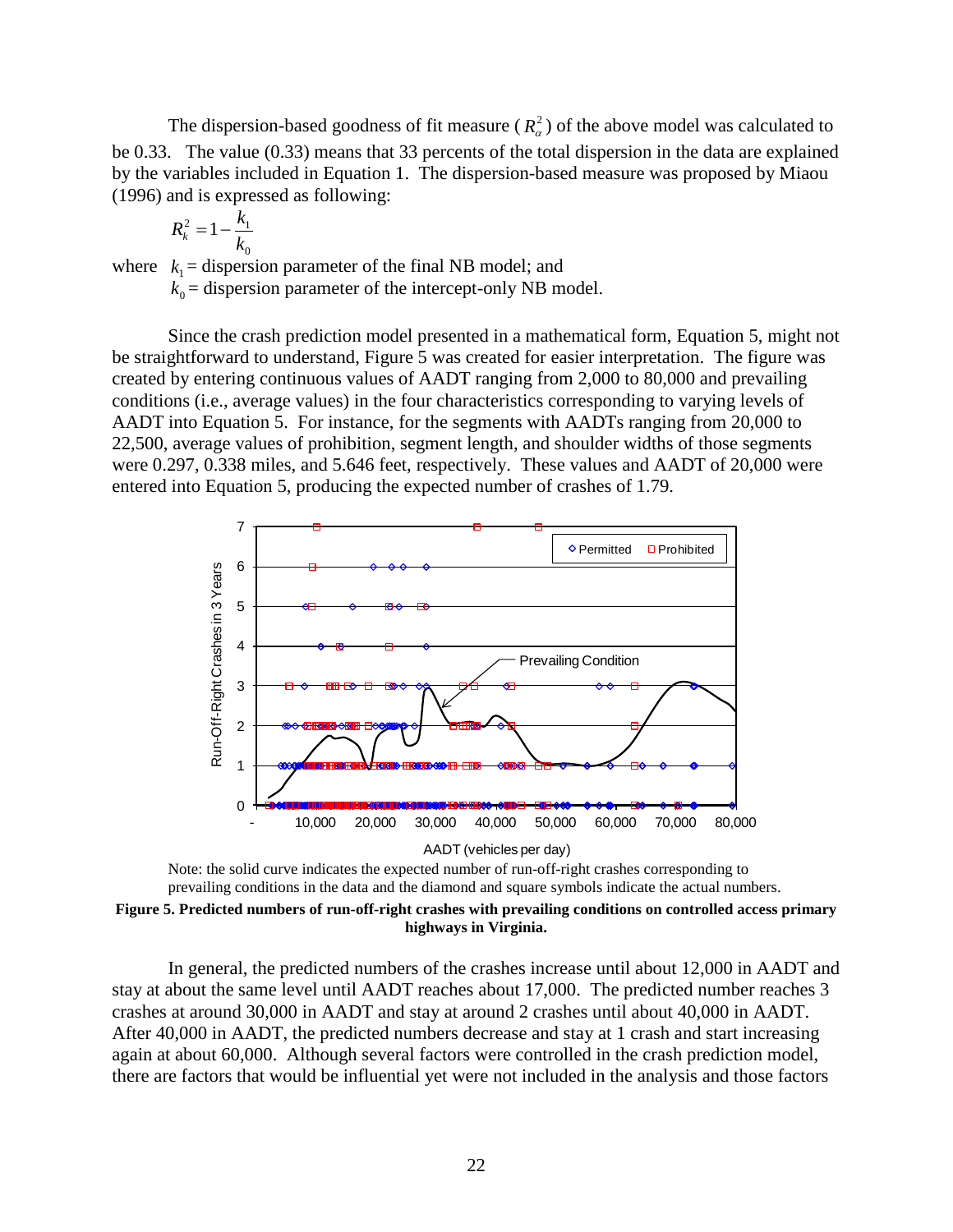The dispersion-based goodness of fit measure  $(R_{\alpha}^2)$  of the above model was calculated to be 0.33. The value (0.33) means that 33 percents of the total dispersion in the data are explained by the variables included in Equation 1. The dispersion-based measure was proposed by Miaou (1996) and is expressed as following:

$$
R_k^2 = 1 - \frac{k_1}{k_0}
$$

where  $k_1$  = dispersion parameter of the final NB model; and  $k_0$  = dispersion parameter of the intercept-only NB model.

Since the crash prediction model presented in a mathematical form, Equation 5, might not be straightforward to understand, Figure 5 was created for easier interpretation. The figure was created by entering continuous values of AADT ranging from 2,000 to 80,000 and prevailing conditions (i.e., average values) in the four characteristics corresponding to varying levels of AADT into Equation 5. For instance, for the segments with AADTs ranging from 20,000 to 22,500, average values of prohibition, segment length, and shoulder widths of those segments were 0.297, 0.338 miles, and 5.646 feet, respectively. These values and AADT of 20,000 were entered into Equation 5, producing the expected number of crashes of 1.79.



Note: the solid curve indicates the expected number of run-off-right crashes corresponding to prevailing conditions in the data and the diamond and square symbols indicate the actual numbers. **Figure 5. Predicted numbers of run-off-right crashes with prevailing conditions on controlled access primary highways in Virginia.**

In general, the predicted numbers of the crashes increase until about 12,000 in AADT and stay at about the same level until AADT reaches about 17,000. The predicted number reaches 3 crashes at around 30,000 in AADT and stay at around 2 crashes until about 40,000 in AADT. After 40,000 in AADT, the predicted numbers decrease and stay at 1 crash and start increasing again at about 60,000. Although several factors were controlled in the crash prediction model, there are factors that would be influential yet were not included in the analysis and those factors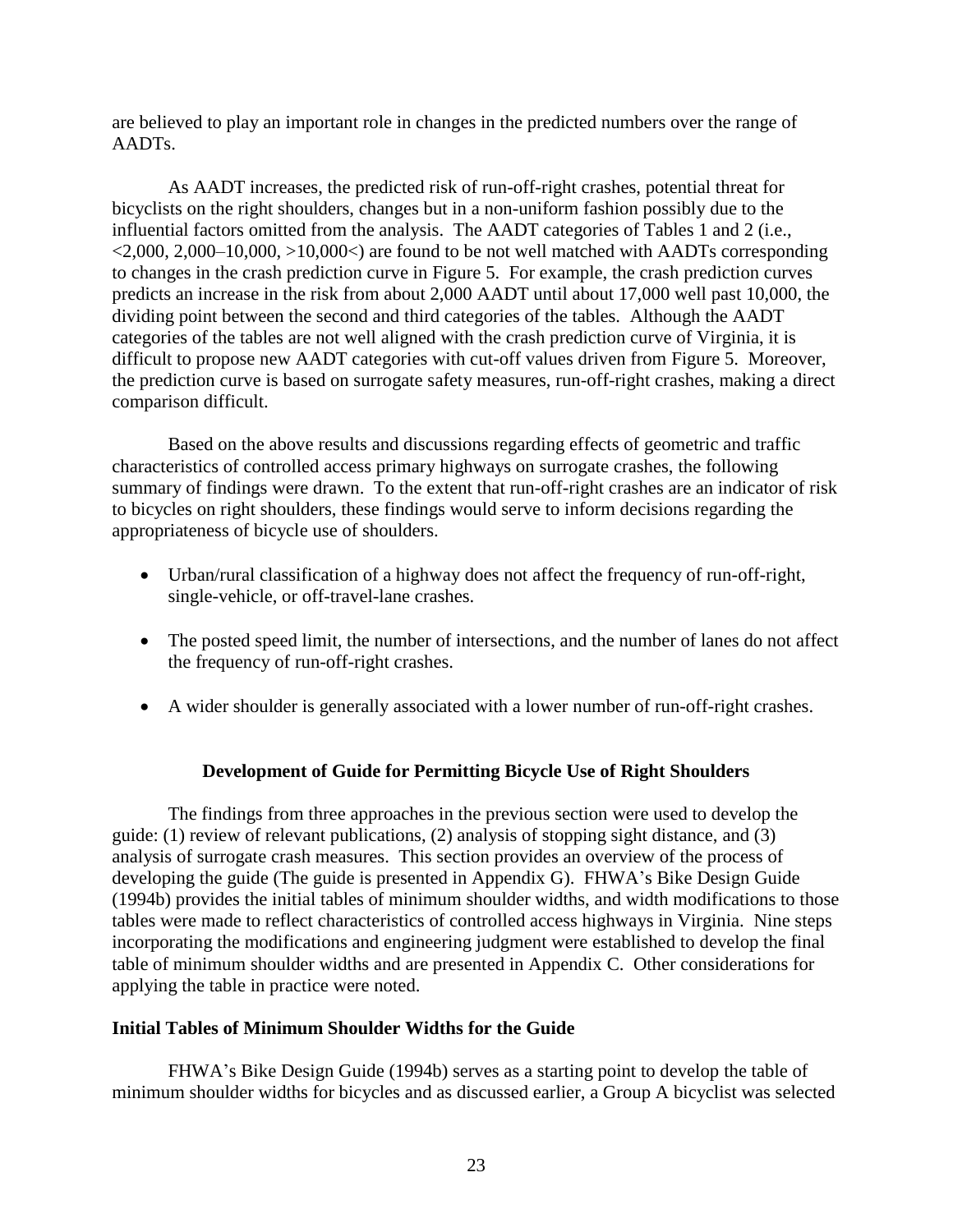are believed to play an important role in changes in the predicted numbers over the range of AADTs.

As AADT increases, the predicted risk of run-off-right crashes, potential threat for bicyclists on the right shoulders, changes but in a non-uniform fashion possibly due to the influential factors omitted from the analysis. The AADT categories of Tables 1 and 2 (i.e.,  $\langle 2,000, 2,000-10,000, \rangle$  10,000 $\langle$ ) are found to be not well matched with AADTs corresponding to changes in the crash prediction curve in Figure 5. For example, the crash prediction curves predicts an increase in the risk from about 2,000 AADT until about 17,000 well past 10,000, the dividing point between the second and third categories of the tables. Although the AADT categories of the tables are not well aligned with the crash prediction curve of Virginia, it is difficult to propose new AADT categories with cut-off values driven from Figure 5. Moreover, the prediction curve is based on surrogate safety measures, run-off-right crashes, making a direct comparison difficult.

Based on the above results and discussions regarding effects of geometric and traffic characteristics of controlled access primary highways on surrogate crashes, the following summary of findings were drawn. To the extent that run-off-right crashes are an indicator of risk to bicycles on right shoulders, these findings would serve to inform decisions regarding the appropriateness of bicycle use of shoulders.

- Urban/rural classification of a highway does not affect the frequency of run-off-right, single-vehicle, or off-travel-lane crashes.
- The posted speed limit, the number of intersections, and the number of lanes do not affect the frequency of run-off-right crashes.
- A wider shoulder is generally associated with a lower number of run-off-right crashes.

# **Development of Guide for Permitting Bicycle Use of Right Shoulders**

The findings from three approaches in the previous section were used to develop the guide: (1) review of relevant publications, (2) analysis of stopping sight distance, and (3) analysis of surrogate crash measures. This section provides an overview of the process of developing the guide (The guide is presented in Appendix G). FHWA's Bike Design Guide (1994b) provides the initial tables of minimum shoulder widths, and width modifications to those tables were made to reflect characteristics of controlled access highways in Virginia. Nine steps incorporating the modifications and engineering judgment were established to develop the final table of minimum shoulder widths and are presented in Appendix C. Other considerations for applying the table in practice were noted.

### **Initial Tables of Minimum Shoulder Widths for the Guide**

FHWA's Bike Design Guide (1994b) serves as a starting point to develop the table of minimum shoulder widths for bicycles and as discussed earlier, a Group A bicyclist was selected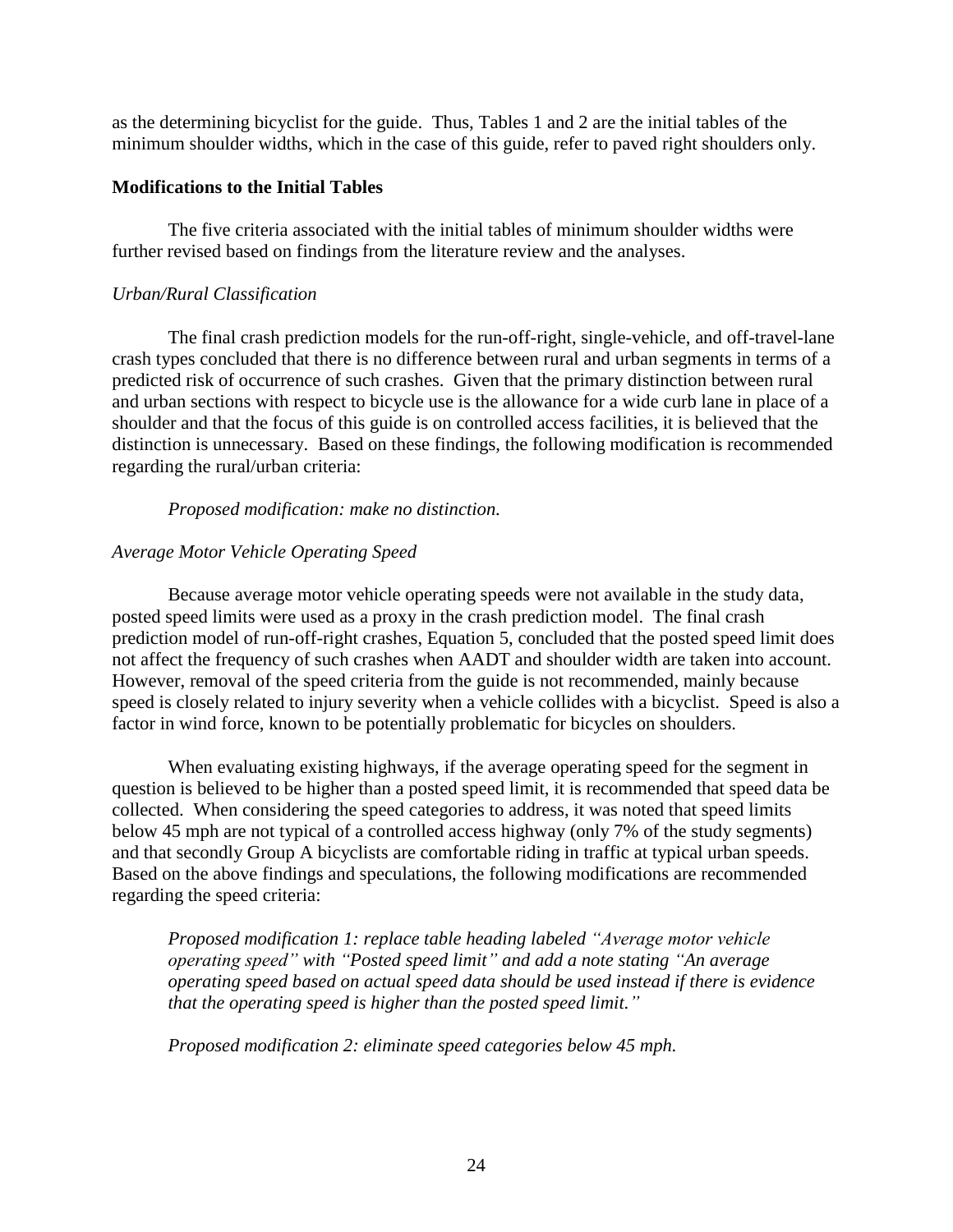as the determining bicyclist for the guide. Thus, Tables 1 and 2 are the initial tables of the minimum shoulder widths, which in the case of this guide, refer to paved right shoulders only.

## **Modifications to the Initial Tables**

The five criteria associated with the initial tables of minimum shoulder widths were further revised based on findings from the literature review and the analyses.

## *Urban/Rural Classification*

The final crash prediction models for the run-off-right, single-vehicle, and off-travel-lane crash types concluded that there is no difference between rural and urban segments in terms of a predicted risk of occurrence of such crashes. Given that the primary distinction between rural and urban sections with respect to bicycle use is the allowance for a wide curb lane in place of a shoulder and that the focus of this guide is on controlled access facilities, it is believed that the distinction is unnecessary. Based on these findings, the following modification is recommended regarding the rural/urban criteria:

## *Proposed modification: make no distinction.*

# *Average Motor Vehicle Operating Speed*

Because average motor vehicle operating speeds were not available in the study data, posted speed limits were used as a proxy in the crash prediction model. The final crash prediction model of run-off-right crashes, Equation 5, concluded that the posted speed limit does not affect the frequency of such crashes when AADT and shoulder width are taken into account. However, removal of the speed criteria from the guide is not recommended, mainly because speed is closely related to injury severity when a vehicle collides with a bicyclist. Speed is also a factor in wind force, known to be potentially problematic for bicycles on shoulders.

When evaluating existing highways, if the average operating speed for the segment in question is believed to be higher than a posted speed limit, it is recommended that speed data be collected. When considering the speed categories to address, it was noted that speed limits below 45 mph are not typical of a controlled access highway (only 7% of the study segments) and that secondly Group A bicyclists are comfortable riding in traffic at typical urban speeds. Based on the above findings and speculations, the following modifications are recommended regarding the speed criteria:

*Proposed modification 1: replace table heading labeled "Average motor vehicle operating speed" with "Posted speed limit" and add a note stating "An average operating speed based on actual speed data should be used instead if there is evidence that the operating speed is higher than the posted speed limit."*

*Proposed modification 2: eliminate speed categories below 45 mph.*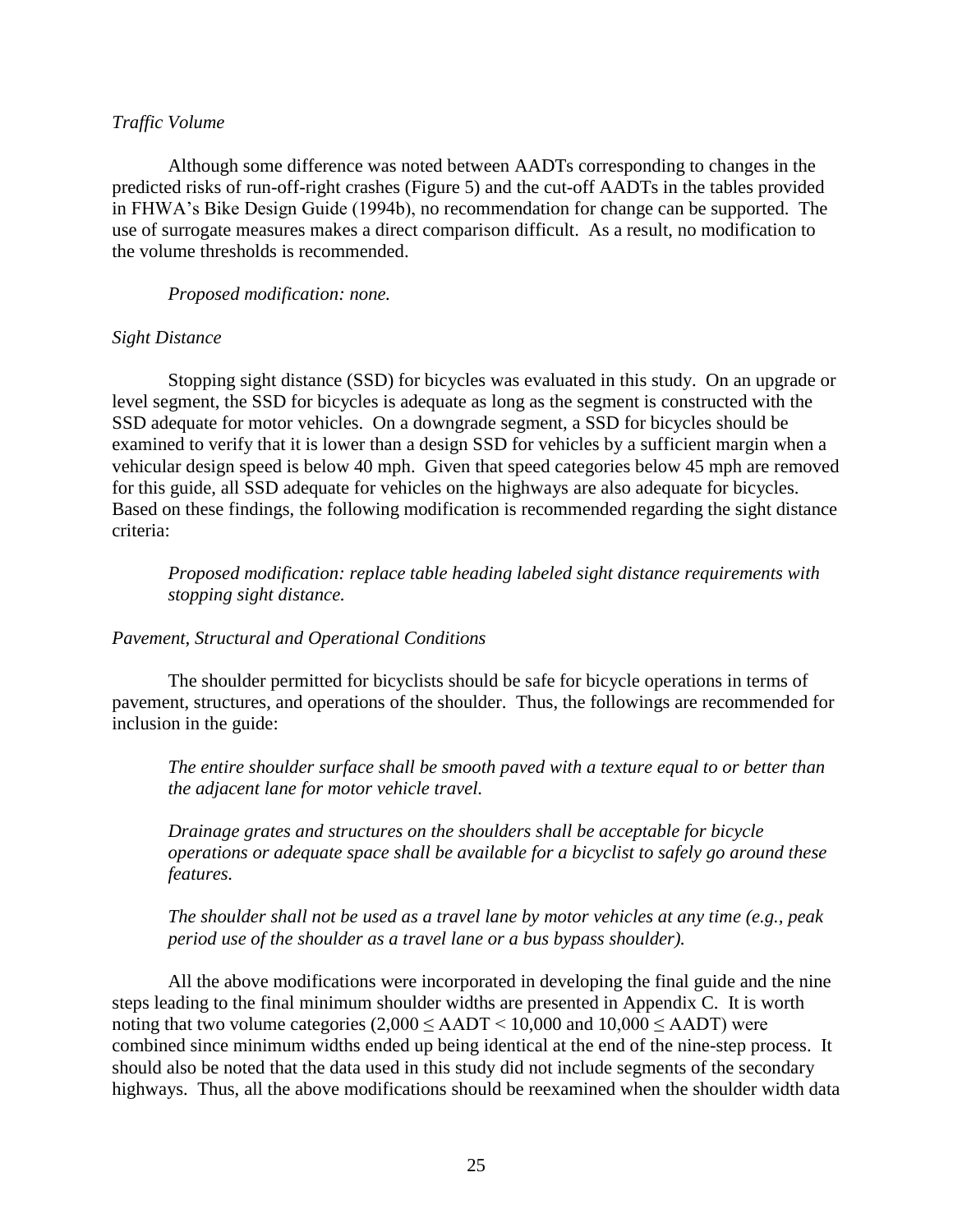#### *Traffic Volume*

Although some difference was noted between AADTs corresponding to changes in the predicted risks of run-off-right crashes (Figure 5) and the cut-off AADTs in the tables provided in FHWA's Bike Design Guide (1994b), no recommendation for change can be supported. The use of surrogate measures makes a direct comparison difficult. As a result, no modification to the volume thresholds is recommended.

#### *Proposed modification: none.*

#### *Sight Distance*

Stopping sight distance (SSD) for bicycles was evaluated in this study. On an upgrade or level segment, the SSD for bicycles is adequate as long as the segment is constructed with the SSD adequate for motor vehicles. On a downgrade segment, a SSD for bicycles should be examined to verify that it is lower than a design SSD for vehicles by a sufficient margin when a vehicular design speed is below 40 mph. Given that speed categories below 45 mph are removed for this guide, all SSD adequate for vehicles on the highways are also adequate for bicycles. Based on these findings, the following modification is recommended regarding the sight distance criteria:

*Proposed modification: replace table heading labeled sight distance requirements with stopping sight distance.*

### *Pavement, Structural and Operational Conditions*

The shoulder permitted for bicyclists should be safe for bicycle operations in terms of pavement, structures, and operations of the shoulder. Thus, the followings are recommended for inclusion in the guide:

*The entire shoulder surface shall be smooth paved with a texture equal to or better than the adjacent lane for motor vehicle travel.* 

*Drainage grates and structures on the shoulders shall be acceptable for bicycle operations or adequate space shall be available for a bicyclist to safely go around these features.*

### *The shoulder shall not be used as a travel lane by motor vehicles at any time (e.g., peak period use of the shoulder as a travel lane or a bus bypass shoulder).*

All the above modifications were incorporated in developing the final guide and the nine steps leading to the final minimum shoulder widths are presented in Appendix C. It is worth noting that two volume categories  $(2,000 \leq$  AADT  $\leq$  10,000 and 10,000  $\leq$  AADT) were combined since minimum widths ended up being identical at the end of the nine-step process. It should also be noted that the data used in this study did not include segments of the secondary highways. Thus, all the above modifications should be reexamined when the shoulder width data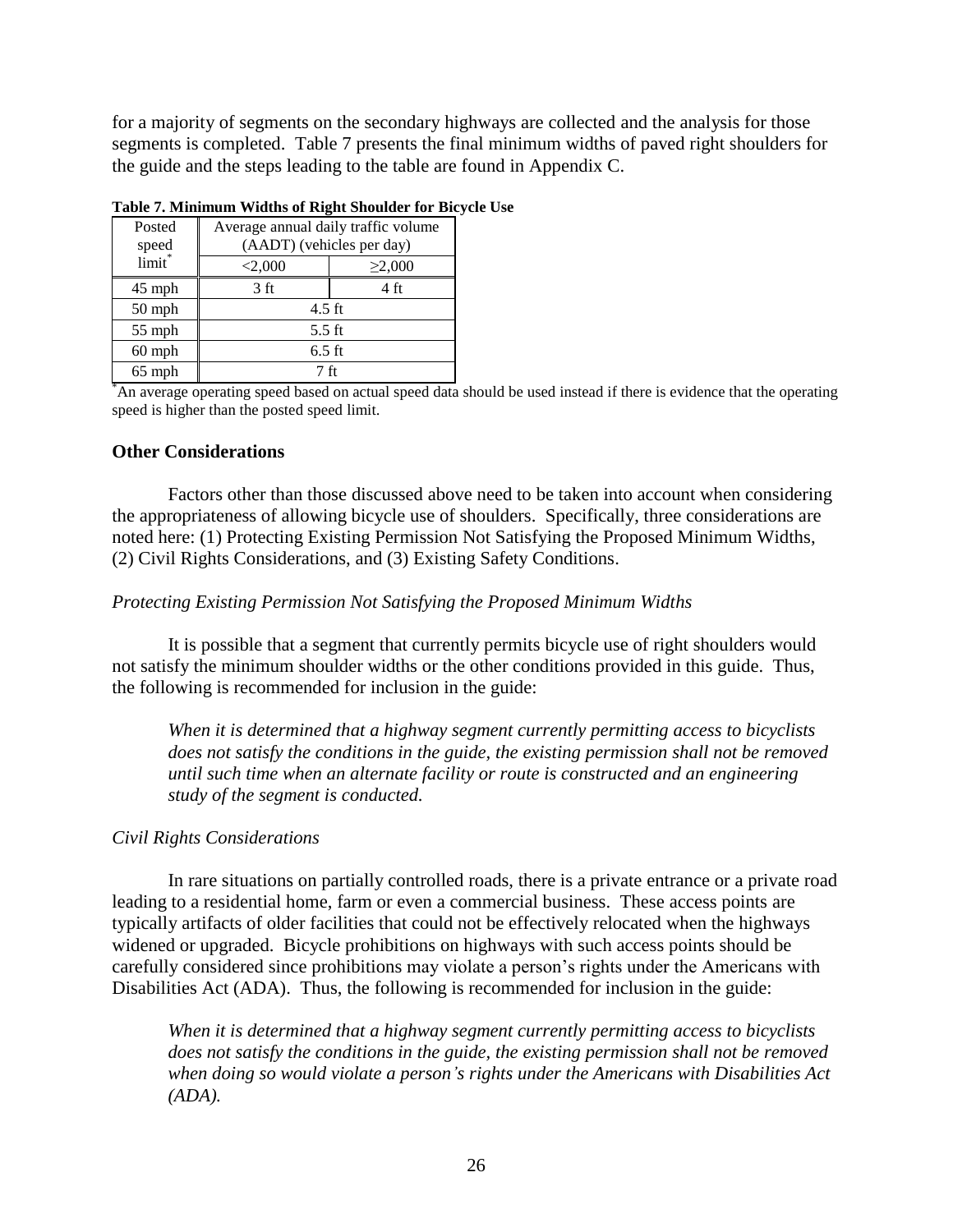for a majority of segments on the secondary highways are collected and the analysis for those segments is completed. Table 7 presents the final minimum widths of paved right shoulders for the guide and the steps leading to the table are found in Appendix C.

| Posted<br>speed | Average annual daily traffic volume<br>(AADT) (vehicles per day) |              |  |  |  |  |  |  |  |
|-----------------|------------------------------------------------------------------|--------------|--|--|--|--|--|--|--|
| limit*          | < 2,000                                                          | $\geq 2,000$ |  |  |  |  |  |  |  |
| 45 mph          | 3 ft                                                             | 4 ft         |  |  |  |  |  |  |  |
| $50$ mph        | $4.5$ ft                                                         |              |  |  |  |  |  |  |  |
| $55$ mph        | $5.5$ ft                                                         |              |  |  |  |  |  |  |  |
| $60$ mph        | $6.5$ ft                                                         |              |  |  |  |  |  |  |  |
| 65 mph          | 7 ft                                                             |              |  |  |  |  |  |  |  |

**Table 7. Minimum Widths of Right Shoulder for Bicycle Use**

\*An average operating speed based on actual speed data should be used instead if there is evidence that the operating speed is higher than the posted speed limit.

#### **Other Considerations**

Factors other than those discussed above need to be taken into account when considering the appropriateness of allowing bicycle use of shoulders. Specifically, three considerations are noted here: (1) Protecting Existing Permission Not Satisfying the Proposed Minimum Widths, (2) Civil Rights Considerations, and (3) Existing Safety Conditions.

#### *Protecting Existing Permission Not Satisfying the Proposed Minimum Widths*

It is possible that a segment that currently permits bicycle use of right shoulders would not satisfy the minimum shoulder widths or the other conditions provided in this guide. Thus, the following is recommended for inclusion in the guide:

*When it is determined that a highway segment currently permitting access to bicyclists does not satisfy the conditions in the guide, the existing permission shall not be removed until such time when an alternate facility or route is constructed and an engineering study of the segment is conducted.*

#### *Civil Rights Considerations*

In rare situations on partially controlled roads, there is a private entrance or a private road leading to a residential home, farm or even a commercial business. These access points are typically artifacts of older facilities that could not be effectively relocated when the highways widened or upgraded. Bicycle prohibitions on highways with such access points should be carefully considered since prohibitions may violate a person's rights under the Americans with Disabilities Act (ADA). Thus, the following is recommended for inclusion in the guide:

*When it is determined that a highway segment currently permitting access to bicyclists does not satisfy the conditions in the guide, the existing permission shall not be removed when doing so would violate a person's rights under the Americans with Disabilities Act (ADA).*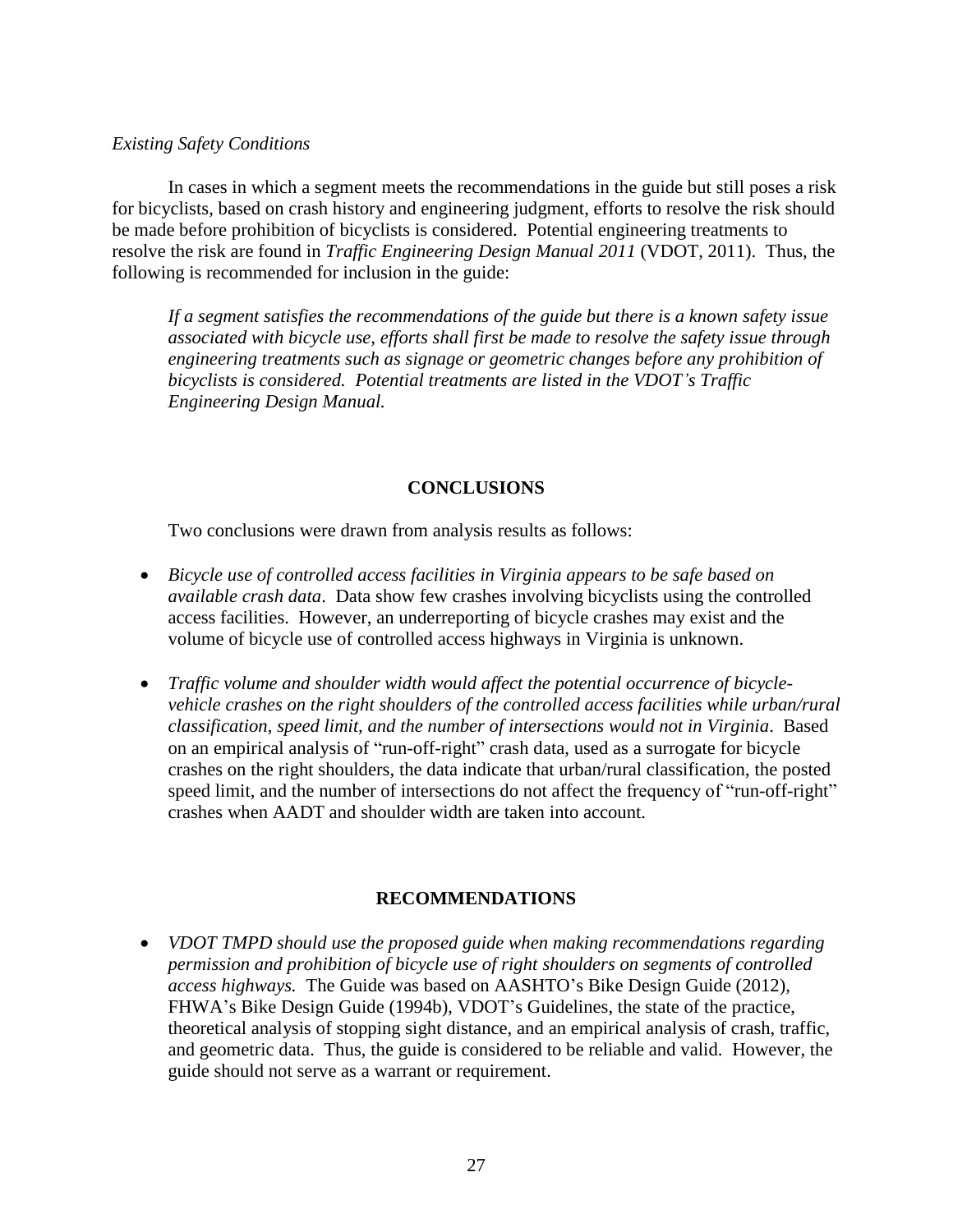### *Existing Safety Conditions*

In cases in which a segment meets the recommendations in the guide but still poses a risk for bicyclists, based on crash history and engineering judgment, efforts to resolve the risk should be made before prohibition of bicyclists is considered. Potential engineering treatments to resolve the risk are found in *Traffic Engineering Design Manual 2011* (VDOT, 2011). Thus, the following is recommended for inclusion in the guide:

*If a segment satisfies the recommendations of the guide but there is a known safety issue associated with bicycle use, efforts shall first be made to resolve the safety issue through engineering treatments such as signage or geometric changes before any prohibition of bicyclists is considered. Potential treatments are listed in the VDOT's Traffic Engineering Design Manual.* 

### **CONCLUSIONS**

Two conclusions were drawn from analysis results as follows:

- *Bicycle use of controlled access facilities in Virginia appears to be safe based on available crash data*. Data show few crashes involving bicyclists using the controlled access facilities. However, an underreporting of bicycle crashes may exist and the volume of bicycle use of controlled access highways in Virginia is unknown.
- *Traffic volume and shoulder width would affect the potential occurrence of bicyclevehicle crashes on the right shoulders of the controlled access facilities while urban/rural classification, speed limit, and the number of intersections would not in Virginia*. Based on an empirical analysis of "run-off-right" crash data, used as a surrogate for bicycle crashes on the right shoulders, the data indicate that urban/rural classification, the posted speed limit, and the number of intersections do not affect the frequency of "run-off-right" crashes when AADT and shoulder width are taken into account.

### **RECOMMENDATIONS**

 *VDOT TMPD should use the proposed guide when making recommendations regarding permission and prohibition of bicycle use of right shoulders on segments of controlled access highways.* The Guide was based on AASHTO's Bike Design Guide (2012), FHWA's Bike Design Guide (1994b), VDOT's Guidelines, the state of the practice, theoretical analysis of stopping sight distance, and an empirical analysis of crash, traffic, and geometric data. Thus, the guide is considered to be reliable and valid. However, the guide should not serve as a warrant or requirement.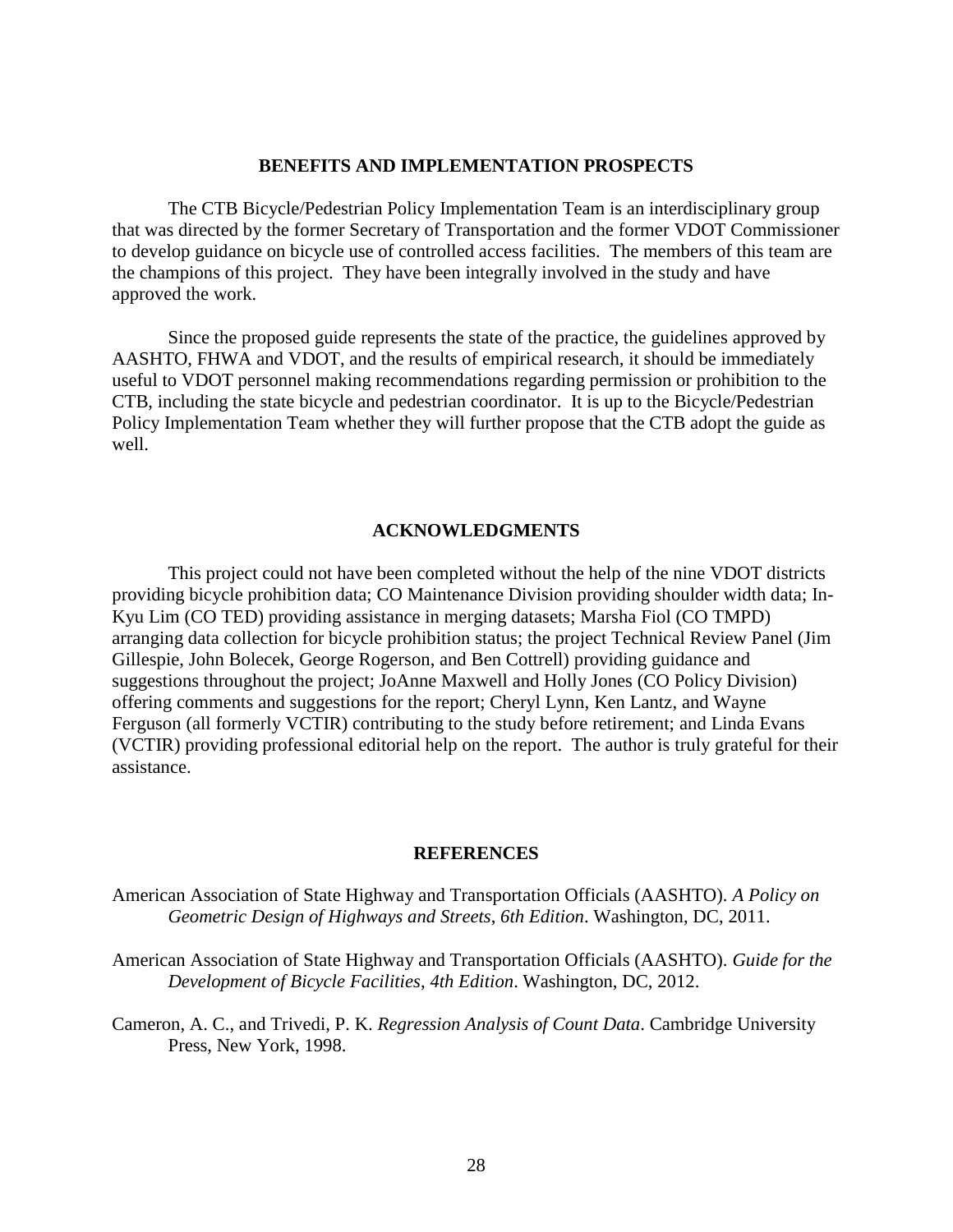#### **BENEFITS AND IMPLEMENTATION PROSPECTS**

The CTB Bicycle/Pedestrian Policy Implementation Team is an interdisciplinary group that was directed by the former Secretary of Transportation and the former VDOT Commissioner to develop guidance on bicycle use of controlled access facilities. The members of this team are the champions of this project. They have been integrally involved in the study and have approved the work.

Since the proposed guide represents the state of the practice, the guidelines approved by AASHTO, FHWA and VDOT, and the results of empirical research, it should be immediately useful to VDOT personnel making recommendations regarding permission or prohibition to the CTB, including the state bicycle and pedestrian coordinator. It is up to the Bicycle/Pedestrian Policy Implementation Team whether they will further propose that the CTB adopt the guide as well.

#### **ACKNOWLEDGMENTS**

This project could not have been completed without the help of the nine VDOT districts providing bicycle prohibition data; CO Maintenance Division providing shoulder width data; In-Kyu Lim (CO TED) providing assistance in merging datasets; Marsha Fiol (CO TMPD) arranging data collection for bicycle prohibition status; the project Technical Review Panel (Jim Gillespie, John Bolecek, George Rogerson, and Ben Cottrell) providing guidance and suggestions throughout the project; JoAnne Maxwell and Holly Jones (CO Policy Division) offering comments and suggestions for the report; Cheryl Lynn, Ken Lantz, and Wayne Ferguson (all formerly VCTIR) contributing to the study before retirement; and Linda Evans (VCTIR) providing professional editorial help on the report. The author is truly grateful for their assistance.

#### **REFERENCES**

American Association of State Highway and Transportation Officials (AASHTO). *A Policy on Geometric Design of Highways and Streets*, *6th Edition*. Washington, DC, 2011.

American Association of State Highway and Transportation Officials (AASHTO). *Guide for the Development of Bicycle Facilities*, *4th Edition*. Washington, DC, 2012.

Cameron, A. C., and Trivedi, P. K. *Regression Analysis of Count Data*. Cambridge University Press, New York, 1998.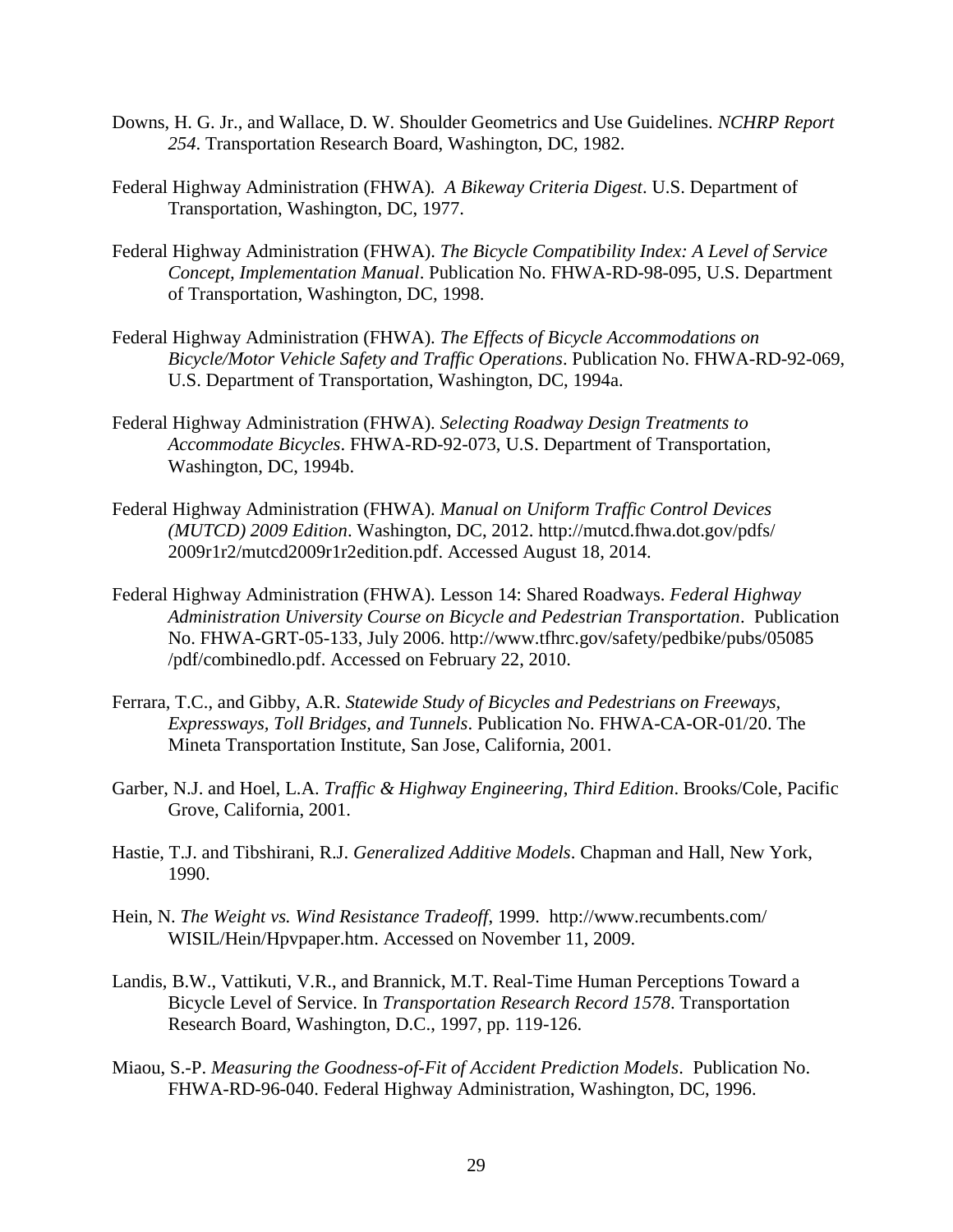- Downs, H. G. Jr., and Wallace, D. W. Shoulder Geometrics and Use Guidelines. *NCHRP Report 254*. Transportation Research Board, Washington, DC, 1982.
- Federal Highway Administration (FHWA)*. A Bikeway Criteria Digest*. U.S. Department of Transportation, Washington, DC, 1977.
- Federal Highway Administration (FHWA). *The Bicycle Compatibility Index: A Level of Service Concept, Implementation Manual*. Publication No. FHWA-RD-98-095, U.S. Department of Transportation, Washington, DC, 1998.
- Federal Highway Administration (FHWA). *The Effects of Bicycle Accommodations on Bicycle/Motor Vehicle Safety and Traffic Operations*. Publication No. FHWA-RD-92-069, U.S. Department of Transportation, Washington, DC, 1994a.
- Federal Highway Administration (FHWA). *Selecting Roadway Design Treatments to Accommodate Bicycles*. FHWA-RD-92-073, U.S. Department of Transportation, Washington, DC, 1994b.
- Federal Highway Administration (FHWA). *Manual on Uniform Traffic Control Devices (MUTCD) 2009 Edition*. Washington, DC, 2012. <http://mutcd.fhwa.dot.gov/pdfs/> 2009r1r2/mutcd2009r1r2edition.pdf. Accessed August 18, 2014.
- Federal Highway Administration (FHWA). Lesson 14: Shared Roadways. *Federal Highway Administration University Course on Bicycle and Pedestrian Transportation*. Publication No. FHWA-GRT-05-133, July 2006. http://www.tfhrc.gov/safety/pedbike/pubs/05085 /pdf/combinedlo.pdf. Accessed on February 22, 2010.
- Ferrara, T.C., and Gibby, A.R. *Statewide Study of Bicycles and Pedestrians on Freeways, Expressways, Toll Bridges, and Tunnels*. Publication No. FHWA-CA-OR-01/20. The Mineta Transportation Institute, San Jose, California, 2001.
- Garber, N.J. and Hoel, L.A. *Traffic & Highway Engineering*, *Third Edition*. Brooks/Cole, Pacific Grove, California, 2001.
- Hastie, T.J. and Tibshirani, R.J. *Generalized Additive Models*. Chapman and Hall, New York, 1990.
- Hein, N. *The Weight vs. Wind Resistance Tradeoff*, 1999. http://www.recumbents.com/ WISIL/Hein/Hpvpaper.htm. Accessed on November 11, 2009.
- Landis, B.W., Vattikuti, V.R., and Brannick, M.T. Real-Time Human Perceptions Toward a Bicycle Level of Service. In *Transportation Research Record 1578*. Transportation Research Board, Washington, D.C., 1997, pp. 119-126.
- Miaou, S.-P. *Measuring the Goodness-of-Fit of Accident Prediction Models*. Publication No. FHWA-RD-96-040. Federal Highway Administration, Washington, DC, 1996.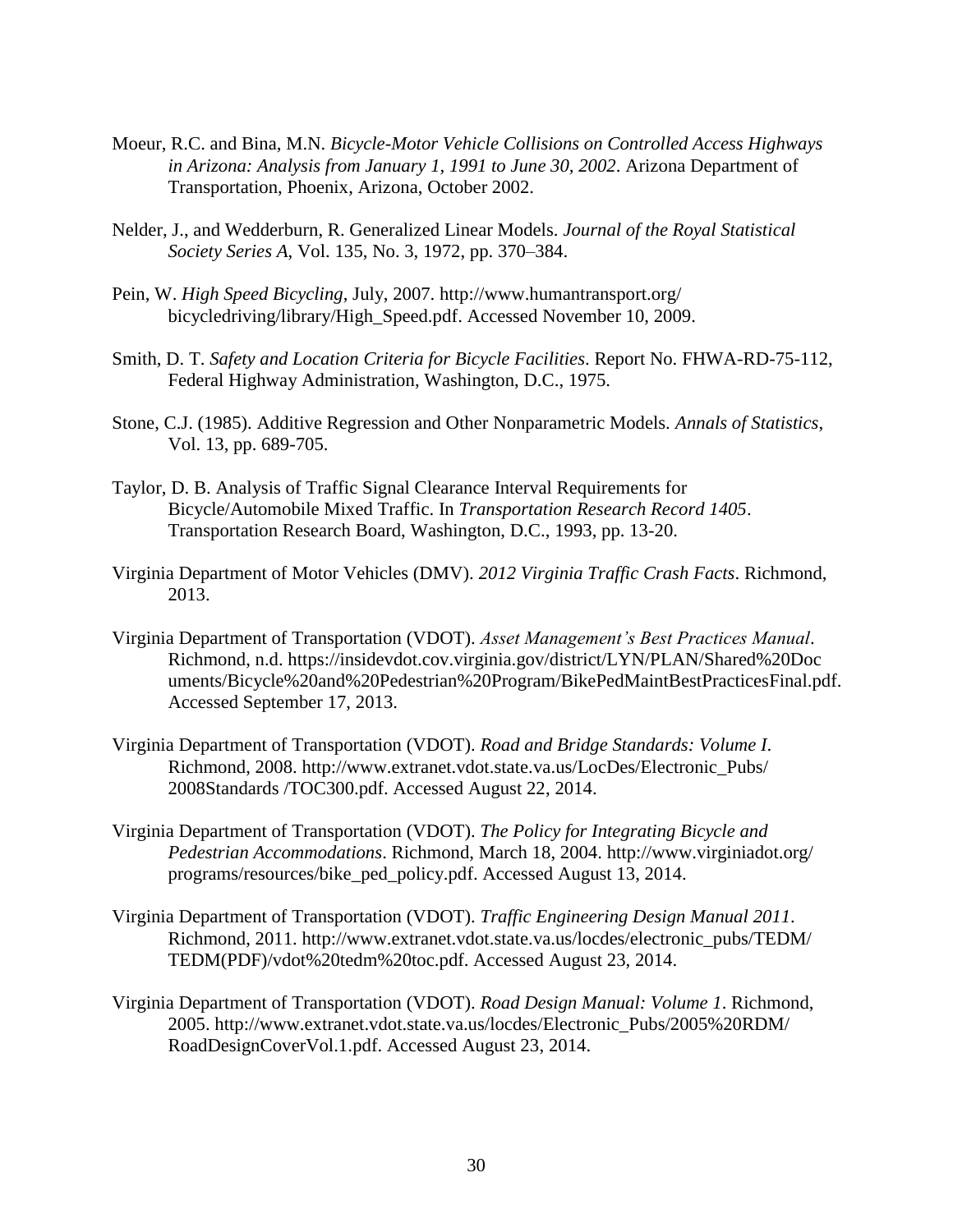- Moeur, R.C. and Bina, M.N. *Bicycle-Motor Vehicle Collisions on Controlled Access Highways in Arizona: Analysis from January 1, 1991 to June 30, 2002*. Arizona Department of Transportation, Phoenix, Arizona, October 2002.
- Nelder, J., and Wedderburn, R. Generalized Linear Models. *Journal of the Royal Statistical Society Series A*, Vol. 135, No. 3, 1972, pp. 370–384.
- Pein, W. *High Speed Bicycling*, July, 2007. http://www.humantransport.org/ bicycledriving/library/High\_Speed.pdf. Accessed November 10, 2009.
- Smith, D. T. *Safety and Location Criteria for Bicycle Facilities*. Report No. FHWA-RD-75-112, Federal Highway Administration, Washington, D.C., 1975.
- Stone, C.J. (1985). Additive Regression and Other Nonparametric Models. *Annals of Statistics*, Vol. 13, pp. 689-705.
- Taylor, D. B. Analysis of Traffic Signal Clearance Interval Requirements for Bicycle/Automobile Mixed Traffic. In *Transportation Research Record 1405*. Transportation Research Board, Washington, D.C., 1993, pp. 13-20.
- Virginia Department of Motor Vehicles (DMV). *2012 Virginia Traffic Crash Facts*. Richmond, 2013.
- Virginia Department of Transportation (VDOT). *Asset Management's Best Practices Manual*. Richmond, n.d.<https://insidevdot.cov.virginia.gov/district/LYN/PLAN/Shared%20Doc> uments/Bicycle%20and%20Pedestrian%20Program/BikePedMaintBestPracticesFinal.pdf. Accessed September 17, 2013.
- Virginia Department of Transportation (VDOT). *Road and Bridge Standards: Volume I*. Richmond, 2008. http://www.extranet.vdot.state.va.us/LocDes/Electronic\_Pubs/ 2008Standards /TOC300.pdf. Accessed August 22, 2014.
- Virginia Department of Transportation (VDOT). *The Policy for Integrating Bicycle and Pedestrian Accommodations*. Richmond, March 18, 2004. http://www.virginiadot.org/ programs/resources/bike\_ped\_policy.pdf. Accessed August 13, 2014.
- Virginia Department of Transportation (VDOT). *Traffic Engineering Design Manual 2011*. Richmond, 2011. http://www.extranet.vdot.state.va.us/locdes/electronic\_pubs/TEDM/ TEDM(PDF)/vdot%20tedm%20toc.pdf. Accessed August 23, 2014.
- Virginia Department of Transportation (VDOT). *Road Design Manual: Volume 1*. Richmond, 2005. http://www.extranet.vdot.state.va.us/locdes/Electronic\_Pubs/2005%20RDM/ RoadDesignCoverVol.1.pdf. Accessed August 23, 2014.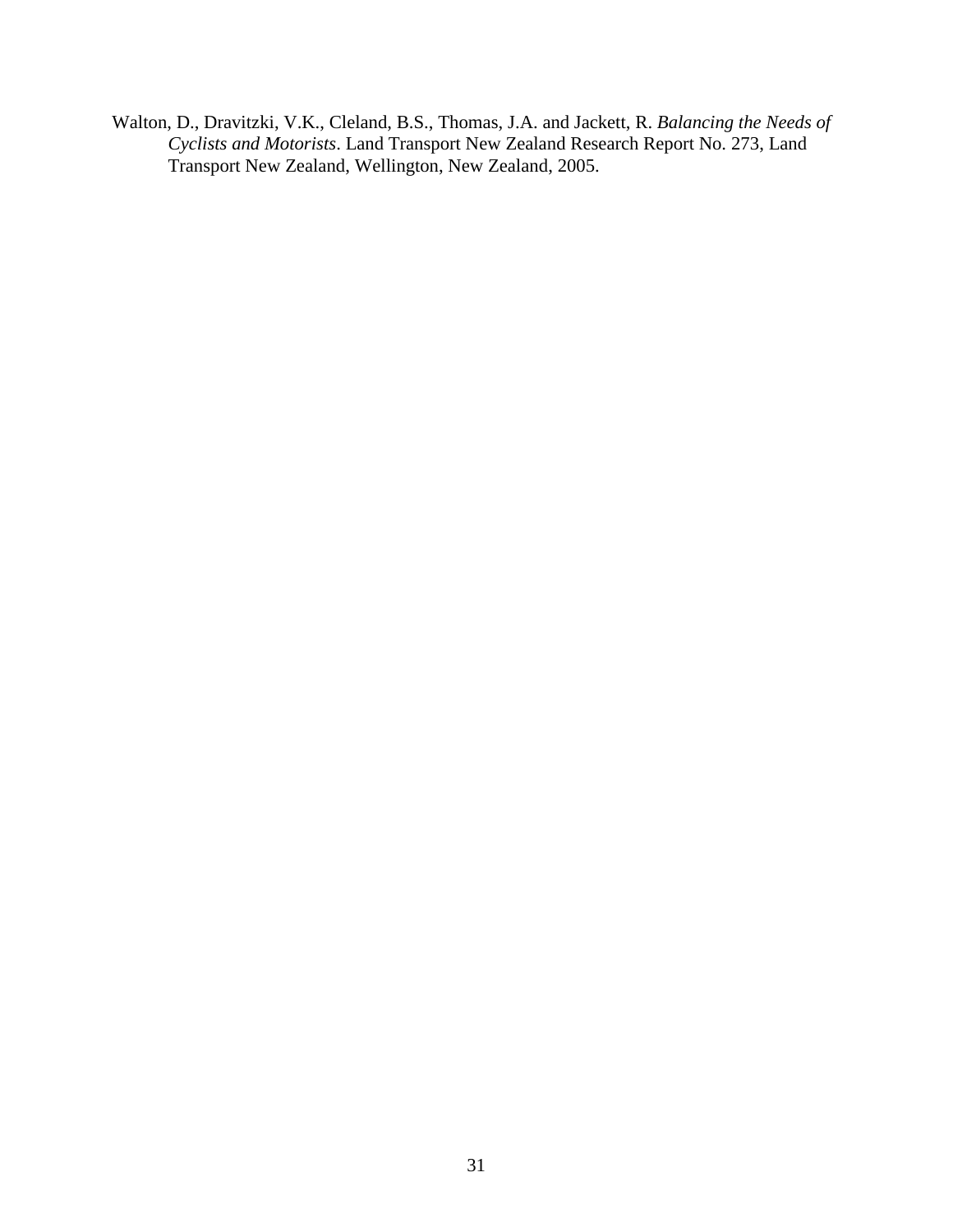Walton, D., Dravitzki, V.K., Cleland, B.S., Thomas, J.A. and Jackett, R. *Balancing the Needs of Cyclists and Motorists*. Land Transport New Zealand Research Report No. 273, Land Transport New Zealand, Wellington, New Zealand, 2005.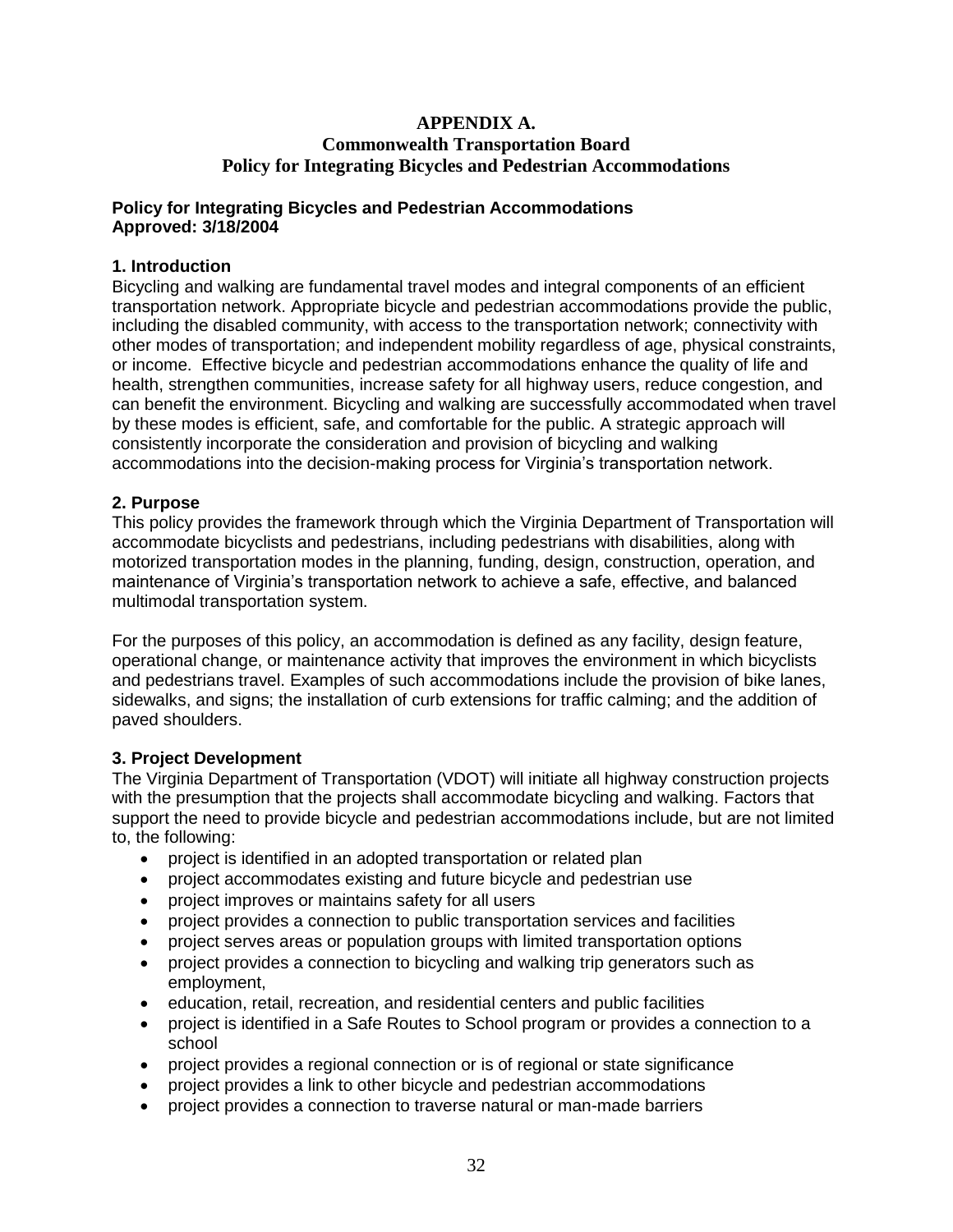## **APPENDIX A. Commonwealth Transportation Board Policy for Integrating Bicycles and Pedestrian Accommodations**

### **Policy for Integrating Bicycles and Pedestrian Accommodations Approved: 3/18/2004**

## **1. Introduction**

Bicycling and walking are fundamental travel modes and integral components of an efficient transportation network. Appropriate bicycle and pedestrian accommodations provide the public, including the disabled community, with access to the transportation network; connectivity with other modes of transportation; and independent mobility regardless of age, physical constraints, or income. Effective bicycle and pedestrian accommodations enhance the quality of life and health, strengthen communities, increase safety for all highway users, reduce congestion, and can benefit the environment. Bicycling and walking are successfully accommodated when travel by these modes is efficient, safe, and comfortable for the public. A strategic approach will consistently incorporate the consideration and provision of bicycling and walking accommodations into the decision-making process for Virginia's transportation network.

### **2. Purpose**

This policy provides the framework through which the Virginia Department of Transportation will accommodate bicyclists and pedestrians, including pedestrians with disabilities, along with motorized transportation modes in the planning, funding, design, construction, operation, and maintenance of Virginia's transportation network to achieve a safe, effective, and balanced multimodal transportation system.

For the purposes of this policy, an accommodation is defined as any facility, design feature, operational change, or maintenance activity that improves the environment in which bicyclists and pedestrians travel. Examples of such accommodations include the provision of bike lanes, sidewalks, and signs; the installation of curb extensions for traffic calming; and the addition of paved shoulders.

# **3. Project Development**

The Virginia Department of Transportation (VDOT) will initiate all highway construction projects with the presumption that the projects shall accommodate bicycling and walking. Factors that support the need to provide bicycle and pedestrian accommodations include, but are not limited to, the following:

- project is identified in an adopted transportation or related plan
- project accommodates existing and future bicycle and pedestrian use
- project improves or maintains safety for all users
- project provides a connection to public transportation services and facilities
- project serves areas or population groups with limited transportation options
- project provides a connection to bicycling and walking trip generators such as employment,
- education, retail, recreation, and residential centers and public facilities
- project is identified in a Safe Routes to School program or provides a connection to a school
- project provides a regional connection or is of regional or state significance
- project provides a link to other bicycle and pedestrian accommodations
- project provides a connection to traverse natural or man-made barriers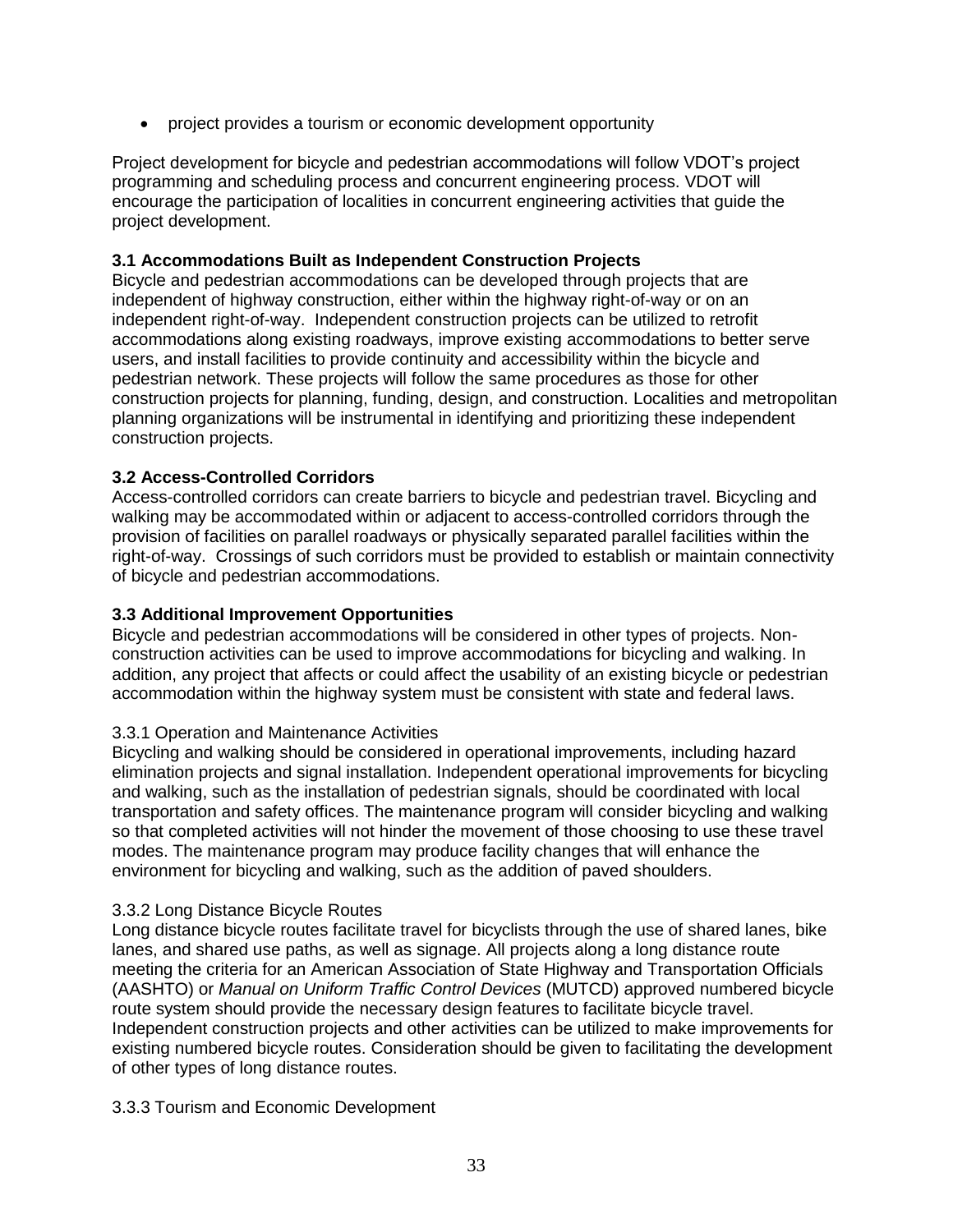project provides a tourism or economic development opportunity

Project development for bicycle and pedestrian accommodations will follow VDOT's project programming and scheduling process and concurrent engineering process. VDOT will encourage the participation of localities in concurrent engineering activities that guide the project development.

## **3.1 Accommodations Built as Independent Construction Projects**

Bicycle and pedestrian accommodations can be developed through projects that are independent of highway construction, either within the highway right-of-way or on an independent right-of-way. Independent construction projects can be utilized to retrofit accommodations along existing roadways, improve existing accommodations to better serve users, and install facilities to provide continuity and accessibility within the bicycle and pedestrian network. These projects will follow the same procedures as those for other construction projects for planning, funding, design, and construction. Localities and metropolitan planning organizations will be instrumental in identifying and prioritizing these independent construction projects.

## **3.2 Access-Controlled Corridors**

Access-controlled corridors can create barriers to bicycle and pedestrian travel. Bicycling and walking may be accommodated within or adjacent to access-controlled corridors through the provision of facilities on parallel roadways or physically separated parallel facilities within the right-of-way. Crossings of such corridors must be provided to establish or maintain connectivity of bicycle and pedestrian accommodations.

### **3.3 Additional Improvement Opportunities**

Bicycle and pedestrian accommodations will be considered in other types of projects. Nonconstruction activities can be used to improve accommodations for bicycling and walking. In addition, any project that affects or could affect the usability of an existing bicycle or pedestrian accommodation within the highway system must be consistent with state and federal laws.

### 3.3.1 Operation and Maintenance Activities

Bicycling and walking should be considered in operational improvements, including hazard elimination projects and signal installation. Independent operational improvements for bicycling and walking, such as the installation of pedestrian signals, should be coordinated with local transportation and safety offices. The maintenance program will consider bicycling and walking so that completed activities will not hinder the movement of those choosing to use these travel modes. The maintenance program may produce facility changes that will enhance the environment for bicycling and walking, such as the addition of paved shoulders.

### 3.3.2 Long Distance Bicycle Routes

Long distance bicycle routes facilitate travel for bicyclists through the use of shared lanes, bike lanes, and shared use paths, as well as signage. All projects along a long distance route meeting the criteria for an American Association of State Highway and Transportation Officials (AASHTO) or *Manual on Uniform Traffic Control Devices* (MUTCD) approved numbered bicycle route system should provide the necessary design features to facilitate bicycle travel. Independent construction projects and other activities can be utilized to make improvements for existing numbered bicycle routes. Consideration should be given to facilitating the development of other types of long distance routes.

### 3.3.3 Tourism and Economic Development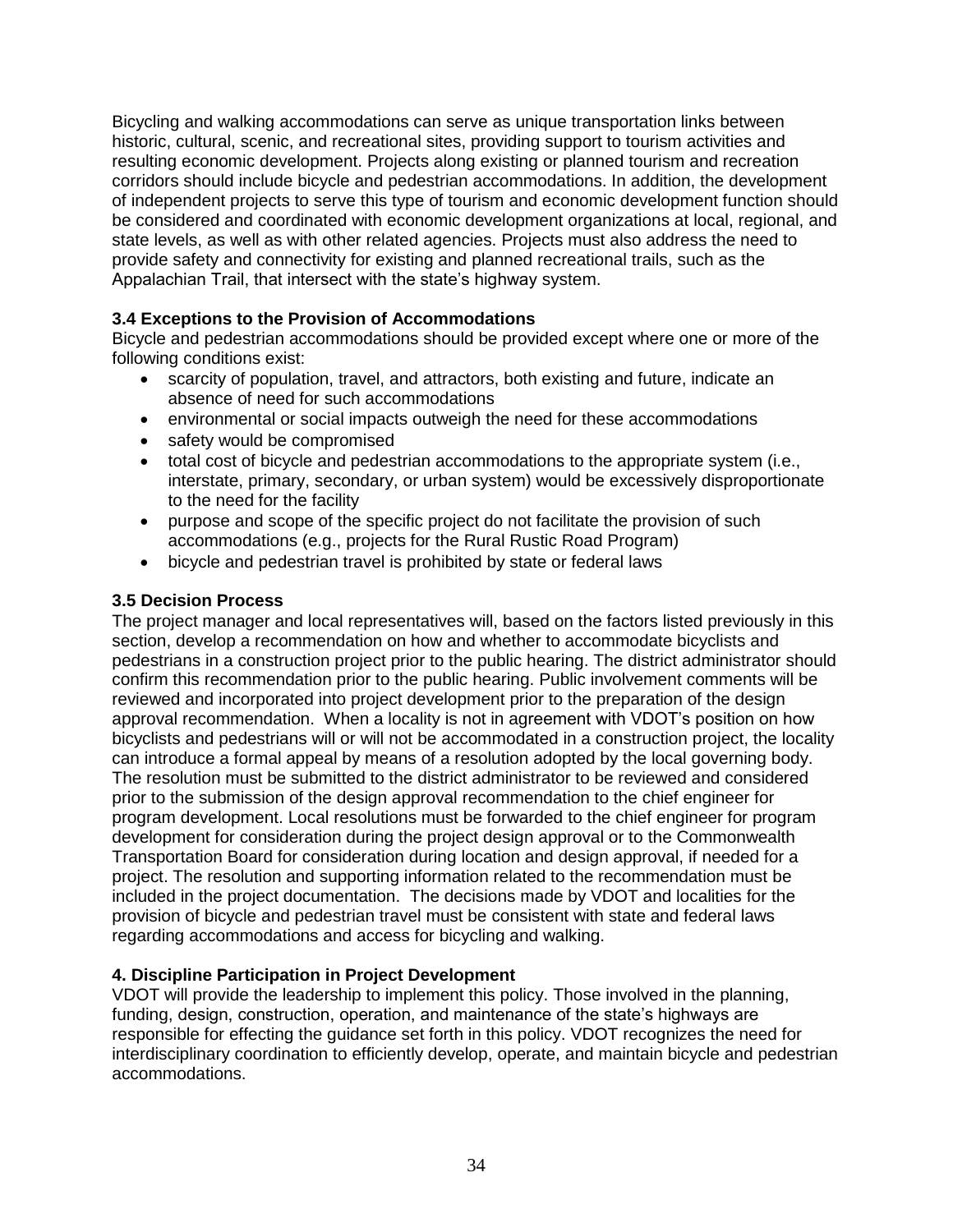Bicycling and walking accommodations can serve as unique transportation links between historic, cultural, scenic, and recreational sites, providing support to tourism activities and resulting economic development. Projects along existing or planned tourism and recreation corridors should include bicycle and pedestrian accommodations. In addition, the development of independent projects to serve this type of tourism and economic development function should be considered and coordinated with economic development organizations at local, regional, and state levels, as well as with other related agencies. Projects must also address the need to provide safety and connectivity for existing and planned recreational trails, such as the Appalachian Trail, that intersect with the state's highway system.

# **3.4 Exceptions to the Provision of Accommodations**

Bicycle and pedestrian accommodations should be provided except where one or more of the following conditions exist:

- scarcity of population, travel, and attractors, both existing and future, indicate an absence of need for such accommodations
- environmental or social impacts outweigh the need for these accommodations
- safety would be compromised
- total cost of bicycle and pedestrian accommodations to the appropriate system (i.e., interstate, primary, secondary, or urban system) would be excessively disproportionate to the need for the facility
- purpose and scope of the specific project do not facilitate the provision of such accommodations (e.g., projects for the Rural Rustic Road Program)
- bicycle and pedestrian travel is prohibited by state or federal laws

## **3.5 Decision Process**

The project manager and local representatives will, based on the factors listed previously in this section, develop a recommendation on how and whether to accommodate bicyclists and pedestrians in a construction project prior to the public hearing. The district administrator should confirm this recommendation prior to the public hearing. Public involvement comments will be reviewed and incorporated into project development prior to the preparation of the design approval recommendation. When a locality is not in agreement with VDOT's position on how bicyclists and pedestrians will or will not be accommodated in a construction project, the locality can introduce a formal appeal by means of a resolution adopted by the local governing body. The resolution must be submitted to the district administrator to be reviewed and considered prior to the submission of the design approval recommendation to the chief engineer for program development. Local resolutions must be forwarded to the chief engineer for program development for consideration during the project design approval or to the Commonwealth Transportation Board for consideration during location and design approval, if needed for a project. The resolution and supporting information related to the recommendation must be included in the project documentation. The decisions made by VDOT and localities for the provision of bicycle and pedestrian travel must be consistent with state and federal laws regarding accommodations and access for bicycling and walking.

### **4. Discipline Participation in Project Development**

VDOT will provide the leadership to implement this policy. Those involved in the planning, funding, design, construction, operation, and maintenance of the state's highways are responsible for effecting the guidance set forth in this policy. VDOT recognizes the need for interdisciplinary coordination to efficiently develop, operate, and maintain bicycle and pedestrian accommodations.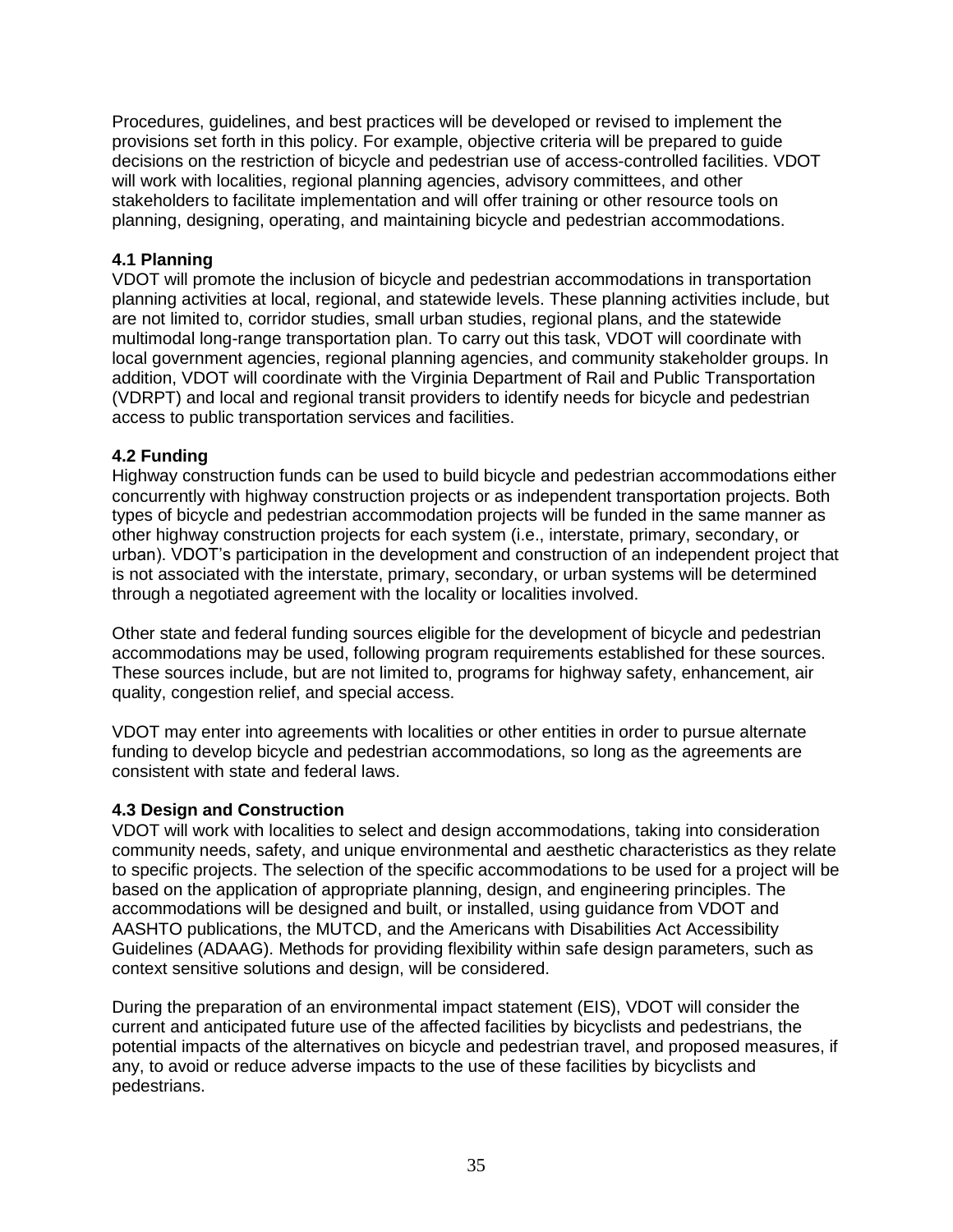Procedures, guidelines, and best practices will be developed or revised to implement the provisions set forth in this policy. For example, objective criteria will be prepared to guide decisions on the restriction of bicycle and pedestrian use of access-controlled facilities. VDOT will work with localities, regional planning agencies, advisory committees, and other stakeholders to facilitate implementation and will offer training or other resource tools on planning, designing, operating, and maintaining bicycle and pedestrian accommodations.

## **4.1 Planning**

VDOT will promote the inclusion of bicycle and pedestrian accommodations in transportation planning activities at local, regional, and statewide levels. These planning activities include, but are not limited to, corridor studies, small urban studies, regional plans, and the statewide multimodal long-range transportation plan. To carry out this task, VDOT will coordinate with local government agencies, regional planning agencies, and community stakeholder groups. In addition, VDOT will coordinate with the Virginia Department of Rail and Public Transportation (VDRPT) and local and regional transit providers to identify needs for bicycle and pedestrian access to public transportation services and facilities.

### **4.2 Funding**

Highway construction funds can be used to build bicycle and pedestrian accommodations either concurrently with highway construction projects or as independent transportation projects. Both types of bicycle and pedestrian accommodation projects will be funded in the same manner as other highway construction projects for each system (i.e., interstate, primary, secondary, or urban). VDOT's participation in the development and construction of an independent project that is not associated with the interstate, primary, secondary, or urban systems will be determined through a negotiated agreement with the locality or localities involved.

Other state and federal funding sources eligible for the development of bicycle and pedestrian accommodations may be used, following program requirements established for these sources. These sources include, but are not limited to, programs for highway safety, enhancement, air quality, congestion relief, and special access.

VDOT may enter into agreements with localities or other entities in order to pursue alternate funding to develop bicycle and pedestrian accommodations, so long as the agreements are consistent with state and federal laws.

### **4.3 Design and Construction**

VDOT will work with localities to select and design accommodations, taking into consideration community needs, safety, and unique environmental and aesthetic characteristics as they relate to specific projects. The selection of the specific accommodations to be used for a project will be based on the application of appropriate planning, design, and engineering principles. The accommodations will be designed and built, or installed, using guidance from VDOT and AASHTO publications, the MUTCD, and the Americans with Disabilities Act Accessibility Guidelines (ADAAG). Methods for providing flexibility within safe design parameters, such as context sensitive solutions and design, will be considered.

During the preparation of an environmental impact statement (EIS), VDOT will consider the current and anticipated future use of the affected facilities by bicyclists and pedestrians, the potential impacts of the alternatives on bicycle and pedestrian travel, and proposed measures, if any, to avoid or reduce adverse impacts to the use of these facilities by bicyclists and pedestrians.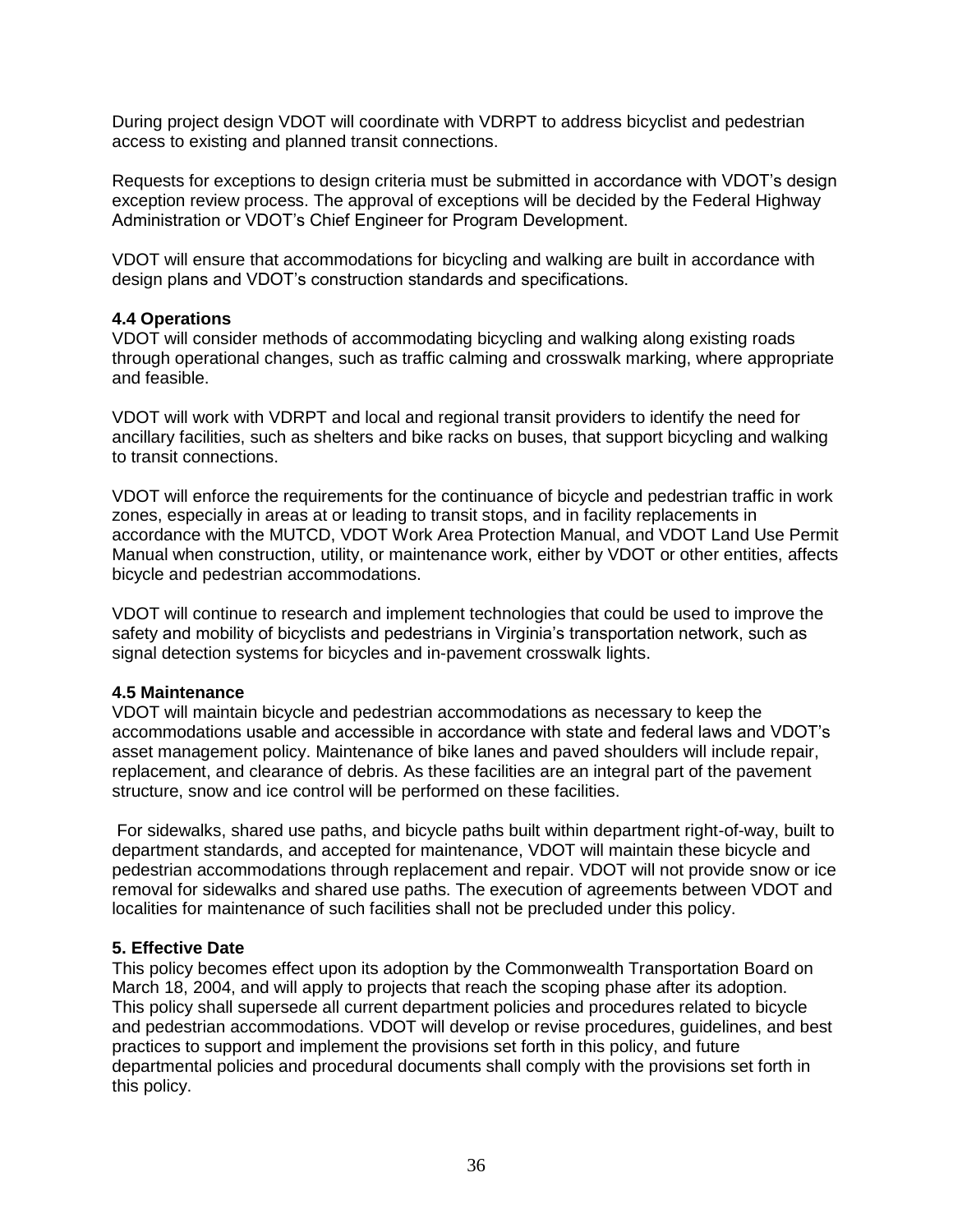During project design VDOT will coordinate with VDRPT to address bicyclist and pedestrian access to existing and planned transit connections.

Requests for exceptions to design criteria must be submitted in accordance with VDOT's design exception review process. The approval of exceptions will be decided by the Federal Highway Administration or VDOT's Chief Engineer for Program Development.

VDOT will ensure that accommodations for bicycling and walking are built in accordance with design plans and VDOT's construction standards and specifications.

### **4.4 Operations**

VDOT will consider methods of accommodating bicycling and walking along existing roads through operational changes, such as traffic calming and crosswalk marking, where appropriate and feasible.

VDOT will work with VDRPT and local and regional transit providers to identify the need for ancillary facilities, such as shelters and bike racks on buses, that support bicycling and walking to transit connections.

VDOT will enforce the requirements for the continuance of bicycle and pedestrian traffic in work zones, especially in areas at or leading to transit stops, and in facility replacements in accordance with the MUTCD, VDOT Work Area Protection Manual, and VDOT Land Use Permit Manual when construction, utility, or maintenance work, either by VDOT or other entities, affects bicycle and pedestrian accommodations.

VDOT will continue to research and implement technologies that could be used to improve the safety and mobility of bicyclists and pedestrians in Virginia's transportation network, such as signal detection systems for bicycles and in-pavement crosswalk lights.

### **4.5 Maintenance**

VDOT will maintain bicycle and pedestrian accommodations as necessary to keep the accommodations usable and accessible in accordance with state and federal laws and VDOT's asset management policy. Maintenance of bike lanes and paved shoulders will include repair, replacement, and clearance of debris. As these facilities are an integral part of the pavement structure, snow and ice control will be performed on these facilities.

For sidewalks, shared use paths, and bicycle paths built within department right-of-way, built to department standards, and accepted for maintenance, VDOT will maintain these bicycle and pedestrian accommodations through replacement and repair. VDOT will not provide snow or ice removal for sidewalks and shared use paths. The execution of agreements between VDOT and localities for maintenance of such facilities shall not be precluded under this policy.

#### **5. Effective Date**

This policy becomes effect upon its adoption by the Commonwealth Transportation Board on March 18, 2004, and will apply to projects that reach the scoping phase after its adoption. This policy shall supersede all current department policies and procedures related to bicycle and pedestrian accommodations. VDOT will develop or revise procedures, guidelines, and best practices to support and implement the provisions set forth in this policy, and future departmental policies and procedural documents shall comply with the provisions set forth in this policy.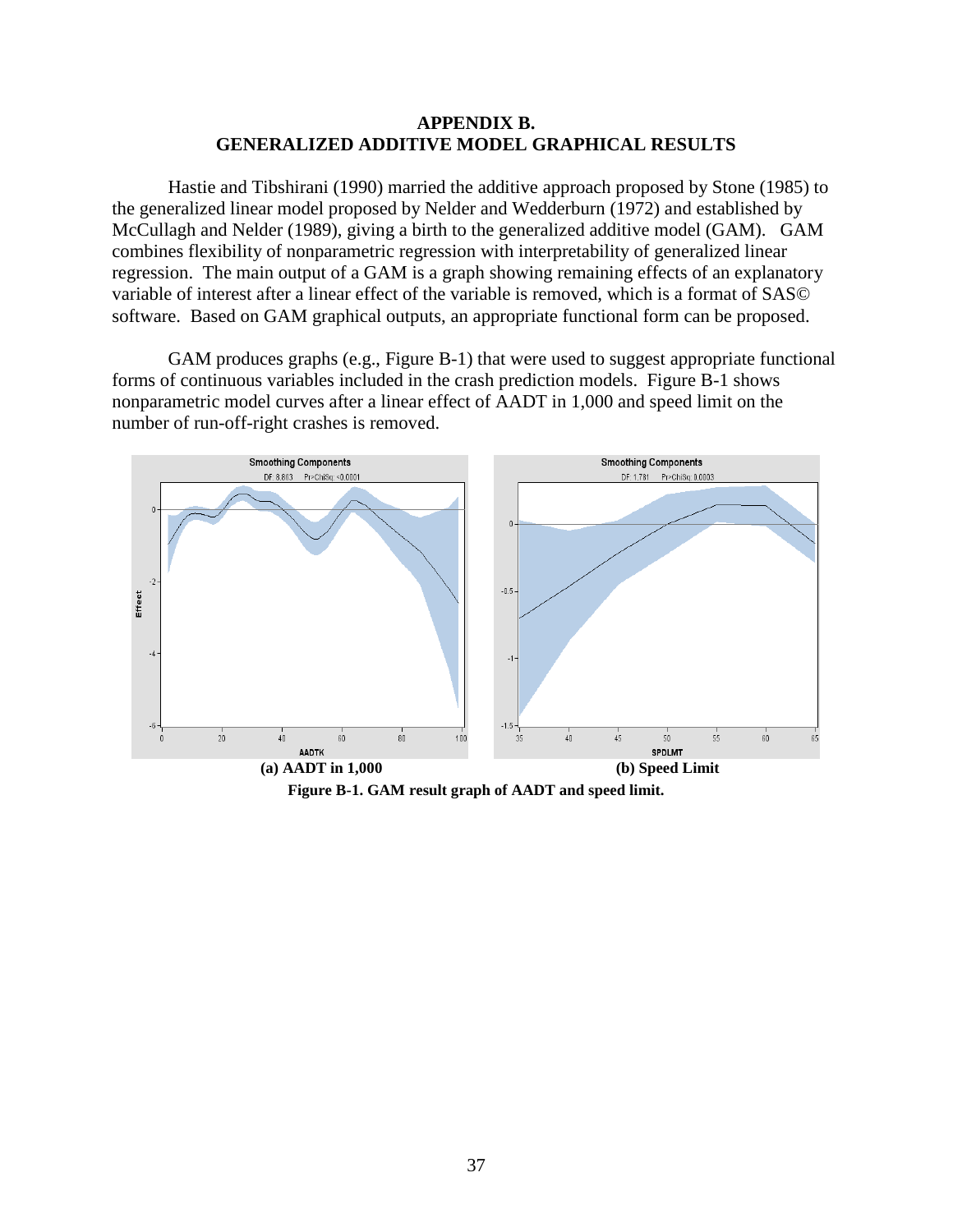### **APPENDIX B. GENERALIZED ADDITIVE MODEL GRAPHICAL RESULTS**

Hastie and Tibshirani (1990) married the additive approach proposed by Stone (1985) to the generalized linear model proposed by Nelder and Wedderburn (1972) and established by McCullagh and Nelder (1989), giving a birth to the generalized additive model (GAM). GAM combines flexibility of nonparametric regression with interpretability of generalized linear regression. The main output of a GAM is a graph showing remaining effects of an explanatory variable of interest after a linear effect of the variable is removed, which is a format of SAS© software. Based on GAM graphical outputs, an appropriate functional form can be proposed.

GAM produces graphs (e.g., Figure B-1) that were used to suggest appropriate functional forms of continuous variables included in the crash prediction models. Figure B-1 shows nonparametric model curves after a linear effect of AADT in 1,000 and speed limit on the number of run-off-right crashes is removed.



**Figure B-1. GAM result graph of AADT and speed limit.**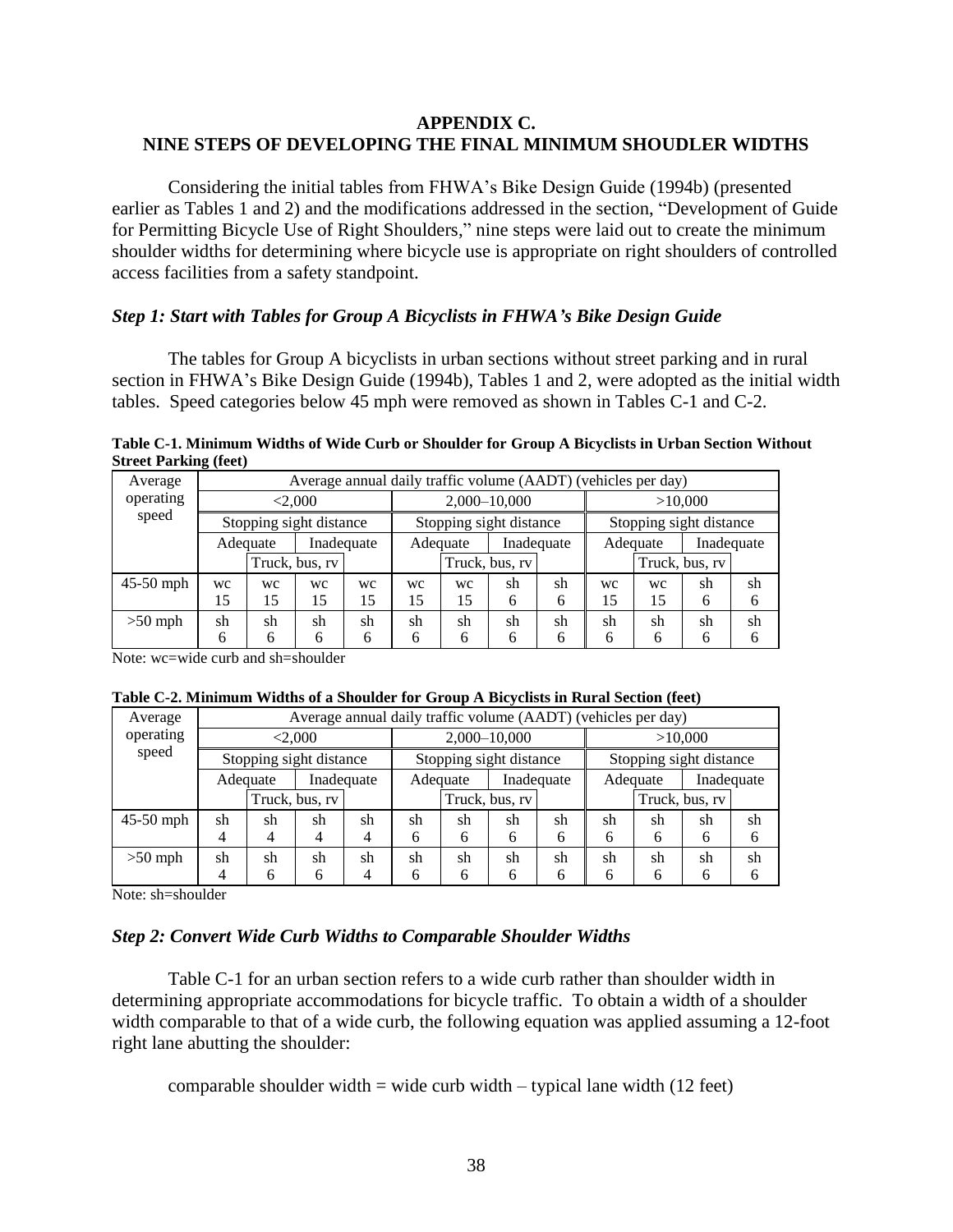## **APPENDIX C. NINE STEPS OF DEVELOPING THE FINAL MINIMUM SHOUDLER WIDTHS**

Considering the initial tables from FHWA's Bike Design Guide (1994b) (presented earlier as Tables 1 and 2) and the modifications addressed in the section, "Development of Guide for Permitting Bicycle Use of Right Shoulders," nine steps were laid out to create the minimum shoulder widths for determining where bicycle use is appropriate on right shoulders of controlled access facilities from a safety standpoint.

## *Step 1: Start with Tables for Group A Bicyclists in FHWA's Bike Design Guide*

The tables for Group A bicyclists in urban sections without street parking and in rural section in FHWA's Bike Design Guide (1994b), Tables 1 and 2, were adopted as the initial width tables. Speed categories below 45 mph were removed as shown in Tables C-1 and C-2.

**Table C-1. Minimum Widths of Wide Curb or Shoulder for Group A Bicyclists in Urban Section Without Street Parking (feet)**

| Average     |         |          | Average annual daily traffic volume (AADT) (vehicles per day) |            |                        |    |                         |    |                         |    |    |    |
|-------------|---------|----------|---------------------------------------------------------------|------------|------------------------|----|-------------------------|----|-------------------------|----|----|----|
| operating   | < 2,000 |          |                                                               |            | 2,000-10,000           |    |                         |    | >10,000                 |    |    |    |
| speed       |         |          | Stopping sight distance                                       |            |                        |    | Stopping sight distance |    | Stopping sight distance |    |    |    |
|             |         | Adequate |                                                               | Inadequate | Inadequate<br>Adequate |    |                         |    | Inadequate<br>Adequate  |    |    |    |
|             |         |          | Truck, bus, rv                                                |            | Truck, bus, rv         |    |                         |    | Truck, bus, rv          |    |    |    |
| $45-50$ mph | wc      | WC       | <b>WC</b>                                                     | wc         | wc                     | wc | sh                      | sh | wc                      | wc | sh | sh |
|             | 15      | 15       | 15                                                            | 15         | 15                     | 15 | 6                       | 6  | 15                      | 15 | 6  | 6  |
| $>50$ mph   | sh      | sh       | sh                                                            | sh         | sh                     | sh | sh                      | sh | sh                      | sh | sh | sh |
|             | 6       | 6        | 6                                                             | 6          | 6                      | 6  | 6                       | 6  | 6                       | 6  | h  |    |

Note: wc=wide curb and sh=shoulder

|  | Table C-2. Minimum Widths of a Shoulder for Group A Bicyclists in Rural Section (feet) |  |  |  |
|--|----------------------------------------------------------------------------------------|--|--|--|
|  |                                                                                        |  |  |  |

| Average     |         |          | Average annual daily traffic volume (AADT) (vehicles per day) |            |                        |    |                         |                        |                         |    |    |    |
|-------------|---------|----------|---------------------------------------------------------------|------------|------------------------|----|-------------------------|------------------------|-------------------------|----|----|----|
| operating   | < 2,000 |          |                                                               |            |                        |    | 2,000-10,000            |                        | >10,000                 |    |    |    |
| speed       |         |          | Stopping sight distance                                       |            |                        |    | Stopping sight distance |                        | Stopping sight distance |    |    |    |
|             |         | Adequate |                                                               | Inadequate | Adequate<br>Inadequate |    |                         | Adequate<br>Inadequate |                         |    |    |    |
|             |         |          | Truck, bus, rv                                                |            | Truck, bus, rv         |    |                         |                        | Truck, bus, rv          |    |    |    |
| $45-50$ mph | sh      | sh       | sh                                                            | sh         | sh                     | sh | sh                      | sh                     | sh                      | sh | sh | sh |
|             | 4       | 4        | 4                                                             | 4          | 6                      | 6  | 6                       | 6                      | 6                       | 6  | 6  | 6  |
| $>50$ mph   | sh      | sh       | sh                                                            | sh         | sh                     | sh | sh                      | sh                     | sh                      | sh | sh | sh |
|             |         | 6        | 6                                                             |            | 6                      | 6  | 6                       | 6                      | 6                       | 6  | h  |    |

Note: sh=shoulder

### *Step 2: Convert Wide Curb Widths to Comparable Shoulder Widths*

Table C-1 for an urban section refers to a wide curb rather than shoulder width in determining appropriate accommodations for bicycle traffic. To obtain a width of a shoulder width comparable to that of a wide curb, the following equation was applied assuming a 12-foot right lane abutting the shoulder:

comparable shoulder width  $=$  wide curb width  $-$  typical lane width (12 feet)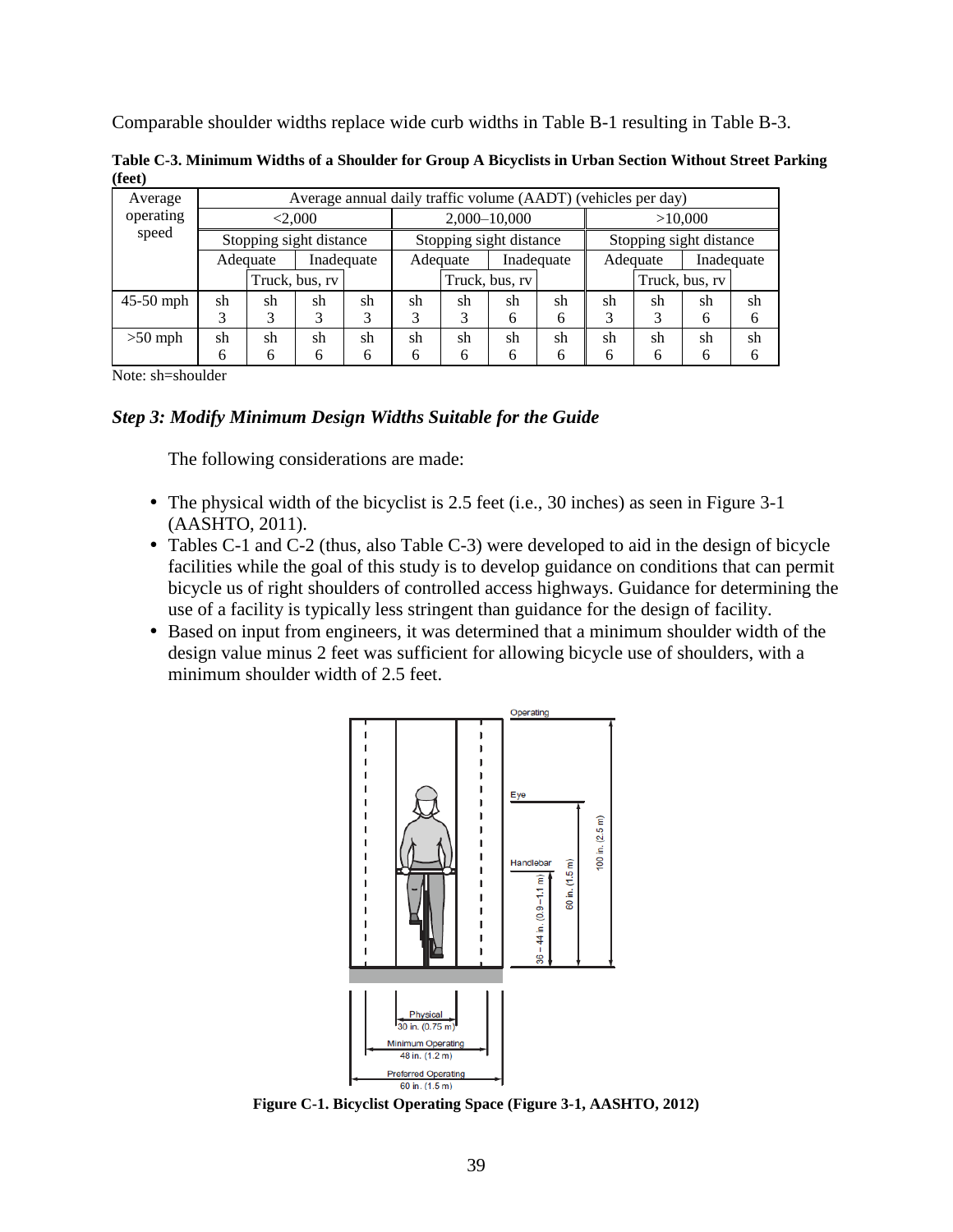Comparable shoulder widths replace wide curb widths in Table B-1 resulting in Table B-3.

**Table C-3. Minimum Widths of a Shoulder for Group A Bicyclists in Urban Section Without Street Parking (feet)**

| Average   |                         |    | Average annual daily traffic volume (AADT) (vehicles per day) |    |                         |    |                |                        |                         |    |                |    |
|-----------|-------------------------|----|---------------------------------------------------------------|----|-------------------------|----|----------------|------------------------|-------------------------|----|----------------|----|
| operating | < 2,000                 |    |                                                               |    | 2,000-10,000            |    |                |                        | >10,000                 |    |                |    |
| speed     | Stopping sight distance |    |                                                               |    | Stopping sight distance |    |                |                        | Stopping sight distance |    |                |    |
|           | Inadequate<br>Adequate  |    |                                                               |    | Inadequate<br>Adequate  |    |                | Inadequate<br>Adequate |                         |    |                |    |
|           |                         |    | Truck, bus, rv                                                |    |                         |    | Truck, bus, rv |                        |                         |    | Truck, bus, rv |    |
| 45-50 mph | sh                      | sh | sh                                                            | sh | sh                      | sh | sh             | sh                     | sh                      | sh | sh             | sh |
|           | 3                       |    | 3                                                             | 3  |                         | 3  | 6              | 6                      | 3                       | 3  | 6              | 6  |
| $>50$ mph | sh                      | sh | sh                                                            | sh | sh                      | sh | sh             | sh                     | sh                      | sh | sh             | sh |
|           | 6                       | 6  |                                                               | 6  | 6                       | 6  | 6              | 6                      | 6                       | 6  | 6              | 6  |

Note: sh=shoulder

## *Step 3: Modify Minimum Design Widths Suitable for the Guide*

The following considerations are made:

- The physical width of the bicyclist is 2.5 feet (i.e., 30 inches) as seen in Figure 3-1 (AASHTO, 2011).
- Tables C-1 and C-2 (thus, also Table C-3) were developed to aid in the design of bicycle facilities while the goal of this study is to develop guidance on conditions that can permit bicycle us of right shoulders of controlled access highways. Guidance for determining the use of a facility is typically less stringent than guidance for the design of facility.
- Based on input from engineers, it was determined that a minimum shoulder width of the design value minus 2 feet was sufficient for allowing bicycle use of shoulders, with a minimum shoulder width of 2.5 feet.



**Figure C-1. Bicyclist Operating Space (Figure 3-1, AASHTO, 2012)**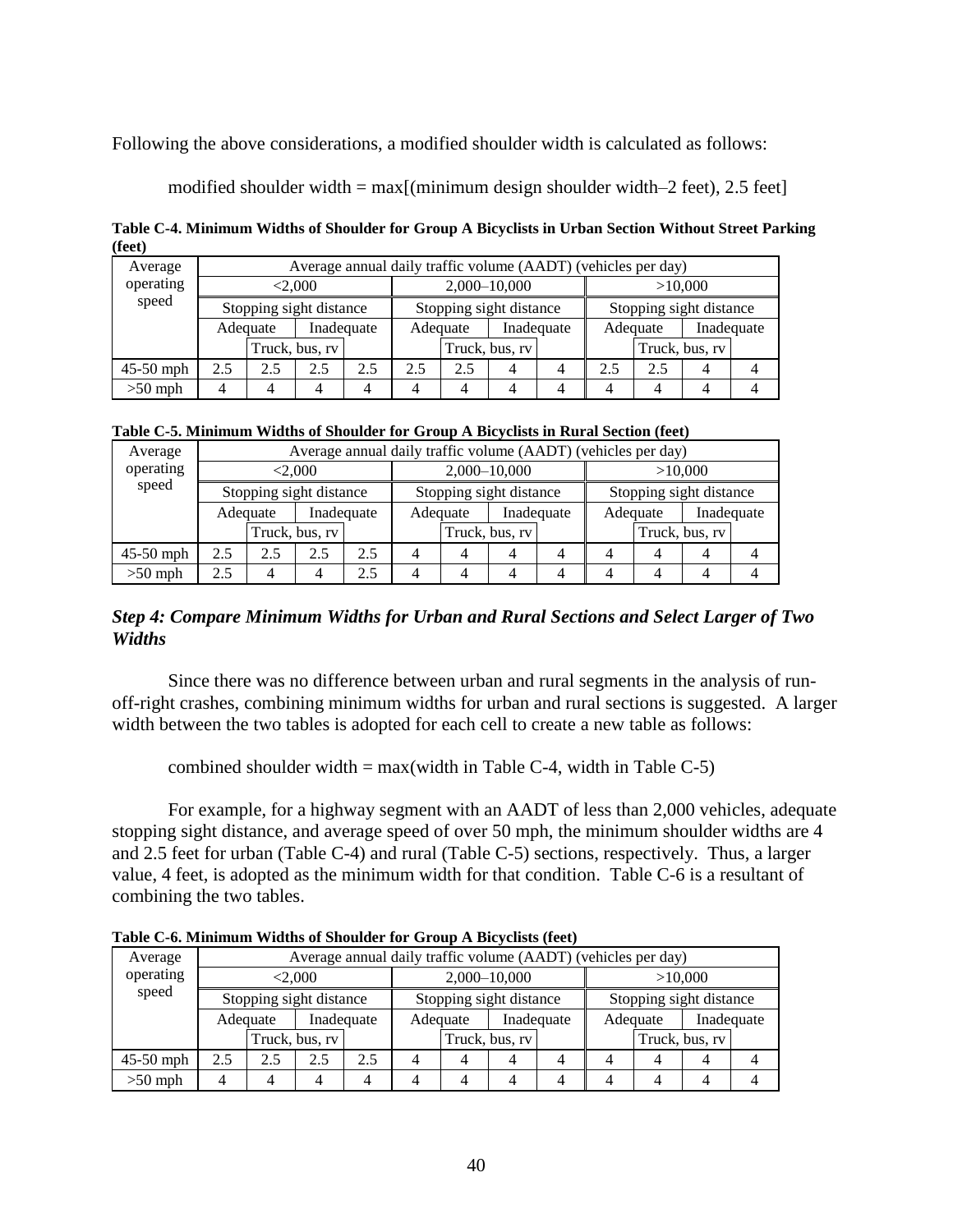Following the above considerations, a modified shoulder width is calculated as follows:

modified shoulder width  $= max[(minimum design shoulder width-2 feet), 2.5 feet]$ 

**Table C-4. Minimum Widths of Shoulder for Group A Bicyclists in Urban Section Without Street Parking (feet)**

| Average     |                        | Average annual daily traffic volume (AADT) (vehicles per day) |                         |     |                         |     |                |   |                         |     |                |  |  |
|-------------|------------------------|---------------------------------------------------------------|-------------------------|-----|-------------------------|-----|----------------|---|-------------------------|-----|----------------|--|--|
| operating   | < 2.000                |                                                               |                         |     | 2,000-10,000            |     |                |   | >10,000                 |     |                |  |  |
| speed       |                        |                                                               | Stopping sight distance |     | Stopping sight distance |     |                |   | Stopping sight distance |     |                |  |  |
|             | Inadequate<br>Adequate |                                                               |                         |     | Adequate                |     | Inadequate     |   | Adequate                |     | Inadequate     |  |  |
|             |                        |                                                               | Truck, bus, rv          |     |                         |     | Truck, bus, rv |   |                         |     | Truck, bus, rv |  |  |
| $45-50$ mph | 2.5                    | 2.5                                                           | 2.5                     | 2.5 | 2.5                     | 2.5 |                | 4 | 2.5                     | 2.5 | 4              |  |  |
| $>50$ mph   | 4                      |                                                               |                         | 4   |                         | 4   |                | 4 | 4                       |     | 4              |  |  |

| Average     |                         |     | Average annual daily traffic volume (AADT) (vehicles per day) |     |                         |              |                |         |                         |  |                |  |
|-------------|-------------------------|-----|---------------------------------------------------------------|-----|-------------------------|--------------|----------------|---------|-------------------------|--|----------------|--|
| operating   | < 2,000                 |     |                                                               |     |                         | 2,000-10,000 |                | >10,000 |                         |  |                |  |
| speed       | Stopping sight distance |     |                                                               |     | Stopping sight distance |              |                |         | Stopping sight distance |  |                |  |
|             | Inadequate<br>Adequate  |     |                                                               |     | Adequate                |              | Inadequate     |         | Adequate                |  | Inadequate     |  |
|             |                         |     | Truck, bus, rv                                                |     |                         |              | Truck, bus, rv |         |                         |  | Truck, bus, rv |  |
| $45-50$ mph | 2.5                     | 2.5 | 2.5                                                           | 2.5 |                         | 4            |                |         |                         |  |                |  |
| $>50$ mph   | 2.5                     |     |                                                               | 2.5 |                         | 4            |                |         | 4                       |  |                |  |

## *Step 4: Compare Minimum Widths for Urban and Rural Sections and Select Larger of Two Widths*

Since there was no difference between urban and rural segments in the analysis of runoff-right crashes, combining minimum widths for urban and rural sections is suggested. A larger width between the two tables is adopted for each cell to create a new table as follows:

combined shoulder width  $= max(width \text{ in Table C-4}, width \text{ in Table C-5})$ 

For example, for a highway segment with an AADT of less than 2,000 vehicles, adequate stopping sight distance, and average speed of over 50 mph, the minimum shoulder widths are 4 and 2.5 feet for urban (Table C-4) and rural (Table C-5) sections, respectively. Thus, a larger value, 4 feet, is adopted as the minimum width for that condition. Table C-6 is a resultant of combining the two tables.

| Average     |                         | Average annual daily traffic volume (AADT) (vehicles per day) |     |          |                         |            |              |          |                         |   |  |  |
|-------------|-------------------------|---------------------------------------------------------------|-----|----------|-------------------------|------------|--------------|----------|-------------------------|---|--|--|
| operating   | < 2.000                 |                                                               |     |          |                         |            | 2,000-10,000 |          | >10,000                 |   |  |  |
| speed       | Stopping sight distance |                                                               |     |          | Stopping sight distance |            |              |          | Stopping sight distance |   |  |  |
|             | Inadequate<br>Adequate  |                                                               |     | Adequate |                         | Inadequate |              | Adequate | Inadequate              |   |  |  |
|             | Truck, bus, rv          |                                                               |     |          | Truck, bus, rv          |            |              |          | Truck, bus, rv          |   |  |  |
| $45-50$ mph | 2.5                     | 2.5                                                           | 2.5 | 2.5      | 4                       | 4          |              |          | 4                       | 4 |  |  |
| $>50$ mph   | 4                       |                                                               |     | 4        |                         |            |              |          | 4                       |   |  |  |

**Table C-6. Minimum Widths of Shoulder for Group A Bicyclists (feet)**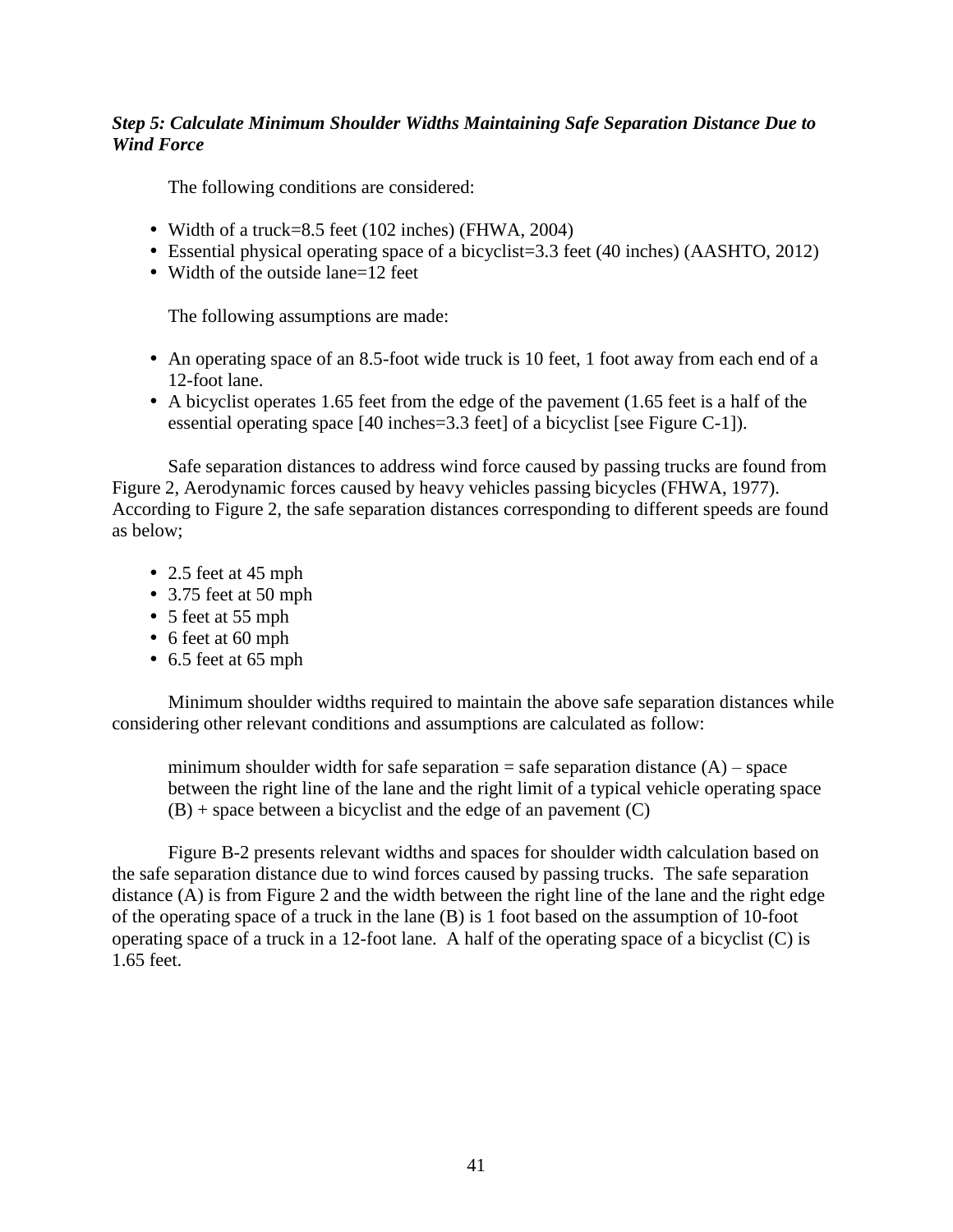## *Step 5: Calculate Minimum Shoulder Widths Maintaining Safe Separation Distance Due to Wind Force*

The following conditions are considered:

- Width of a truck=8.5 feet (102 inches) (FHWA, 2004)
- Essential physical operating space of a bicyclist=3.3 feet (40 inches) (AASHTO, 2012)
- Width of the outside lane=12 feet

The following assumptions are made:

- An operating space of an 8.5-foot wide truck is 10 feet, 1 foot away from each end of a 12-foot lane.
- A bicyclist operates 1.65 feet from the edge of the pavement (1.65 feet is a half of the essential operating space [40 inches=3.3 feet] of a bicyclist [see Figure C-1]).

Safe separation distances to address wind force caused by passing trucks are found from Figure 2, Aerodynamic forces caused by heavy vehicles passing bicycles (FHWA, 1977). According to Figure 2, the safe separation distances corresponding to different speeds are found as below;

- 2.5 feet at 45 mph
- 3.75 feet at 50 mph
- 5 feet at 55 mph
- 6 feet at 60 mph
- 6.5 feet at 65 mph

Minimum shoulder widths required to maintain the above safe separation distances while considering other relevant conditions and assumptions are calculated as follow:

minimum shoulder width for safe separation = safe separation distance  $(A)$  – space between the right line of the lane and the right limit of a typical vehicle operating space  $(B)$  + space between a bicyclist and the edge of an pavement  $(C)$ 

Figure B-2 presents relevant widths and spaces for shoulder width calculation based on the safe separation distance due to wind forces caused by passing trucks. The safe separation distance (A) is from Figure 2 and the width between the right line of the lane and the right edge of the operating space of a truck in the lane (B) is 1 foot based on the assumption of 10-foot operating space of a truck in a 12-foot lane. A half of the operating space of a bicyclist (C) is 1.65 feet.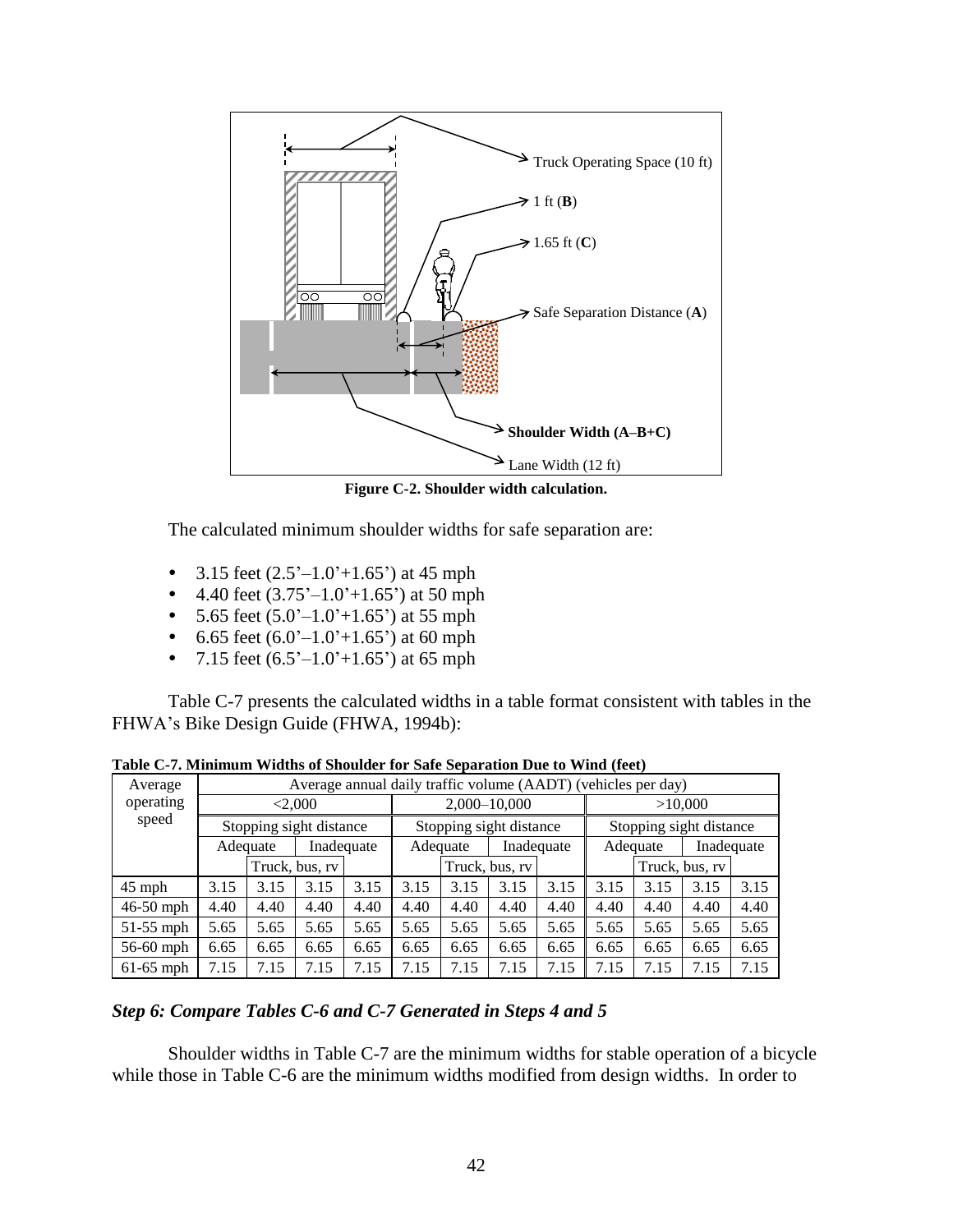

**Figure C-2. Shoulder width calculation.**

The calculated minimum shoulder widths for safe separation are:

- 3.15 feet  $(2.5^{\degree}-1.0^{\degree}+1.65^{\degree})$  at 45 mph
- 4.40 feet  $(3.75^{\circ}-1.0^{\circ}+1.65^{\circ})$  at 50 mph
- 5.65 feet  $(5.0^{\circ}-1.0^{\circ}+1.65^{\circ})$  at 55 mph
- 6.65 feet  $(6.0^{\degree}-1.0^{\degree}+1.65^{\degree})$  at 60 mph
- 7.15 feet  $(6.5^{\degree}-1.0^{\degree}+1.65^{\degree})$  at 65 mph

Table C-7 presents the calculated widths in a table format consistent with tables in the FHWA's Bike Design Guide (FHWA, 1994b):

| Average     |                         | Average annual daily traffic volume (AADT) (vehicles per day) |                |              |                         |      |            |                        |                         |      |      |      |  |
|-------------|-------------------------|---------------------------------------------------------------|----------------|--------------|-------------------------|------|------------|------------------------|-------------------------|------|------|------|--|
| operating   | < 2,000                 |                                                               |                | 2,000-10,000 |                         |      |            | >10,000                |                         |      |      |      |  |
| speed       | Stopping sight distance |                                                               |                |              | Stopping sight distance |      |            |                        | Stopping sight distance |      |      |      |  |
|             | Inadequate<br>Adequate  |                                                               |                |              | Adequate                |      | Inadequate | Inadequate<br>Adequate |                         |      |      |      |  |
|             |                         |                                                               | Truck, bus, rv |              | Truck, bus, rv          |      |            |                        | Truck, bus, rv          |      |      |      |  |
| $45$ mph    | 3.15                    | 3.15                                                          | 3.15           | 3.15         | 3.15                    | 3.15 | 3.15       | 3.15                   | 3.15                    | 3.15 | 3.15 | 3.15 |  |
| $46-50$ mph | 4.40                    | 4.40                                                          | 4.40           | 4.40         | 4.40                    | 4.40 | 4.40       | 4.40                   | 4.40                    | 4.40 | 4.40 | 4.40 |  |
| 51-55 mph   | 5.65                    | 5.65                                                          | 5.65           | 5.65         | 5.65                    | 5.65 | 5.65       | 5.65                   | 5.65                    | 5.65 | 5.65 | 5.65 |  |
| 56-60 mph   | 6.65                    | 6.65                                                          | 6.65           | 6.65         | 6.65                    | 6.65 | 6.65       | 6.65                   | 6.65                    | 6.65 | 6.65 | 6.65 |  |
| $61-65$ mph | 7.15                    | 7.15                                                          | 7.15           | 7.15         | 7.15                    | 7.15 | 7.15       | 7.15                   | 7.15                    | 7.15 | 7.15 | 7.15 |  |

**Table C-7. Minimum Widths of Shoulder for Safe Separation Due to Wind (feet)**

## *Step 6: Compare Tables C-6 and C-7 Generated in Steps 4 and 5*

Shoulder widths in Table C-7 are the minimum widths for stable operation of a bicycle while those in Table C-6 are the minimum widths modified from design widths. In order to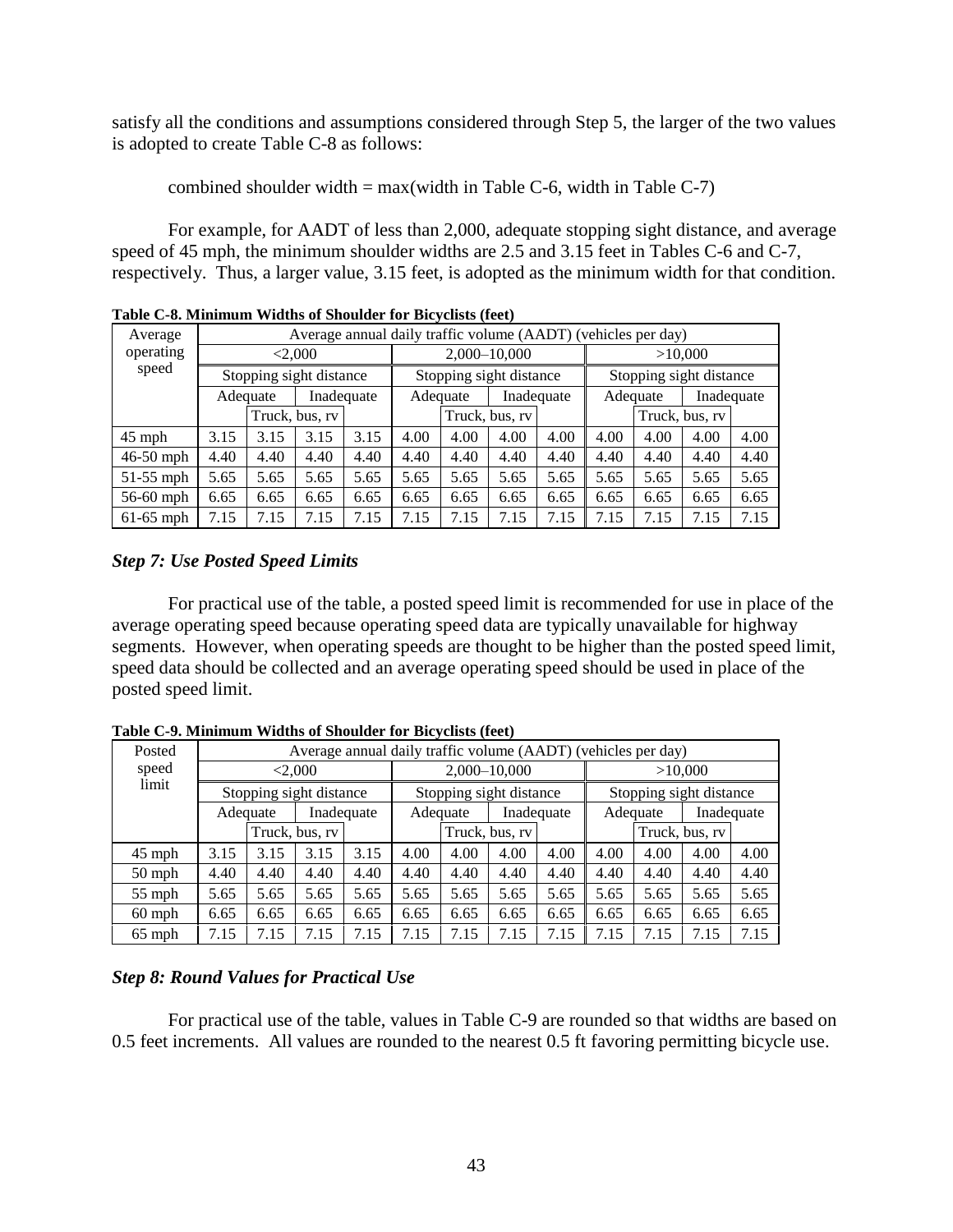satisfy all the conditions and assumptions considered through Step 5, the larger of the two values is adopted to create Table C-8 as follows:

combined shoulder width  $= max(width \text{ in Table C-6}, width \text{ in Table C-7})$ 

For example, for AADT of less than 2,000, adequate stopping sight distance, and average speed of 45 mph, the minimum shoulder widths are 2.5 and 3.15 feet in Tables C-6 and C-7, respectively. Thus, a larger value, 3.15 feet, is adopted as the minimum width for that condition.

|             | Table C-8. Minimum Widdls of Shoulder for Bicyclists (feet) |      |                |      |                         |                        |                |      |                        |                                                               |                |      |  |
|-------------|-------------------------------------------------------------|------|----------------|------|-------------------------|------------------------|----------------|------|------------------------|---------------------------------------------------------------|----------------|------|--|
| Average     |                                                             |      |                |      |                         |                        |                |      |                        | Average annual daily traffic volume (AADT) (vehicles per day) |                |      |  |
| operating   | < 2,000                                                     |      |                |      |                         |                        | 2,000-10,000   |      | >10,000                |                                                               |                |      |  |
| speed       | Stopping sight distance                                     |      |                |      | Stopping sight distance |                        |                |      |                        | Stopping sight distance                                       |                |      |  |
|             | Inadequate<br>Adequate                                      |      |                |      |                         | Inadequate<br>Adequate |                |      | Inadequate<br>Adequate |                                                               |                |      |  |
|             |                                                             |      | Truck, bus, rv |      |                         |                        | Truck, bus, rv |      |                        |                                                               | Truck, bus, rv |      |  |
| $45$ mph    | 3.15                                                        | 3.15 | 3.15           | 3.15 | 4.00                    | 4.00                   | 4.00           | 4.00 | 4.00                   | 4.00                                                          | 4.00           | 4.00 |  |
| $46-50$ mph | 4.40                                                        | 4.40 | 4.40           | 4.40 | 4.40                    | 4.40                   | 4.40           | 4.40 | 4.40                   | 4.40                                                          | 4.40           | 4.40 |  |
| $51-55$ mph | 5.65                                                        | 5.65 | 5.65           | 5.65 | 5.65                    | 5.65                   | 5.65           | 5.65 | 5.65                   | 5.65                                                          | 5.65           | 5.65 |  |
| 56-60 mph   | 6.65                                                        | 6.65 | 6.65           | 6.65 | 6.65                    | 6.65                   | 6.65           | 6.65 | 6.65                   | 6.65                                                          | 6.65           | 6.65 |  |
| $61-65$ mph | 7.15                                                        | 7.15 | 7.15           | 7.15 | 7.15                    | 7.15                   | 7.15           | 7.15 | 7.15                   | 7.15                                                          | 7.15           | 7.15 |  |

**Table C-8. Minimum Widths of Shoulder for Bicyclists (feet)**

# *Step 7: Use Posted Speed Limits*

For practical use of the table, a posted speed limit is recommended for use in place of the average operating speed because operating speed data are typically unavailable for highway segments. However, when operating speeds are thought to be higher than the posted speed limit, speed data should be collected and an average operating speed should be used in place of the posted speed limit.

| Posted   |                         | Average annual daily traffic volume (AADT) (vehicles per day) |                |      |                         |              |                |                        |                         |         |                |      |  |
|----------|-------------------------|---------------------------------------------------------------|----------------|------|-------------------------|--------------|----------------|------------------------|-------------------------|---------|----------------|------|--|
| speed    |                         | < 2,000                                                       |                |      |                         | 2,000-10,000 |                |                        |                         | >10,000 |                |      |  |
| limit    | Stopping sight distance |                                                               |                |      | Stopping sight distance |              |                |                        | Stopping sight distance |         |                |      |  |
|          | Inadequate<br>Adequate  |                                                               |                |      | Inadequate<br>Adequate  |              |                | Inadequate<br>Adequate |                         |         |                |      |  |
|          |                         |                                                               | Truck, bus, rv |      |                         |              | Truck, bus, rv |                        |                         |         | Truck, bus, rv |      |  |
| $45$ mph | 3.15                    | 3.15                                                          | 3.15           | 3.15 | 4.00                    | 4.00         | 4.00           | 4.00                   | 4.00                    | 4.00    | 4.00           | 4.00 |  |
| $50$ mph | 4.40                    | 4.40                                                          | 4.40           | 4.40 | 4.40                    | 4.40         | 4.40           | 4.40                   | 4.40                    | 4.40    | 4.40           | 4.40 |  |
| $55$ mph | 5.65                    | 5.65                                                          | 5.65           | 5.65 | 5.65                    | 5.65         | 5.65           | 5.65                   | 5.65                    | 5.65    | 5.65           | 5.65 |  |
| $60$ mph | 6.65                    | 6.65                                                          | 6.65           | 6.65 | 6.65                    | 6.65         | 6.65           | 6.65                   | 6.65                    | 6.65    | 6.65           | 6.65 |  |
| $65$ mph | 7.15                    | 7.15                                                          | 7.15           | 7.15 | 7.15                    | 7.15         | 7.15           | 7.15                   | 7.15                    | 7.15    | 7.15           | 7.15 |  |

**Table C-9. Minimum Widths of Shoulder for Bicyclists (feet)**

# *Step 8: Round Values for Practical Use*

For practical use of the table, values in Table C-9 are rounded so that widths are based on 0.5 feet increments. All values are rounded to the nearest 0.5 ft favoring permitting bicycle use.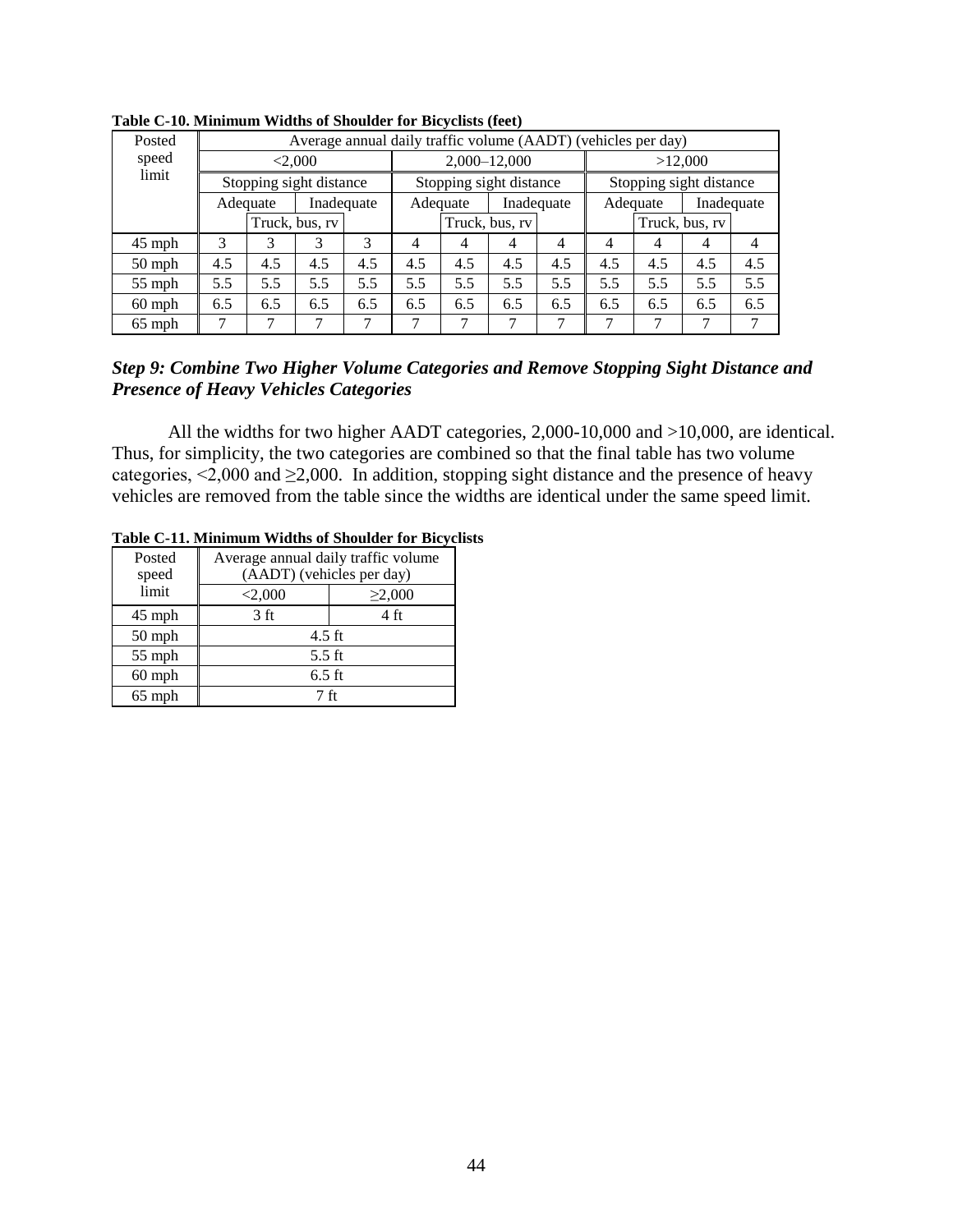| Posted   |                         | Average annual daily traffic volume (AADT) (vehicles per day) |                |                         |                        |     |                |                         |         |     |     |                |
|----------|-------------------------|---------------------------------------------------------------|----------------|-------------------------|------------------------|-----|----------------|-------------------------|---------|-----|-----|----------------|
| speed    | < 2,000                 |                                                               |                |                         | 2,000-12,000           |     |                |                         | >12,000 |     |     |                |
| limit    | Stopping sight distance |                                                               |                | Stopping sight distance |                        |     |                | Stopping sight distance |         |     |     |                |
|          | Inadequate<br>Adequate  |                                                               |                |                         | Inadequate<br>Adequate |     |                | Inadequate<br>Adequate  |         |     |     |                |
|          |                         |                                                               | Truck, bus, rv |                         | Truck, bus, rv         |     | Truck, bus, rv |                         |         |     |     |                |
| $45$ mph | 3                       |                                                               | 3              | 3                       | 4                      | 4   | 4              | $\overline{4}$          | 4       | 4   | 4   | $\overline{4}$ |
| $50$ mph | 4.5                     | 4.5                                                           | 4.5            | 4.5                     | 4.5                    | 4.5 | 4.5            | 4.5                     | 4.5     | 4.5 | 4.5 | 4.5            |
| $55$ mph | 5.5                     | 5.5                                                           | 5.5            | 5.5                     | 5.5                    | 5.5 | 5.5            | 5.5                     | 5.5     | 5.5 | 5.5 | 5.5            |
| $60$ mph | 6.5                     | 6.5                                                           | 6.5            | 6.5                     | 6.5                    | 6.5 | 6.5            | 6.5                     | 6.5     | 6.5 | 6.5 | 6.5            |
| $65$ mph |                         |                                                               |                |                         | 7                      |     |                |                         |         | 7   |     |                |

**Table C-10. Minimum Widths of Shoulder for Bicyclists (feet)**

## *Step 9: Combine Two Higher Volume Categories and Remove Stopping Sight Distance and Presence of Heavy Vehicles Categories*

All the widths for two higher AADT categories, 2,000-10,000 and >10,000, are identical. Thus, for simplicity, the two categories are combined so that the final table has two volume categories,  $\leq 2,000$  and  $\geq 2,000$ . In addition, stopping sight distance and the presence of heavy vehicles are removed from the table since the widths are identical under the same speed limit.

| Posted<br>speed | Average annual daily traffic volume<br>(AADT) (vehicles per day) |                |  |  |  |  |  |  |
|-----------------|------------------------------------------------------------------|----------------|--|--|--|--|--|--|
| limit           | < 2,000                                                          | $\geq 2,000$   |  |  |  |  |  |  |
| $45$ mph        | 3 ft                                                             | $4 \text{ ft}$ |  |  |  |  |  |  |
| 50 mph          | $4.5$ ft                                                         |                |  |  |  |  |  |  |
| 55 mph          | $5.5$ ft                                                         |                |  |  |  |  |  |  |
| $60$ mph        | $6.5$ ft                                                         |                |  |  |  |  |  |  |
| $65$ mph        | 7 ft                                                             |                |  |  |  |  |  |  |

#### **Table C-11. Minimum Widths of Shoulder for Bicyclists**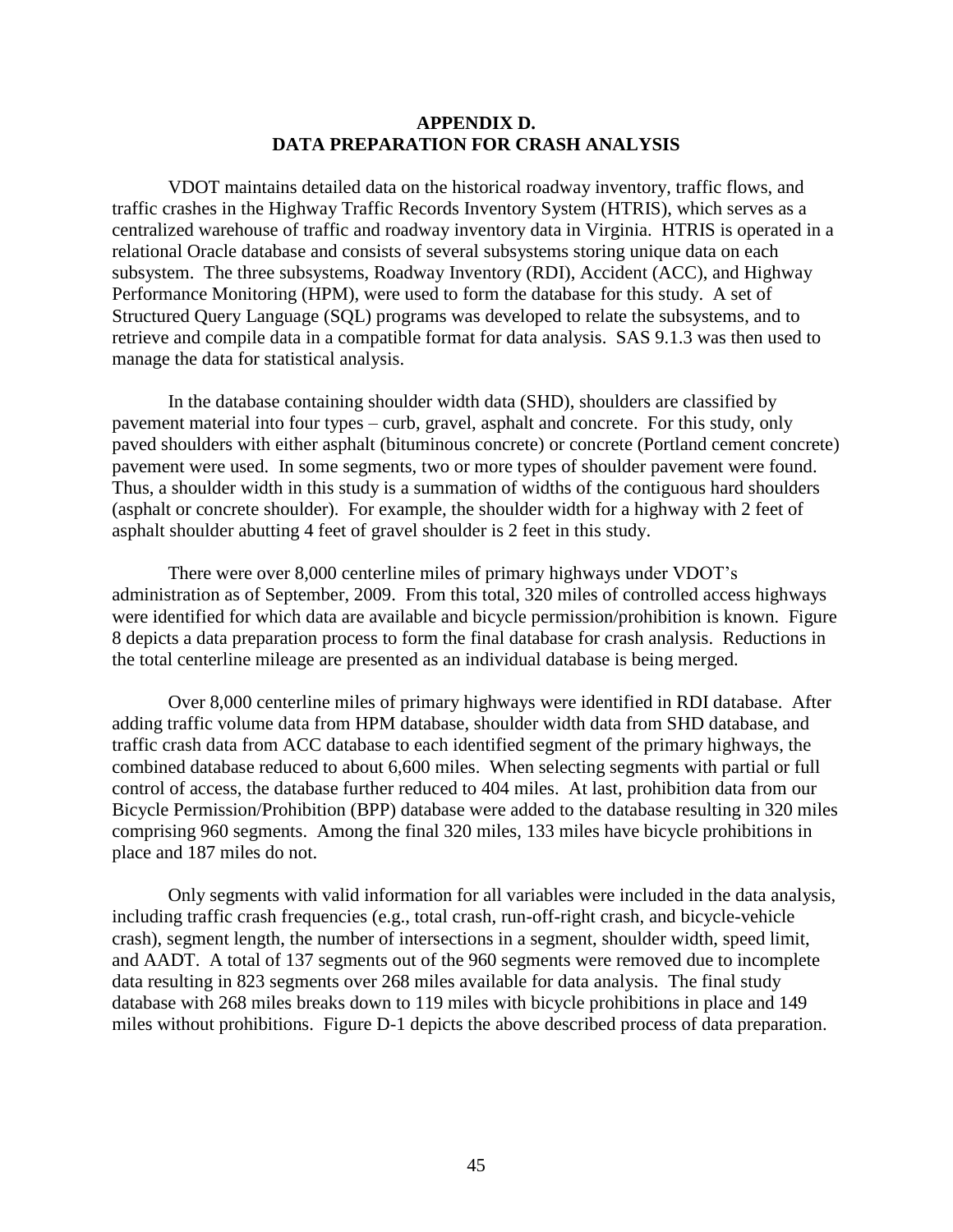### **APPENDIX D. DATA PREPARATION FOR CRASH ANALYSIS**

VDOT maintains detailed data on the historical roadway inventory, traffic flows, and traffic crashes in the Highway Traffic Records Inventory System (HTRIS), which serves as a centralized warehouse of traffic and roadway inventory data in Virginia. HTRIS is operated in a relational Oracle database and consists of several subsystems storing unique data on each subsystem. The three subsystems, Roadway Inventory (RDI), Accident (ACC), and Highway Performance Monitoring (HPM), were used to form the database for this study. A set of Structured Query Language (SQL) programs was developed to relate the subsystems, and to retrieve and compile data in a compatible format for data analysis. SAS 9.1.3 was then used to manage the data for statistical analysis.

In the database containing shoulder width data (SHD), shoulders are classified by pavement material into four types – curb, gravel, asphalt and concrete. For this study, only paved shoulders with either asphalt (bituminous concrete) or concrete (Portland cement concrete) pavement were used. In some segments, two or more types of shoulder pavement were found. Thus, a shoulder width in this study is a summation of widths of the contiguous hard shoulders (asphalt or concrete shoulder). For example, the shoulder width for a highway with 2 feet of asphalt shoulder abutting 4 feet of gravel shoulder is 2 feet in this study.

There were over 8,000 centerline miles of primary highways under VDOT's administration as of September, 2009. From this total, 320 miles of controlled access highways were identified for which data are available and bicycle permission/prohibition is known. Figure 8 depicts a data preparation process to form the final database for crash analysis. Reductions in the total centerline mileage are presented as an individual database is being merged.

Over 8,000 centerline miles of primary highways were identified in RDI database. After adding traffic volume data from HPM database, shoulder width data from SHD database, and traffic crash data from ACC database to each identified segment of the primary highways, the combined database reduced to about 6,600 miles. When selecting segments with partial or full control of access, the database further reduced to 404 miles. At last, prohibition data from our Bicycle Permission/Prohibition (BPP) database were added to the database resulting in 320 miles comprising 960 segments. Among the final 320 miles, 133 miles have bicycle prohibitions in place and 187 miles do not.

Only segments with valid information for all variables were included in the data analysis, including traffic crash frequencies (e.g., total crash, run-off-right crash, and bicycle-vehicle crash), segment length, the number of intersections in a segment, shoulder width, speed limit, and AADT. A total of 137 segments out of the 960 segments were removed due to incomplete data resulting in 823 segments over 268 miles available for data analysis. The final study database with 268 miles breaks down to 119 miles with bicycle prohibitions in place and 149 miles without prohibitions. Figure D-1 depicts the above described process of data preparation.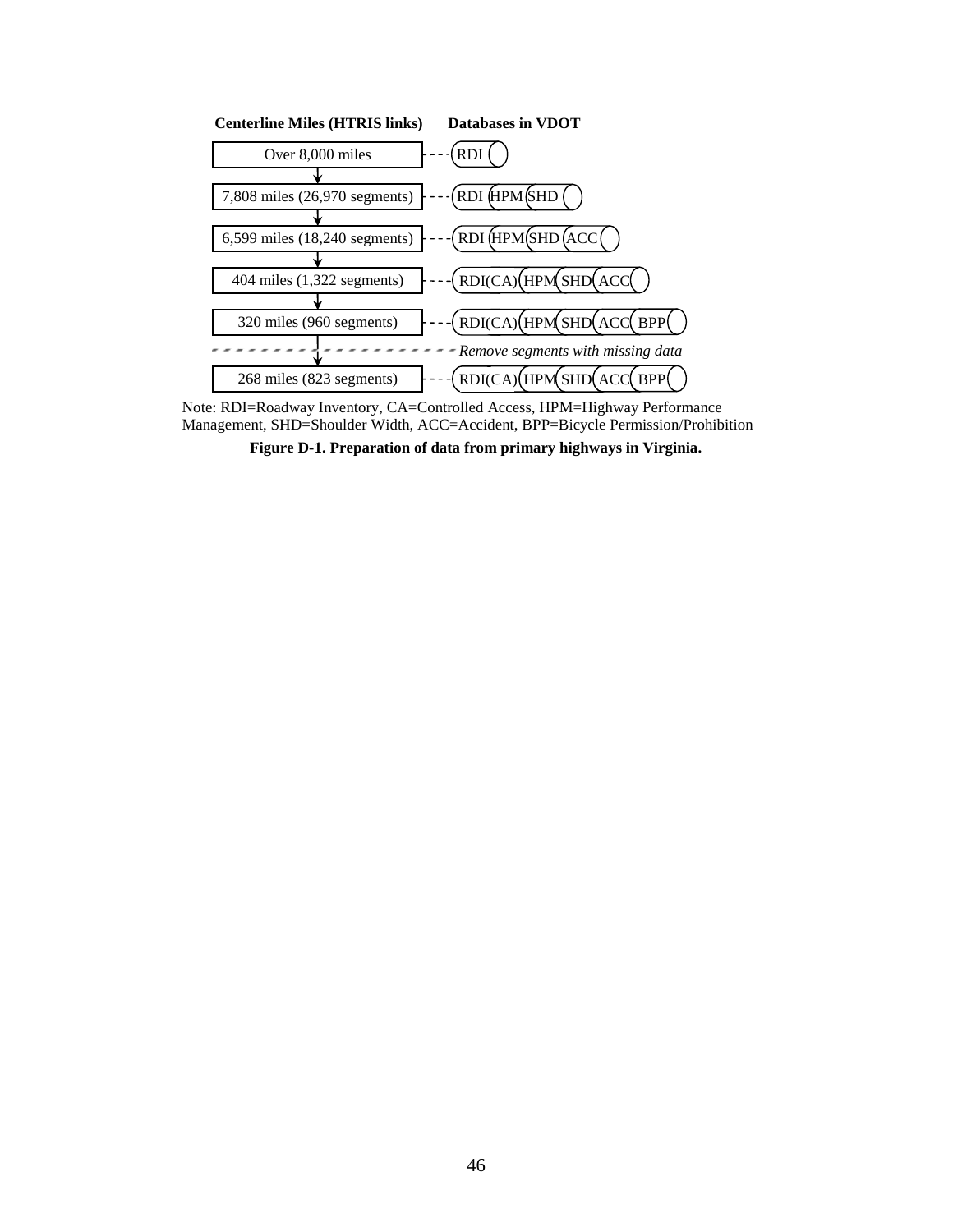

Note: RDI=Roadway Inventory, CA=Controlled Access, HPM=Highway Performance Management, SHD=Shoulder Width, ACC=Accident, BPP=Bicycle Permission/Prohibition

**Figure D-1. Preparation of data from primary highways in Virginia.**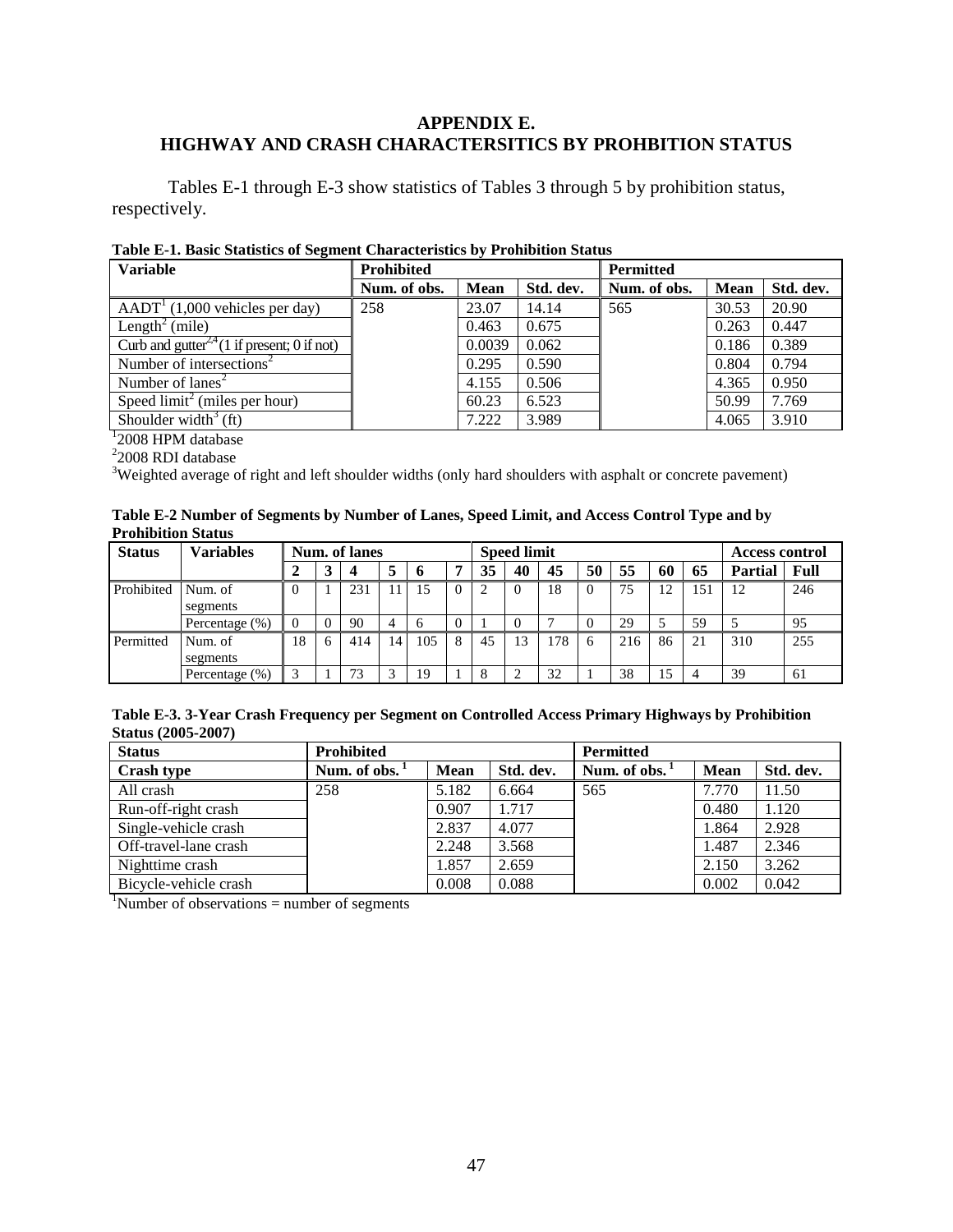## **APPENDIX E. HIGHWAY AND CRASH CHARACTERSITICS BY PROHBITION STATUS**

Tables E-1 through E-3 show statistics of Tables 3 through 5 by prohibition status, respectively.

|  | Table E-1. Basic Statistics of Segment Characteristics by Prohibition Status |
|--|------------------------------------------------------------------------------|
|--|------------------------------------------------------------------------------|

| <b>Variable</b>                                         | Prohibited   |             |           | <b>Permitted</b> |       |           |  |  |
|---------------------------------------------------------|--------------|-------------|-----------|------------------|-------|-----------|--|--|
|                                                         | Num. of obs. | <b>Mean</b> | Std. dev. | Num. of obs.     | Mean  | Std. dev. |  |  |
| $AADT1$ (1,000 vehicles per day)                        | 258          | 23.07       | 14.14     | 565              | 30.53 | 20.90     |  |  |
| Length <sup>2</sup> (mile)                              |              | 0.463       | 0.675     |                  | 0.263 | 0.447     |  |  |
| Curb and gutter <sup>2,4</sup> (1 if present; 0 if not) |              | 0.0039      | 0.062     |                  | 0.186 | 0.389     |  |  |
| Number of intersections <sup>2</sup>                    |              | 0.295       | 0.590     |                  | 0.804 | 0.794     |  |  |
| Number of $lanes2$                                      |              | 4.155       | 0.506     |                  | 4.365 | 0.950     |  |  |
| Speed $limit2$ (miles per hour)                         |              | 60.23       | 6.523     |                  | 50.99 | 7.769     |  |  |
| Shoulder width <sup>3</sup> (ft)                        |              | 7.222       | 3.989     |                  | 4.065 | 3.910     |  |  |
| <sup>1</sup> 2008 HPM database                          |              |             |           |                  |       |           |  |  |
| $22008$ RDI database                                    |              |             |           |                  |       |           |  |  |

<sup>3</sup>Weighted average of right and left shoulder widths (only hard shoulders with asphalt or concrete pavement)

| Table E-2 Number of Segments by Number of Lanes, Speed Limit, and Access Control Type and by |  |
|----------------------------------------------------------------------------------------------|--|
| <b>Prohibition Status</b>                                                                    |  |

| <b>Status</b> | Variables           | Num. of lanes |          |     |    | <b>Speed limit</b> |          |    |          |     |    | <b>Access control</b> |    |     |                |      |
|---------------|---------------------|---------------|----------|-----|----|--------------------|----------|----|----------|-----|----|-----------------------|----|-----|----------------|------|
|               |                     |               | 3        |     |    | $\mathbf b$        |          | 35 | 40       | 45  | 50 | 55                    | 60 | 65  | <b>Partial</b> | Full |
| Prohibited    | Num. of<br>segments |               |          | 231 | 11 | 15                 | $\Omega$ | 2  | $\Omega$ | 18  |    | 75                    | 12 | 151 | 12             | 246  |
|               | Percentage (%)      |               | $\Omega$ | 90  |    | . რ                |          |    | $\theta$ |     |    | 29                    |    | 59  |                | 95   |
| Permitted     | Num. of<br>segments | 18            | 6        | 414 | 14 | 105                | 8        | 45 | 13       | 178 | 6  | 216                   | 86 | 21  | 310            | 255  |
|               | Percentage (%)      |               |          | 73  |    | 19                 |          | 8  |          | 32  |    | 38                    | 15 |     | 39             | 61   |

| Table E-3. 3-Year Crash Frequency per Segment on Controlled Access Primary Highways by Prohibition |  |
|----------------------------------------------------------------------------------------------------|--|
| <b>Status (2005-2007)</b>                                                                          |  |

| <b>Status</b>         | <b>Prohibited</b>         |             |           | <b>Permitted</b> |             |           |
|-----------------------|---------------------------|-------------|-----------|------------------|-------------|-----------|
| <b>Crash type</b>     | Num. of obs. <sup>1</sup> | <b>Mean</b> | Std. dev. | Num. of obs.     | <b>Mean</b> | Std. dev. |
| All crash             | 258                       | 5.182       | 6.664     | 565              | 7.770       | 11.50     |
| Run-off-right crash   |                           | 0.907       | 1.717     |                  | 0.480       | 1.120     |
| Single-vehicle crash  |                           | 2.837       | 4.077     |                  | 1.864       | 2.928     |
| Off-travel-lane crash |                           | 2.248       | 3.568     |                  | 1.487       | 2.346     |
| Nighttime crash       |                           | 1.857       | 2.659     |                  | 2.150       | 3.262     |
| Bicycle-vehicle crash |                           | 0.008       | 0.088     |                  | 0.002       | 0.042     |

 $1$ Number of observations = number of segments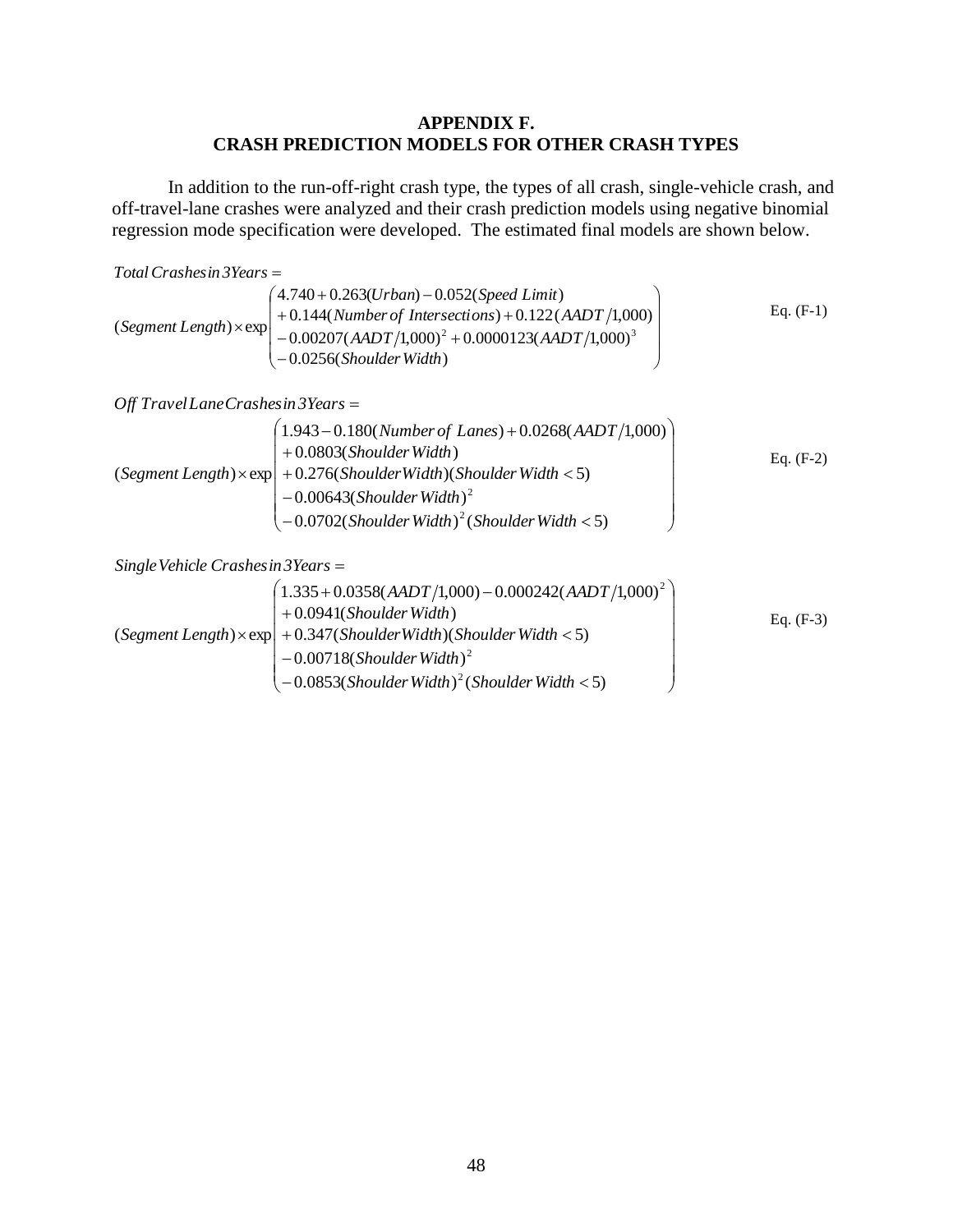### **APPENDIX F. CRASH PREDICTION MODELS FOR OTHER CRASH TYPES**

In addition to the run-off-right crash type, the types of all crash, single-vehicle crash, and off-travel-lane crashes were analyzed and their crash prediction models using negative binomial regression mode specification were developed. The estimated final models are shown below.

$$
Total Crashes in 3 Years =
$$

 $\overline{\phantom{a}}$  $\overline{\phantom{a}}$  $\overline{\phantom{a}}$  $\overline{\phantom{a}}$ J  $\backslash$  $\mathsf{I}$ L  $\mathsf{I}$  $\mathsf{I}$  $\overline{(-}$  $(4.740 + 0.263(Urban) - 0.052(Speed Limit)$  $-0.00207(AADT/1,000)^{2} +$  $\times$  exp + 0.144(*Number of Intersections*) + 0.0256(Shoulder Width)  $0.00207(AADT/1,000)^2 + 0.0000123(AADT/1,000)$  $(Segment Length) \times exp \begin{pmatrix} +0.144(Number of Intersections) + 0.122(AADT/1,000) \\ 0.00207(AADT/1,000)^2 + 0.0000123(AADT/1,000)^3 \end{pmatrix}$ *ShoulderWidth AADT AADT*  $\begin{cases} +0.144(Number\ of\ Intersections) +0.122(AADT) \end{cases}$ Eq. (F-1)

*Off TravelLaneCrashesin 3Years*

$$
(Segment Length) \times exp\n\begin{pmatrix}\n1.943 - 0.180(Number\ of\ Lanes) + 0.0268(AADT/1,000) \\
+ 0.0803(Shoulder Width) \\
+ 0.276(Shoulder Width)(Shoulder Width < 5) \\
- 0.00643(Shoulder Width)^{2} \\
- 0.0702(Shoulder Width)^{2}(Shoulder Width < 5)\n\end{pmatrix}\nEq. (F-2)
$$

*SingleVehicle Crashesin 3Years*

$$
(Segment Length) \times \exp\left(\begin{array}{l} (1.335 + 0.0358(AADT/1,000) - 0.000242(AADT/1,000)^{2} \\ + 0.0941(Shoulder Width) \\ + 0.347(Shoulder Width)(Shoulder Width < 5) \\ - 0.00718(Shoulder Width)^{2} \\ - 0.0853(Shoulder Width)^{2}(Shoulder Width < 5) \end{array}\right) \qquad \qquad \text{Eq. (F-3)}
$$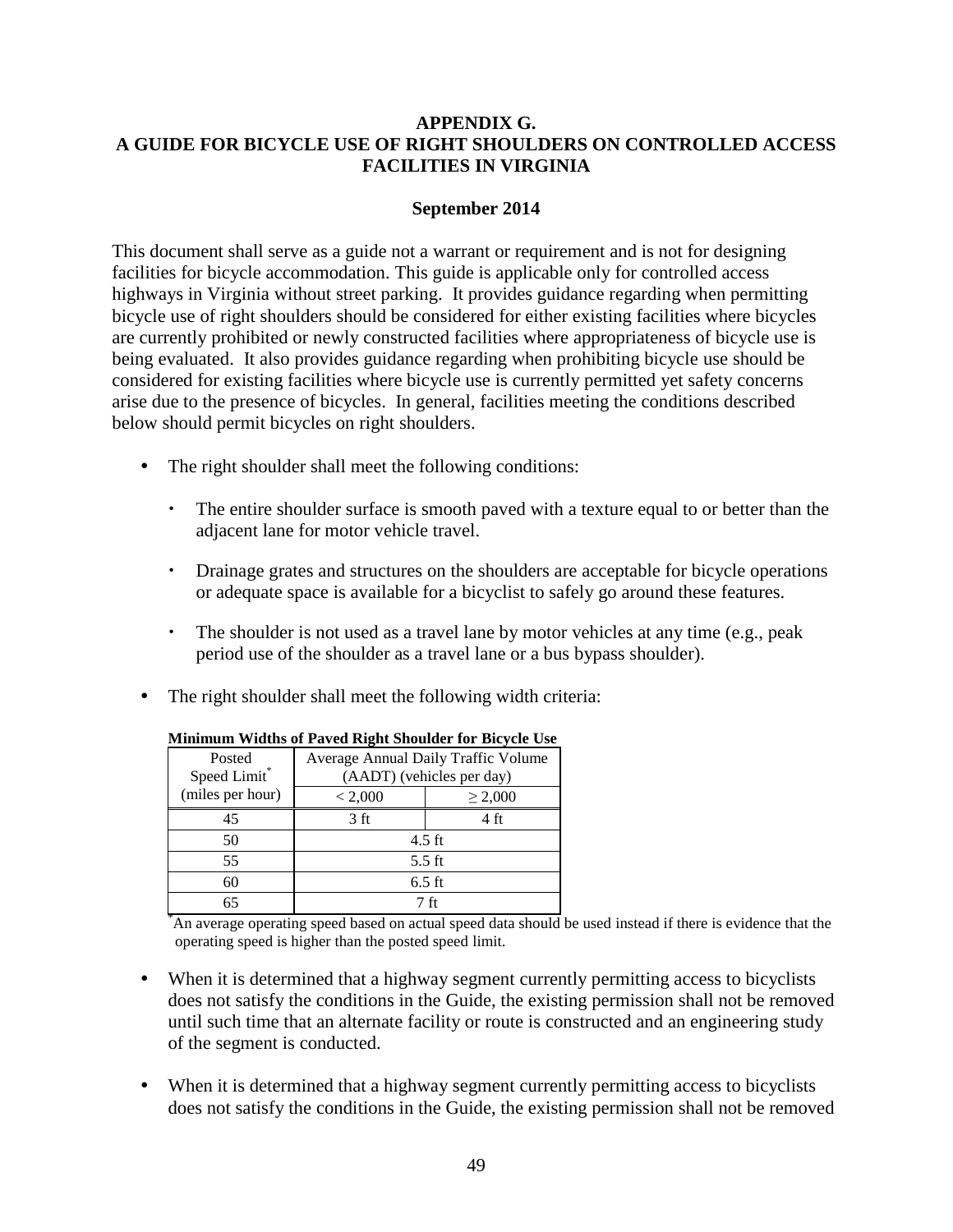## **APPENDIX G. A GUIDE FOR BICYCLE USE OF RIGHT SHOULDERS ON CONTROLLED ACCESS FACILITIES IN VIRGINIA**

## **September 2014**

This document shall serve as a guide not a warrant or requirement and is not for designing facilities for bicycle accommodation. This guide is applicable only for controlled access highways in Virginia without street parking. It provides guidance regarding when permitting bicycle use of right shoulders should be considered for either existing facilities where bicycles are currently prohibited or newly constructed facilities where appropriateness of bicycle use is being evaluated. It also provides guidance regarding when prohibiting bicycle use should be considered for existing facilities where bicycle use is currently permitted yet safety concerns arise due to the presence of bicycles. In general, facilities meeting the conditions described below should permit bicycles on right shoulders.

- The right shoulder shall meet the following conditions:
	- The entire shoulder surface is smooth paved with a texture equal to or better than the adjacent lane for motor vehicle travel.
	- Drainage grates and structures on the shoulders are acceptable for bicycle operations or adequate space is available for a bicyclist to safely go around these features.
	- The shoulder is not used as a travel lane by motor vehicles at any time (e.g., peak period use of the shoulder as a travel lane or a bus bypass shoulder).
- The right shoulder shall meet the following width criteria:

| Posted<br>Speed Limit* | Average Annual Daily Traffic Volume<br>(AADT) (vehicles per day) |              |  |  |  |  |  |
|------------------------|------------------------------------------------------------------|--------------|--|--|--|--|--|
| (miles per hour)       | < 2,000                                                          | $\geq 2,000$ |  |  |  |  |  |
| 45                     | 3 <sub>ft</sub>                                                  | 4 ft         |  |  |  |  |  |
| 50                     | $4.5$ ft                                                         |              |  |  |  |  |  |
| 55                     | $5.5 \text{ ft}$                                                 |              |  |  |  |  |  |
| 60                     | $6.5$ ft                                                         |              |  |  |  |  |  |
| 65                     | 7 ft                                                             |              |  |  |  |  |  |

### **Minimum Widths of Paved Right Shoulder for Bicycle Use**

An average operating speed based on actual speed data should be used instead if there is evidence that the operating speed is higher than the posted speed limit.

- When it is determined that a highway segment currently permitting access to bicyclists does not satisfy the conditions in the Guide, the existing permission shall not be removed until such time that an alternate facility or route is constructed and an engineering study of the segment is conducted.
- When it is determined that a highway segment currently permitting access to bicyclists does not satisfy the conditions in the Guide, the existing permission shall not be removed